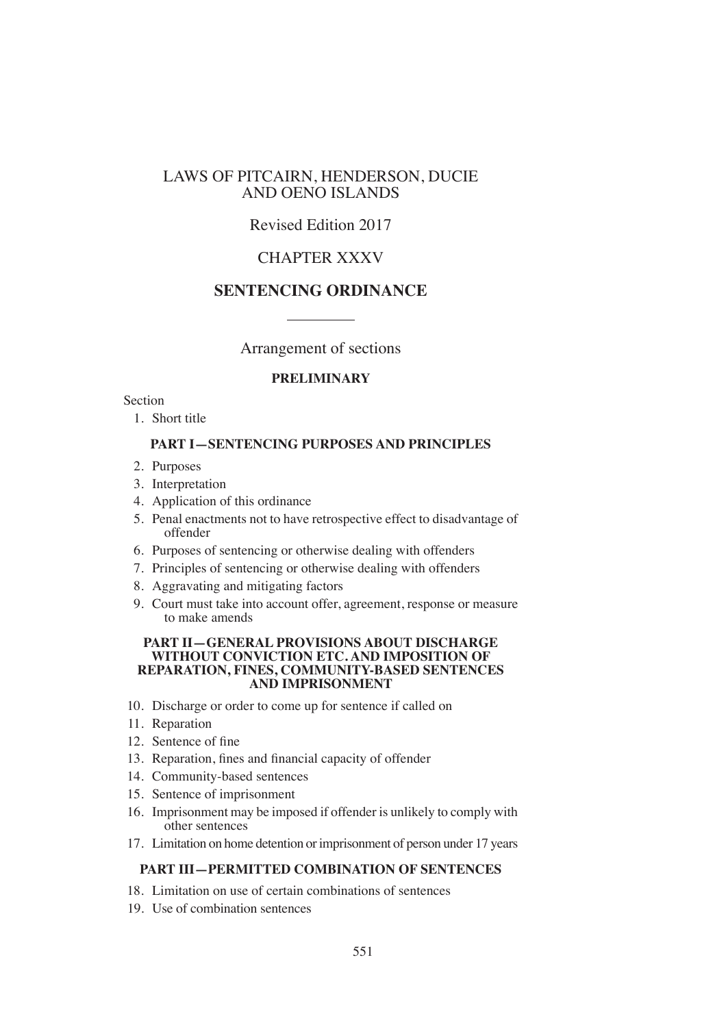# LAWS OF PITCAIRN, HENDERSON, DUCIE AND OENO ISLANDS

# Revised Edition 2017

# CHAPTER XXXV

# **SENTENCING ORDINANCE**

# Arrangement of sections

### **PRELIMINARY**

### Section

1. Short title

### **PART I—SENTENCING PURPOSES AND PRINCIPLES**

- 2. Purposes
- 3. Interpretation
- 4. Application of this ordinance
- 5. Penal enactments not to have retrospective effect to disadvantage of offender
- 6. Purposes of sentencing or otherwise dealing with offenders
- 7. Principles of sentencing or otherwise dealing with offenders
- 8. Aggravating and mitigating factors
- 9. Court must take into account offer, agreement, response or measure to make amends

#### **PART II—GENERAL PROVISIONS ABOUT DISCHARGE WITHOUT CONVICTION ETC. AND IMPOSITION OF REPARATION, FINES, COMMUNITY-BASED SENTENCES AND IMPRISONMENT**

- 10. Discharge or order to come up for sentence if called on
- 11. Reparation
- 12. Sentence of fine
- 13. Reparation, fines and financial capacity of offender
- 14. Community-based sentences
- 15. Sentence of imprisonment
- 16. Imprisonment may be imposed if offender is unlikely to comply with other sentences
- 17. Limitation on home detention or imprisonment of person under 17 years

### **PART III—PERMITTED COMBINATION OF SENTENCES**

- 18. Limitation on use of certain combinations of sentences
- 19. Use of combination sentences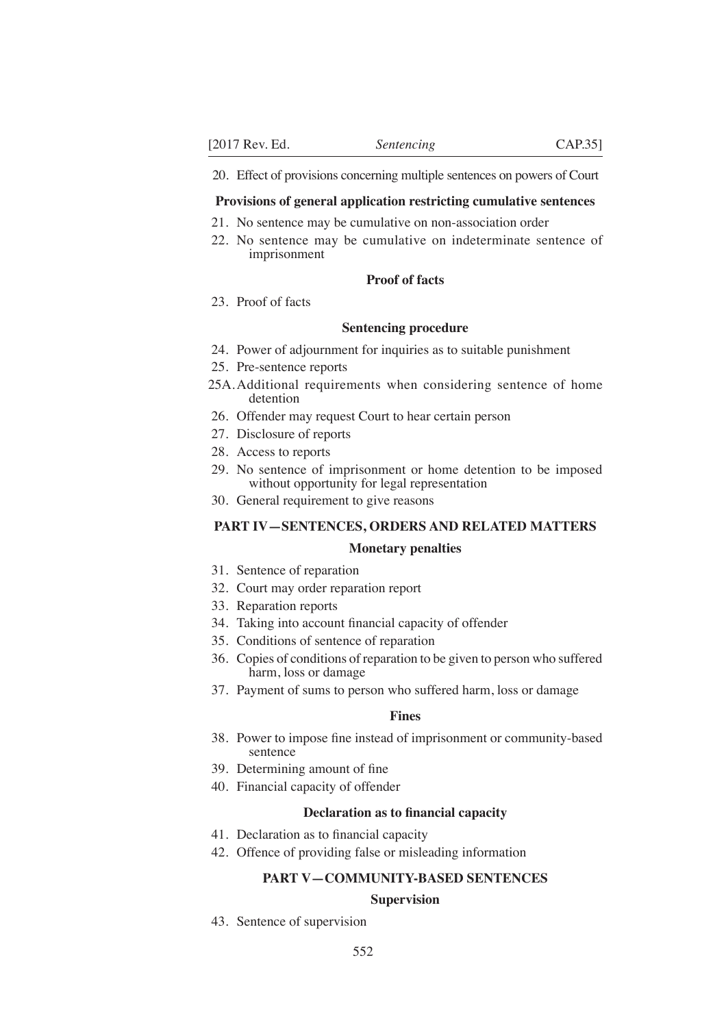20. Effect of provisions concerning multiple sentences on powers of Court

#### **Provisions of general application restricting cumulative sentences**

- 21. No sentence may be cumulative on non-association order
- 22. No sentence may be cumulative on indeterminate sentence of imprisonment

### **Proof of facts**

23. Proof of facts

#### **Sentencing procedure**

- 24. Power of adjournment for inquiries as to suitable punishment
- 25. Pre-sentence reports
- 25A.Additional requirements when considering sentence of home detention
- 26. Offender may request Court to hear certain person
- 27. Disclosure of reports
- 28. Access to reports
- 29. No sentence of imprisonment or home detention to be imposed without opportunity for legal representation
- 30. General requirement to give reasons

### **PART IV—SENTENCES, ORDERS AND RELATED MATTERS**

### **Monetary penalties**

- 31. Sentence of reparation
- 32. Court may order reparation report
- 33. Reparation reports
- 34. Taking into account financial capacity of offender
- 35. Conditions of sentence of reparation
- 36. Copies of conditions of reparation to be given to person who suffered harm, loss or damage
- 37. Payment of sums to person who suffered harm, loss or damage

## **Fines**

- 38. Power to impose fine instead of imprisonment or community-based sentence
- 39. Determining amount of fine
- 40. Financial capacity of offender

#### **Declaration as to fnancial capacity**

- 41. Declaration as to financial capacity
- 42. Offence of providing false or misleading information

### **PART V—COMMUNITY-BASED SENTENCES**

#### **Supervision**

43. Sentence of supervision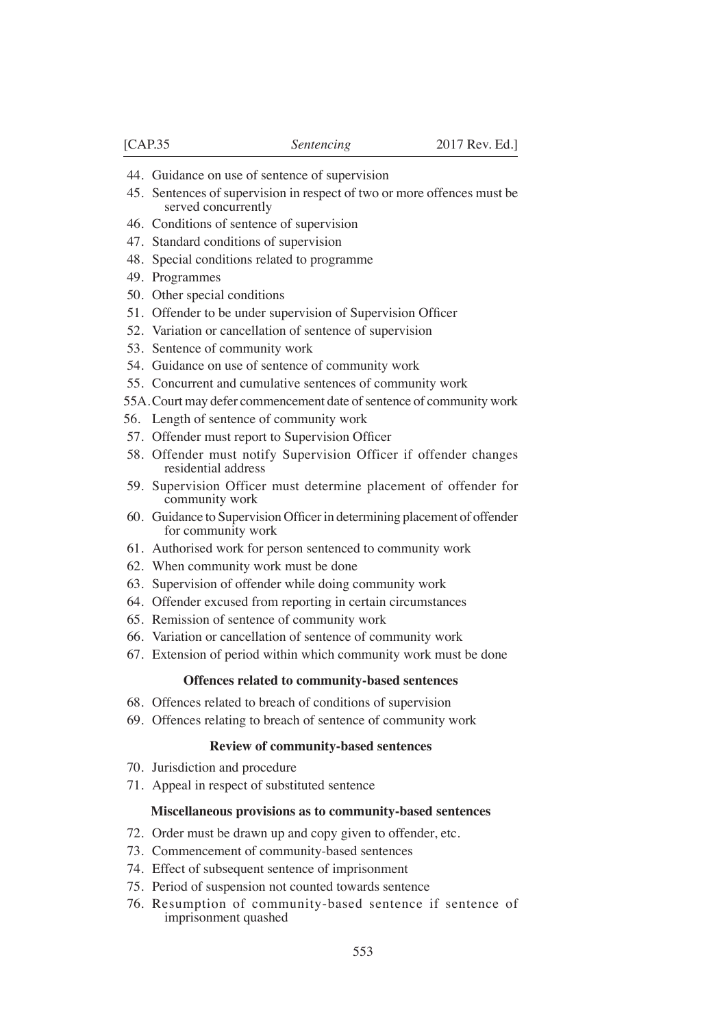- 44. Guidance on use of sentence of supervision
- 45. Sentences of supervision in respect of two or more offences must be served concurrently
- 46. Conditions of sentence of supervision
- 47. Standard conditions of supervision
- 48. Special conditions related to programme
- 49. Programmes
- 50. Other special conditions
- 51. Offender to be under supervision of Supervision Officer
- 52. Variation or cancellation of sentence of supervision
- 53. Sentence of community work
- 54. Guidance on use of sentence of community work
- 55. Concurrent and cumulative sentences of community work
- 55A.Court may defer commencement date of sentence of community work
- 56. Length of sentence of community work
- 57. Offender must report to Supervision Officer
- 58. Offender must notify Supervision Officer if offender changes residential address
- 59. Supervision Officer must determine placement of offender for community work
- 60. Guidance to Supervision Officer in determining placement of offender for community work
- 61. Authorised work for person sentenced to community work
- 62. When community work must be done
- 63. Supervision of offender while doing community work
- 64. Offender excused from reporting in certain circumstances
- 65. Remission of sentence of community work
- 66. Variation or cancellation of sentence of community work
- 67. Extension of period within which community work must be done

#### **Offences related to community-based sentences**

- 68. Offences related to breach of conditions of supervision
- 69. Offences relating to breach of sentence of community work

#### **Review of community-based sentences**

- 70. Jurisdiction and procedure
- 71. Appeal in respect of substituted sentence

#### **Miscellaneous provisions as to community-based sentences**

- 72. Order must be drawn up and copy given to offender, etc.
- 73. Commencement of community-based sentences
- 74. Effect of subsequent sentence of imprisonment
- 75. Period of suspension not counted towards sentence
- 76. Resumption of community-based sentence if sentence of imprisonment quashed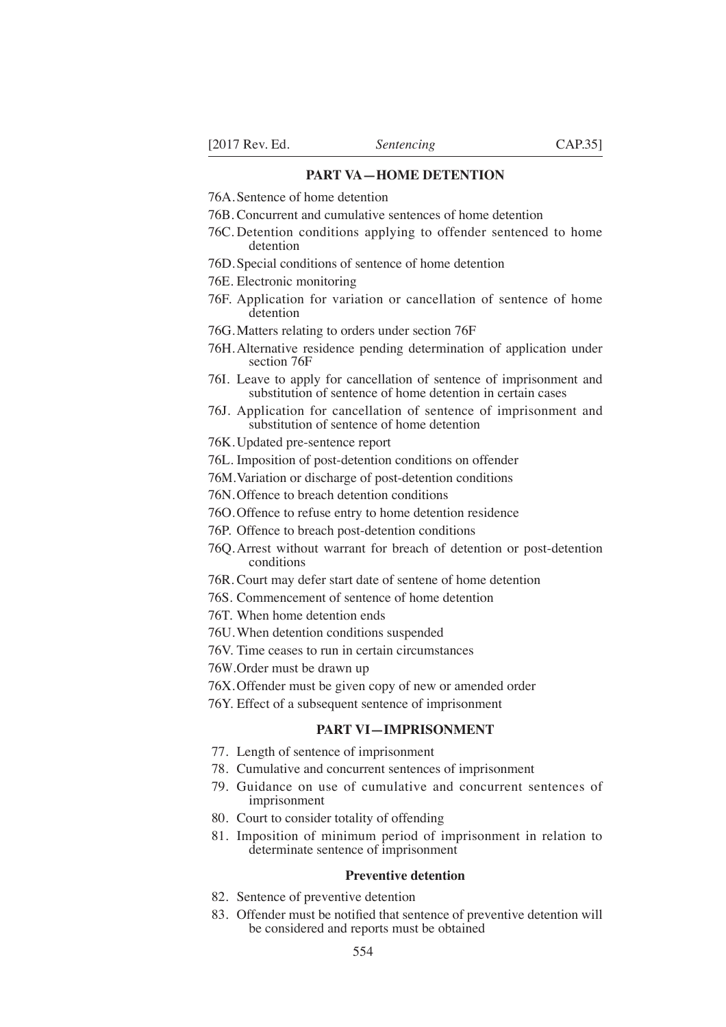### **PART VA—HOME DETENTION**

- 76A.Sentence of home detention
- 76B. Concurrent and cumulative sentences of home detention
- 76C. Detention conditions applying to offender sentenced to home detention
- 76D.Special conditions of sentence of home detention
- 76E. Electronic monitoring
- 76F. Application for variation or cancellation of sentence of home detention
- 76G. Matters relating to orders under section 76F
- 76H.Alternative residence pending determination of application under section 76F
- 76I. Leave to apply for cancellation of sentence of imprisonment and substitution of sentence of home detention in certain cases
- 76J. Application for cancellation of sentence of imprisonment and substitution of sentence of home detention
- 76K.Updated pre-sentence report
- 76L. Imposition of post-detention conditions on offender
- 76M.Variation or discharge of post-detention conditions
- 76N.Offence to breach detention conditions
- 76O.Offence to refuse entry to home detention residence
- 76P. Offence to breach post-detention conditions
- 76Q.Arrest without warrant for breach of detention or post-detention conditions
- 76R. Court may defer start date of sentene of home detention
- 76S. Commencement of sentence of home detention
- 76T. When home detention ends
- 76U.When detention conditions suspended
- 76V. Time ceases to run in certain circumstances
- 76W.Order must be drawn up
- 76X.Offender must be given copy of new or amended order
- 76Y. Effect of a subsequent sentence of imprisonment

### **PART VI—IMPRISONMENT**

- 77. Length of sentence of imprisonment
- 78. Cumulative and concurrent sentences of imprisonment
- 79. Guidance on use of cumulative and concurrent sentences of imprisonment
- 80. Court to consider totality of offending
- 81. Imposition of minimum period of imprisonment in relation to determinate sentence of imprisonment

#### **Preventive detention**

- 82. Sentence of preventive detention
- 83. Offender must be notified that sentence of preventive detention will be considered and reports must be obtained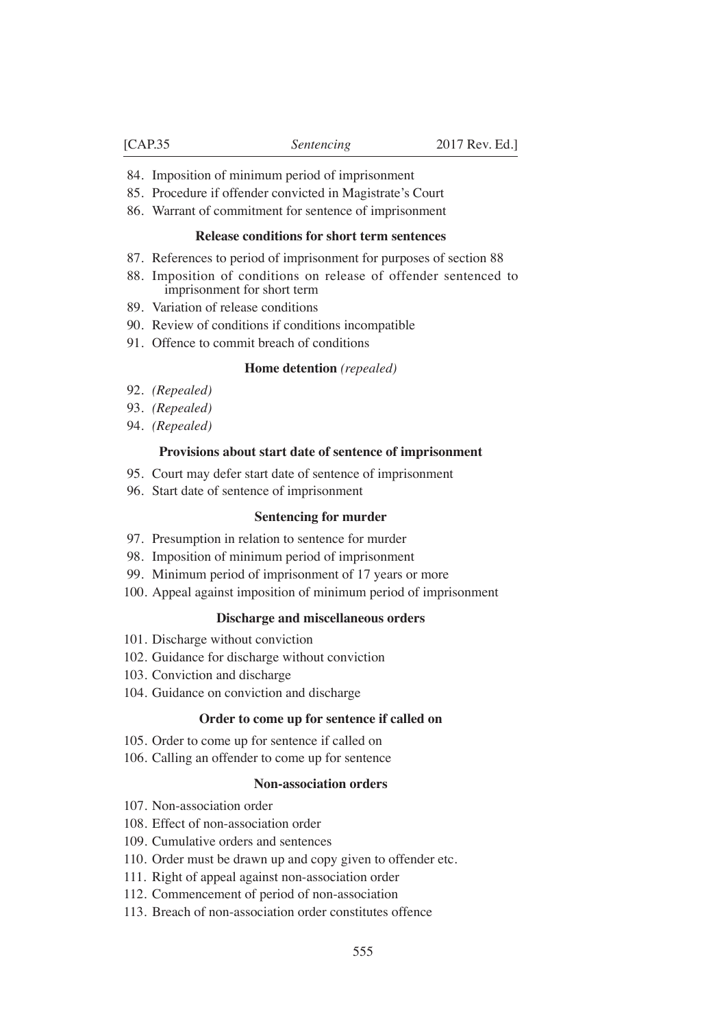- 84. Imposition of minimum period of imprisonment
- 85. Procedure if offender convicted in Magistrate's Court
- 86. Warrant of commitment for sentence of imprisonment

#### **Release conditions for short term sentences**

- 87. References to period of imprisonment for purposes of section 88
- 88. Imposition of conditions on release of offender sentenced to imprisonment for short term
- 89. Variation of release conditions
- 90. Review of conditions if conditions incompatible
- 91. Offence to commit breach of conditions

#### **Home detention** *(repealed)*

- 92. *(Repealed)*
- 93. *(Repealed)*
- 94. *(Repealed)*

#### **Provisions about start date of sentence of imprisonment**

- 95. Court may defer start date of sentence of imprisonment
- 96. Start date of sentence of imprisonment

#### **Sentencing for murder**

- 97. Presumption in relation to sentence for murder
- 98. Imposition of minimum period of imprisonment
- 99. Minimum period of imprisonment of 17 years or more
- 100. Appeal against imposition of minimum period of imprisonment

#### **Discharge and miscellaneous orders**

- 101. Discharge without conviction
- 102. Guidance for discharge without conviction
- 103. Conviction and discharge
- 104. Guidance on conviction and discharge

#### **Order to come up for sentence if called on**

- 105. Order to come up for sentence if called on
- 106. Calling an offender to come up for sentence

#### **Non-association orders**

- 107. Non-association order
- 108. Effect of non-association order
- 109. Cumulative orders and sentences
- 110. Order must be drawn up and copy given to offender etc.
- 111. Right of appeal against non-association order
- 112. Commencement of period of non-association
- 113. Breach of non-association order constitutes offence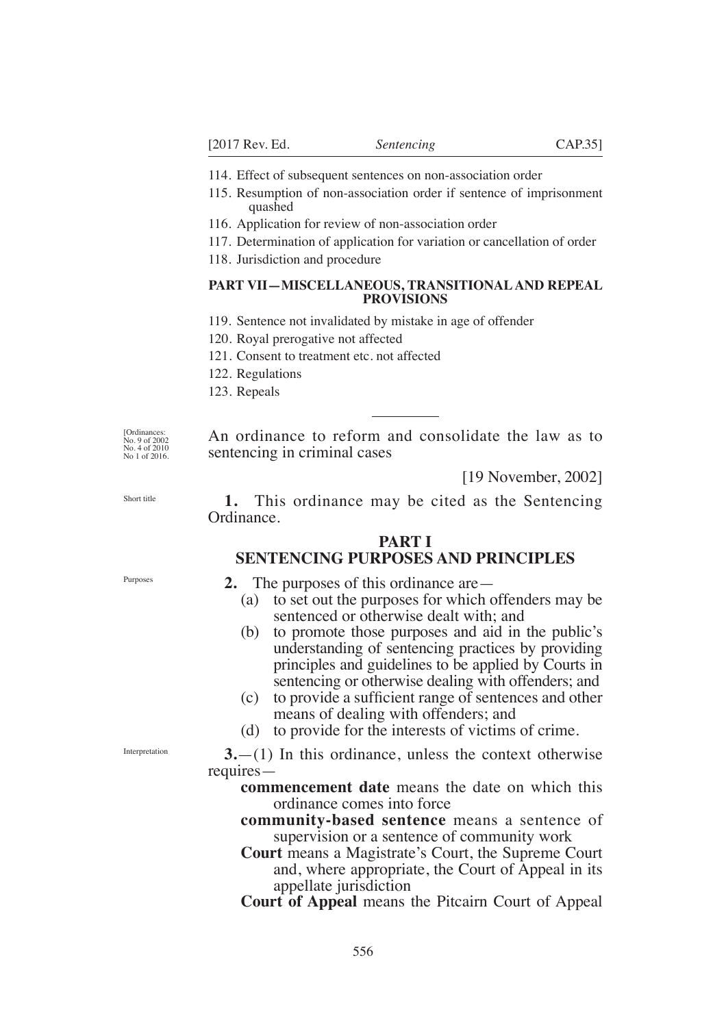- 114. Effect of subsequent sentences on non-association order
- 115. Resumption of non-association order if sentence of imprisonment quashed
- 116. Application for review of non-association order
- 117. Determination of application for variation or cancellation of order
- 118. Jurisdiction and procedure

### **PART VII—MISCELLANEOUS, TRANSITIONAL AND REPEAL PROVISIONS**

- 119. Sentence not invalidated by mistake in age of offender
- 120. Royal prerogative not affected
- 121. Consent to treatment etc. not affected
- 122. Regulations
- 123. Repeals

[Ordinances: No. 9 of 2002 No. 4 of 2010 No 1 of 2016.

An ordinance to reform and consolidate the law as to sentencing in criminal cases

[19 November, 2002]

Short title

**1.** This ordinance may be cited as the Sentencing Ordinance.

### **PART I SENTENCING PURPOSES AND PRINCIPLES**

Purposes

- **2.** The purposes of this ordinance are—
	- (a) to set out the purposes for which offenders may be sentenced or otherwise dealt with; and
	- (b) to promote those purposes and aid in the public's understanding of sentencing practices by providing principles and guidelines to be applied by Courts in sentencing or otherwise dealing with offenders; and
	- (c) to provide a sufficient range of sentences and other means of dealing with offenders; and
	- (d) to provide for the interests of victims of crime.

Interpretation

- **3.**—(1) In this ordinance, unless the context otherwise requires
	- **commencement date** means the date on which this ordinance comes into force
	- **community-based sentence** means a sentence of supervision or a sentence of community work
	- **Court** means a Magistrate's Court, the Supreme Court and, where appropriate, the Court of Appeal in its appellate jurisdiction
	- **Court of Appeal** means the Pitcairn Court of Appeal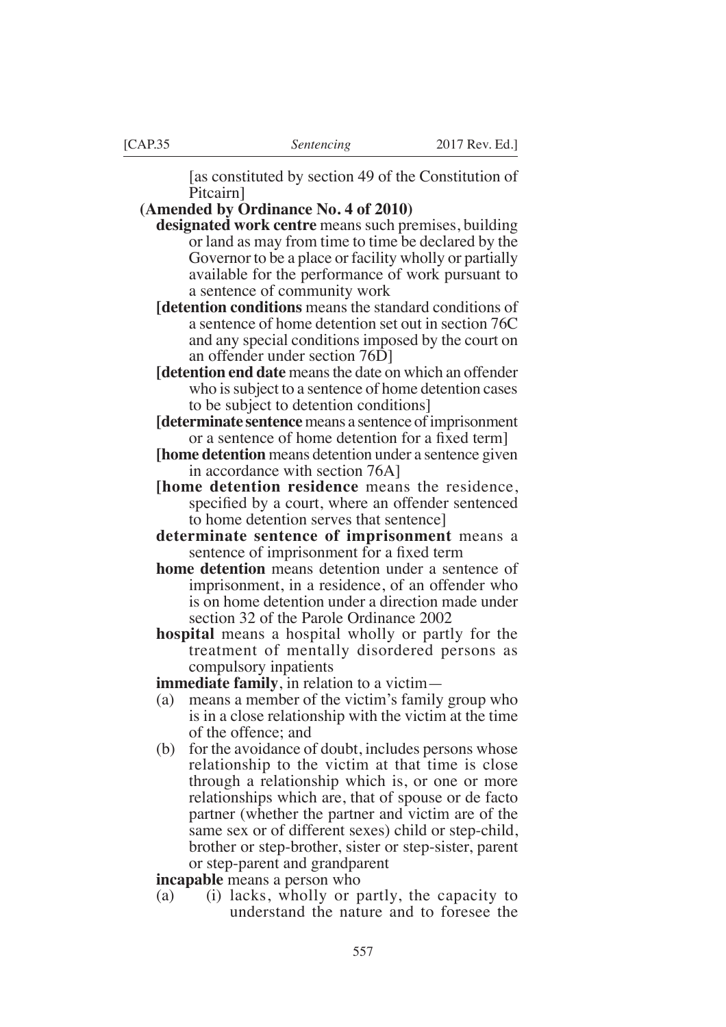[as constituted by section 49 of the Constitution of Pitcairn]

**(Amended by Ordinance No. 4 of 2010)**

- **designated work centre** means such premises, building or land as may from time to time be declared by the Governor to be a place or facility wholly or partially available for the performance of work pursuant to a sentence of community work
- **[detention conditions** means the standard conditions of a sentence of home detention set out in section 76C and any special conditions imposed by the court on an offender under section 76D]
- **[detention end date** means the date on which an offender who is subject to a sentence of home detention cases to be subject to detention conditions]
- **[determinate sentence** means a sentence of imprisonment or a sentence of home detention for a fixed term.
- **[home detention** means detention under a sentence given in accordance with section 76A]
- **[home detention residence** means the residence, specified by a court, where an offender sentenced to home detention serves that sentence]
- **determinate sentence of imprisonment** means a sentence of imprisonment for a fixed term
- **home detention** means detention under a sentence of imprisonment, in a residence, of an offender who is on home detention under a direction made under section 32 of the Parole Ordinance 2002
- **hospital** means a hospital wholly or partly for the treatment of mentally disordered persons as compulsory inpatients

**immediate family**, in relation to a victim—

- (a) means a member of the victim's family group who is in a close relationship with the victim at the time of the offence; and
- (b) for the avoidance of doubt, includes persons whose relationship to the victim at that time is close through a relationship which is, or one or more relationships which are, that of spouse or de facto partner (whether the partner and victim are of the same sex or of different sexes) child or step-child, brother or step-brother, sister or step-sister, parent or step-parent and grandparent

**incapable** means a person who

(a) (i) lacks, wholly or partly, the capacity to understand the nature and to foresee the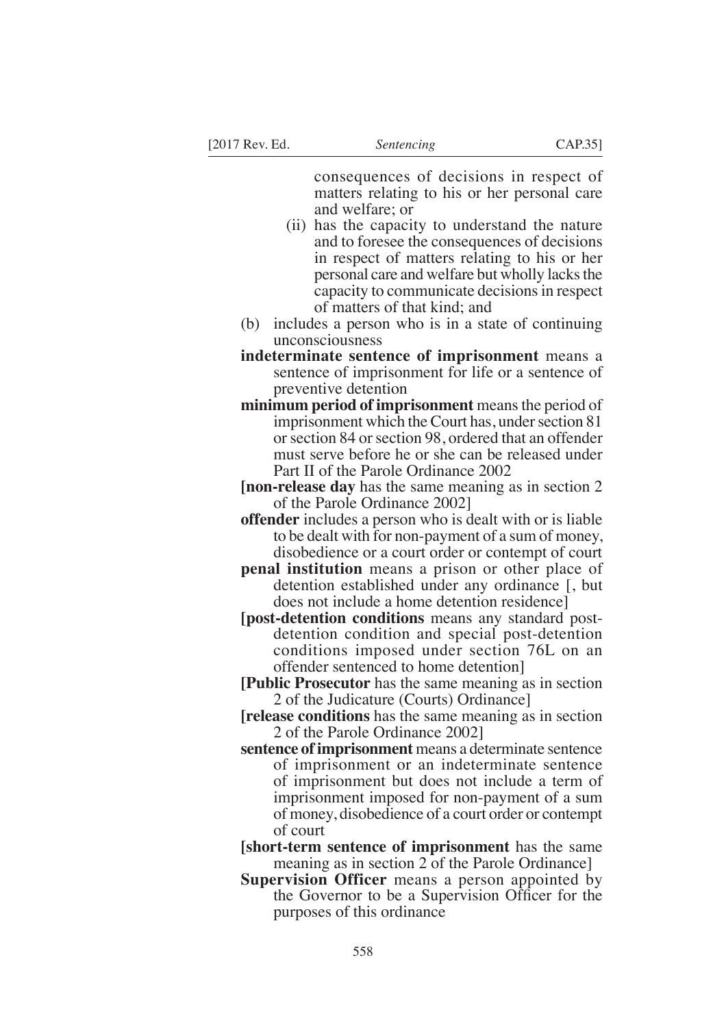consequences of decisions in respect of matters relating to his or her personal care and welfare; or

- (ii) has the capacity to understand the nature and to foresee the consequences of decisions in respect of matters relating to his or her personal care and welfare but wholly lacks the capacity to communicate decisions in respect of matters of that kind; and
- (b) includes a person who is in a state of continuing unconsciousness
- **indeterminate sentence of imprisonment** means a sentence of imprisonment for life or a sentence of preventive detention
- **minimum period of imprisonment** means the period of imprisonment which the Court has, under section 81 or section 84 or section 98, ordered that an offender must serve before he or she can be released under Part II of the Parole Ordinance 2002
- **[non-release day** has the same meaning as in section 2 of the Parole Ordinance 2002]
- **offender** includes a person who is dealt with or is liable to be dealt with for non-payment of a sum of money, disobedience or a court order or contempt of court
- **penal institution** means a prison or other place of detention established under any ordinance [, but does not include a home detention residence]
- **[post-detention conditions** means any standard postdetention condition and special post-detention conditions imposed under section 76L on an offender sentenced to home detention]
- **[Public Prosecutor** has the same meaning as in section 2 of the Judicature (Courts) Ordinance]
- **[release conditions** has the same meaning as in section 2 of the Parole Ordinance 2002]
- **sentence of imprisonment** means a determinate sentence of imprisonment or an indeterminate sentence of imprisonment but does not include a term of imprisonment imposed for non-payment of a sum of money, disobedience of a court order or contempt of court
- **[short-term sentence of imprisonment** has the same meaning as in section 2 of the Parole Ordinance]
- **Supervision Officer** means a person appointed by the Governor to be a Supervision Officer for the purposes of this ordinance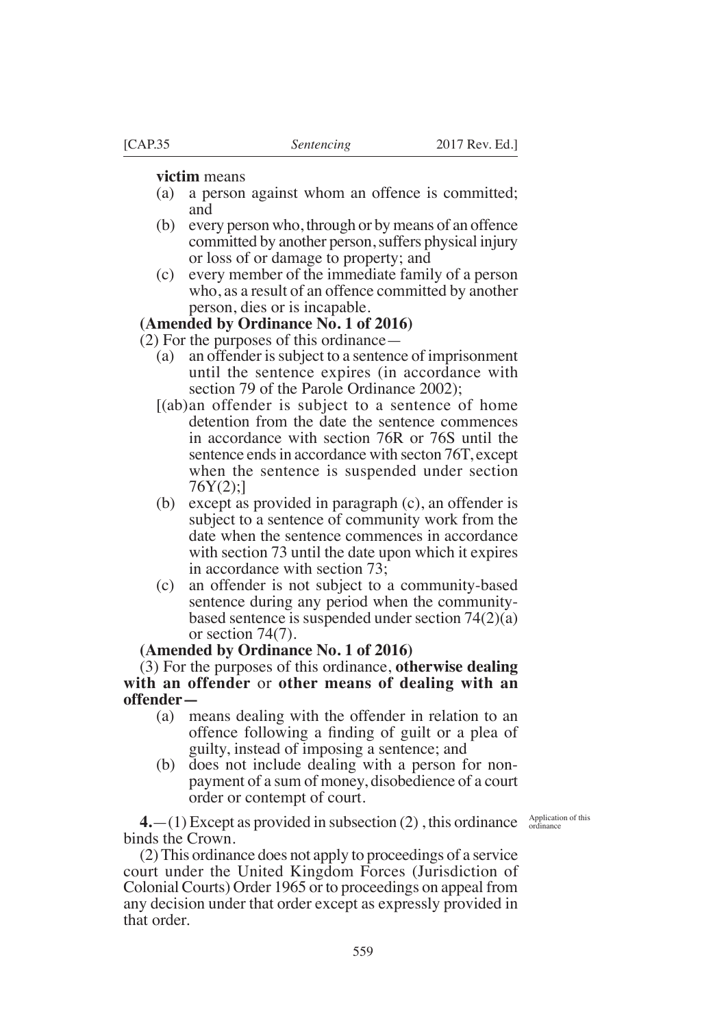#### **victim** means

- (a) a person against whom an offence is committed; and
- (b) every person who, through or by means of an offence committed by another person, suffers physical injury or loss of or damage to property; and
- (c) every member of the immediate family of a person who, as a result of an offence committed by another person, dies or is incapable.

## **(Amended by Ordinance No. 1 of 2016)**

(2) For the purposes of this ordinance—

- (a) an offender is subject to a sentence of imprisonment until the sentence expires (in accordance with section 79 of the Parole Ordinance 2002);
- [(ab)an offender is subject to a sentence of home detention from the date the sentence commences in accordance with section 76R or 76S until the sentence ends in accordance with secton 76T, except when the sentence is suspended under section  $76Y(2)$ ;
- (b) except as provided in paragraph (c), an offender is subject to a sentence of community work from the date when the sentence commences in accordance with section 73 until the date upon which it expires in accordance with section 73;
- (c) an offender is not subject to a community-based sentence during any period when the communitybased sentence is suspended under section 74(2)(a) or section 74(7).

### **(Amended by Ordinance No. 1 of 2016)**

(3) For the purposes of this ordinance, **otherwise dealing with an offender** or **other means of dealing with an offender—**

- (a) means dealing with the offender in relation to an offence following a finding of guilt or a plea of guilty, instead of imposing a sentence; and
- (b) does not include dealing with a person for nonpayment of a sum of money, disobedience of a court order or contempt of court.

 $4.$ —(1) Except as provided in subsection (2), this ordinance  $\frac{Application of this}{ordinate}$ binds the Crown.

(2) This ordinance does not apply to proceedings of a service court under the United Kingdom Forces (Jurisdiction of Colonial Courts) Order 1965 or to proceedings on appeal from any decision under that order except as expressly provided in that order.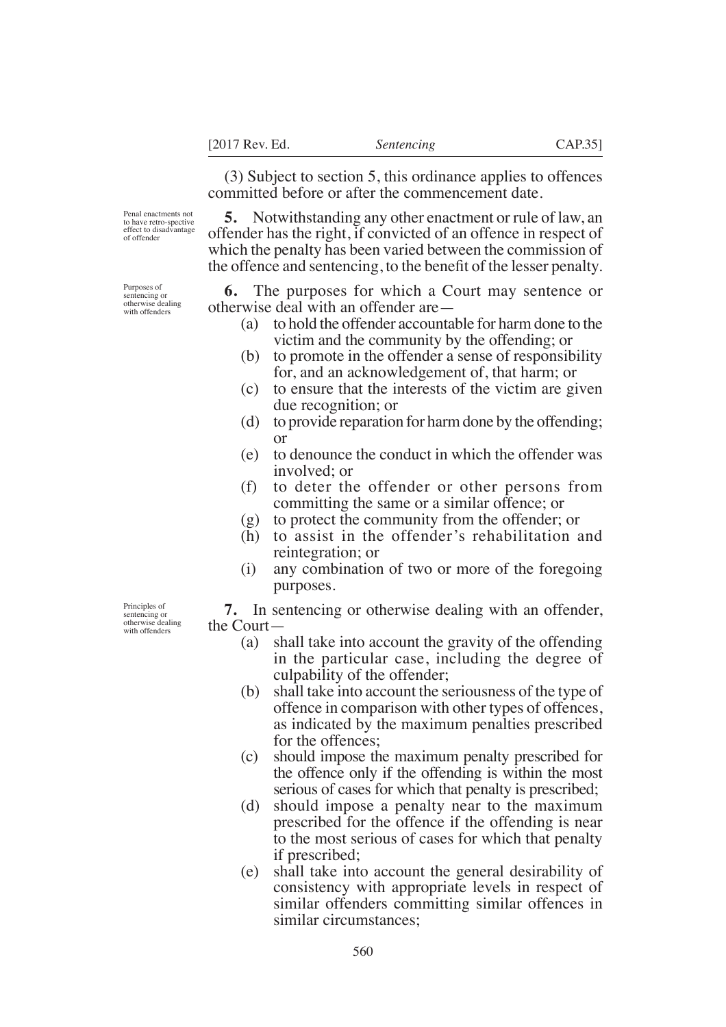(3) Subject to section 5, this ordinance applies to offences committed before or after the commencement date.

Penal enactments not to have retro-spective effect to disadvantage of offender

**5.** Notwithstanding any other enactment or rule of law, an offender has the right, if convicted of an offence in respect of which the penalty has been varied between the commission of the offence and sentencing, to the benefit of the lesser penalty.

**6.** The purposes for which a Court may sentence or otherwise deal with an offender are—

- (a) to hold the offender accountable for harm done to the victim and the community by the offending; or
- (b) to promote in the offender a sense of responsibility for, and an acknowledgement of, that harm; or
- (c) to ensure that the interests of the victim are given due recognition; or
- (d) to provide reparation for harm done by the offending; or
- (e) to denounce the conduct in which the offender was involved; or
- (f) to deter the offender or other persons from committing the same or a similar offence; or
- (g) to protect the community from the offender; or
- (h) to assist in the offender's rehabilitation and reintegration; or
- (i) any combination of two or more of the foregoing purposes.

Principles of sentencing or otherwise dealing with offenders

- **7.** In sentencing or otherwise dealing with an offender, the Court—
	- (a) shall take into account the gravity of the offending in the particular case, including the degree of culpability of the offender;
	- (b) shall take into account the seriousness of the type of offence in comparison with other types of offences, as indicated by the maximum penalties prescribed for the offences;
	- (c) should impose the maximum penalty prescribed for the offence only if the offending is within the most serious of cases for which that penalty is prescribed;
	- (d) should impose a penalty near to the maximum prescribed for the offence if the offending is near to the most serious of cases for which that penalty if prescribed;
	- (e) shall take into account the general desirability of consistency with appropriate levels in respect of similar offenders committing similar offences in similar circumstances;

Purposes of sentencing or otherwise dealing

with offenders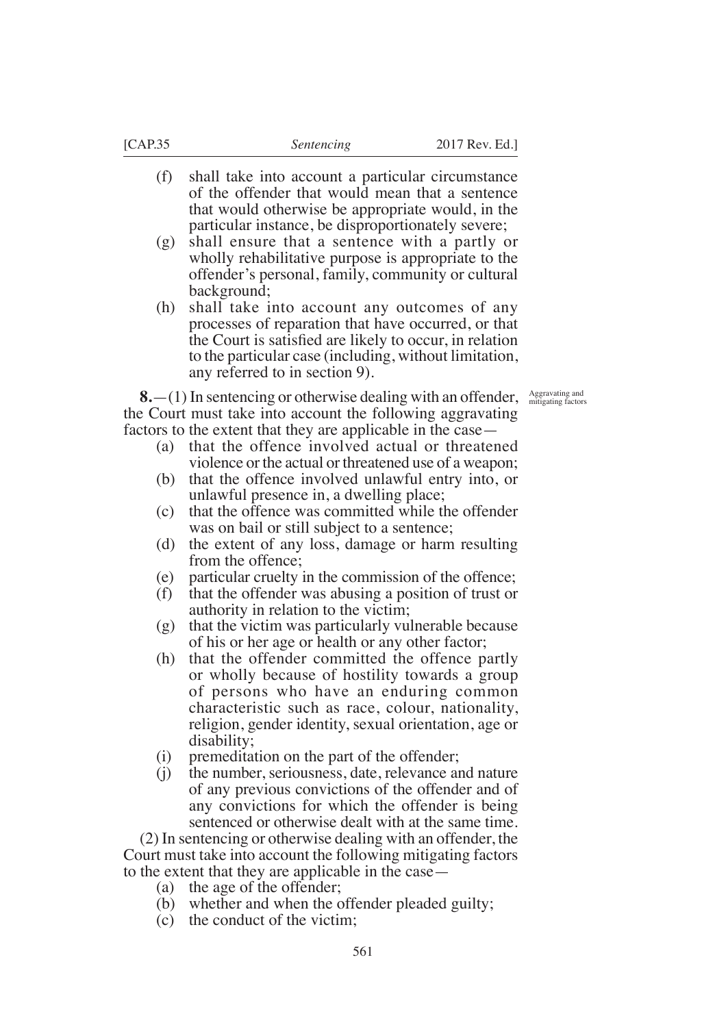- (f) shall take into account a particular circumstance of the offender that would mean that a sentence that would otherwise be appropriate would, in the particular instance, be disproportionately severe;
- (g) shall ensure that a sentence with a partly or wholly rehabilitative purpose is appropriate to the offender's personal, family, community or cultural background;
- (h) shall take into account any outcomes of any processes of reparation that have occurred, or that the Court is satisfied are likely to occur, in relation to the particular case (including, without limitation, any referred to in section 9).

Aggravating and mitigating factors

**8.**—(1) In sentencing or otherwise dealing with an offender, the Court must take into account the following aggravating factors to the extent that they are applicable in the case—

- (a) that the offence involved actual or threatened violence or the actual or threatened use of a weapon;
- (b) that the offence involved unlawful entry into, or unlawful presence in, a dwelling place;
- (c) that the offence was committed while the offender was on bail or still subject to a sentence;
- (d) the extent of any loss, damage or harm resulting from the offence;
- (e) particular cruelty in the commission of the offence;
- (f) that the offender was abusing a position of trust or authority in relation to the victim;
- (g) that the victim was particularly vulnerable because of his or her age or health or any other factor;
- (h) that the offender committed the offence partly or wholly because of hostility towards a group of persons who have an enduring common characteristic such as race, colour, nationality, religion, gender identity, sexual orientation, age or disability;
- (i) premeditation on the part of the offender;
- (j) the number, seriousness, date, relevance and nature of any previous convictions of the offender and of any convictions for which the offender is being sentenced or otherwise dealt with at the same time.

(2) In sentencing or otherwise dealing with an offender, the Court must take into account the following mitigating factors to the extent that they are applicable in the case—

- (a) the age of the offender;
- (b) whether and when the offender pleaded guilty;
- (c) the conduct of the victim;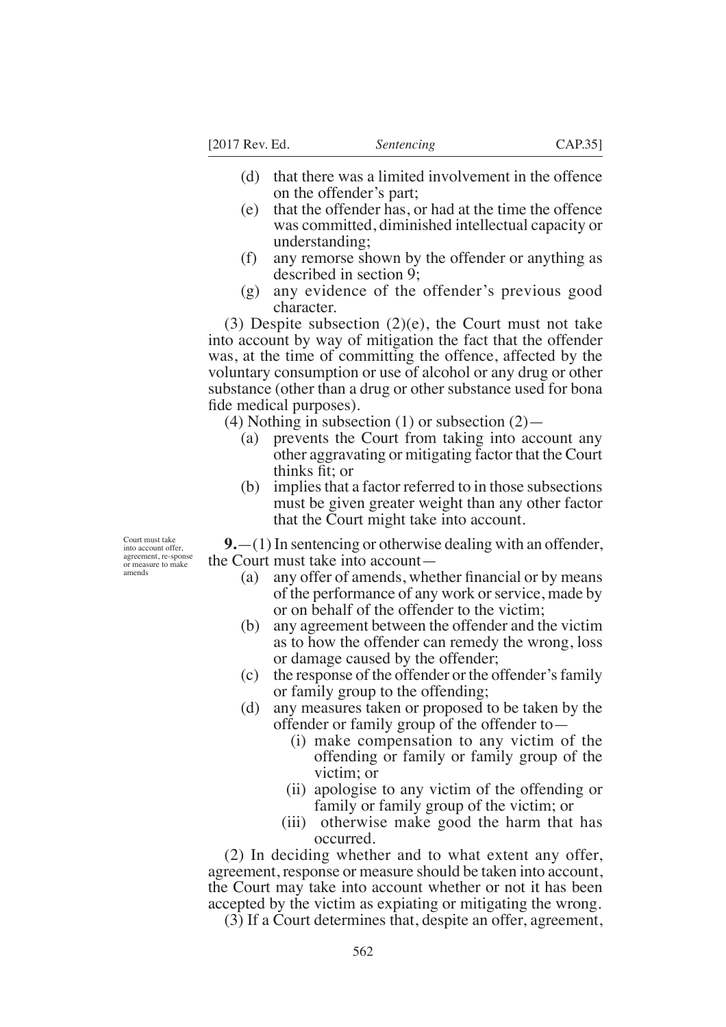- (d) that there was a limited involvement in the offence on the offender's part;
- (e) that the offender has, or had at the time the offence was committed, diminished intellectual capacity or understanding;
- (f) any remorse shown by the offender or anything as described in section 9;
- (g) any evidence of the offender's previous good character.

(3) Despite subsection  $(2)(e)$ , the Court must not take into account by way of mitigation the fact that the offender was, at the time of committing the offence, affected by the voluntary consumption or use of alcohol or any drug or other substance (other than a drug or other substance used for bona fide medical purposes).

(4) Nothing in subsection (1) or subsection  $(2)$ —

- (a) prevents the Court from taking into account any other aggravating or mitigating factor that the Court thinks fit: or
- (b) implies that a factor referred to in those subsections must be given greater weight than any other factor that the Court might take into account.

**9.**—(1) In sentencing or otherwise dealing with an offender, the Court must take into account—

- (a) any offer of amends, whether financial or by means of the performance of any work or service, made by or on behalf of the offender to the victim;
- (b) any agreement between the offender and the victim as to how the offender can remedy the wrong, loss or damage caused by the offender;
- (c) the response of the offender or the offender's family or family group to the offending;
- (d) any measures taken or proposed to be taken by the offender or family group of the offender to—
	- (i) make compensation to any victim of the offending or family or family group of the victim; or
	- (ii) apologise to any victim of the offending or family or family group of the victim; or
	- (iii) otherwise make good the harm that has occurred.

(2) In deciding whether and to what extent any offer, agreement, response or measure should be taken into account, the Court may take into account whether or not it has been accepted by the victim as expiating or mitigating the wrong.

(3) If a Court determines that, despite an offer, agreement,

Court must take into account offer, agreement, re-sponse or measure to make amends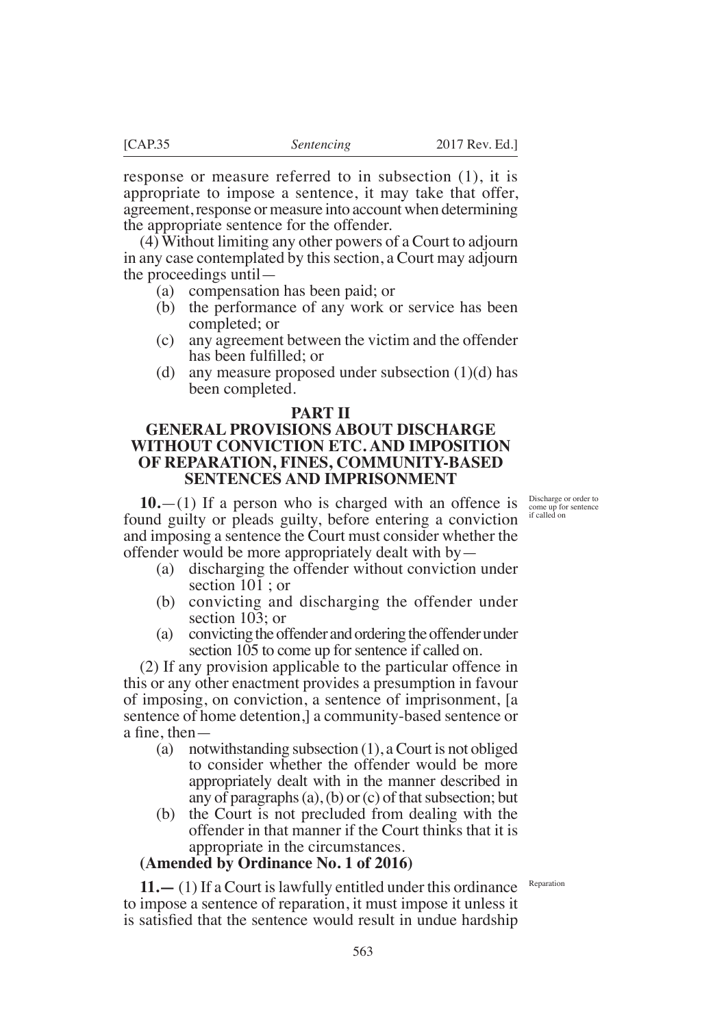response or measure referred to in subsection (1), it is appropriate to impose a sentence, it may take that offer, agreement, response or measure into account when determining the appropriate sentence for the offender.

(4) Without limiting any other powers of a Court to adjourn in any case contemplated by this section, a Court may adjourn the proceedings until—

- (a) compensation has been paid; or
- (b) the performance of any work or service has been completed; or
- (c) any agreement between the victim and the offender has been fulfilled: or
- (d) any measure proposed under subsection  $(1)(d)$  has been completed.

### **PART II**

# **GENERAL PROVISIONS ABOUT DISCHARGE WITHOUT CONVICTION ETC. AND IMPOSITION OF REPARATION, FINES, COMMUNITY-BASED SENTENCES AND IMPRISONMENT**

**10.**—(1) If a person who is charged with an offence is found guilty or pleads guilty, before entering a conviction and imposing a sentence the Court must consider whether the offender would be more appropriately dealt with by—

- (a) discharging the offender without conviction under section 101 ; or
- (b) convicting and discharging the offender under section 103; or
- (a) convicting the offender and ordering the offender under section 105 to come up for sentence if called on.

(2) If any provision applicable to the particular offence in this or any other enactment provides a presumption in favour of imposing, on conviction, a sentence of imprisonment, [a sentence of home detention,] a community-based sentence or a fine, then  $-$ 

- (a) notwithstanding subsection (1), a Court is not obliged to consider whether the offender would be more appropriately dealt with in the manner described in any of paragraphs (a), (b) or (c) of that subsection; but
- (b) the Court is not precluded from dealing with the offender in that manner if the Court thinks that it is appropriate in the circumstances.

### **(Amended by Ordinance No. 1 of 2016)**

Reparation

**11.—** (1) If a Court is lawfully entitled under this ordinance to impose a sentence of reparation, it must impose it unless it is satisfied that the sentence would result in undue hardship

Discharge or order to come up for sentence if called on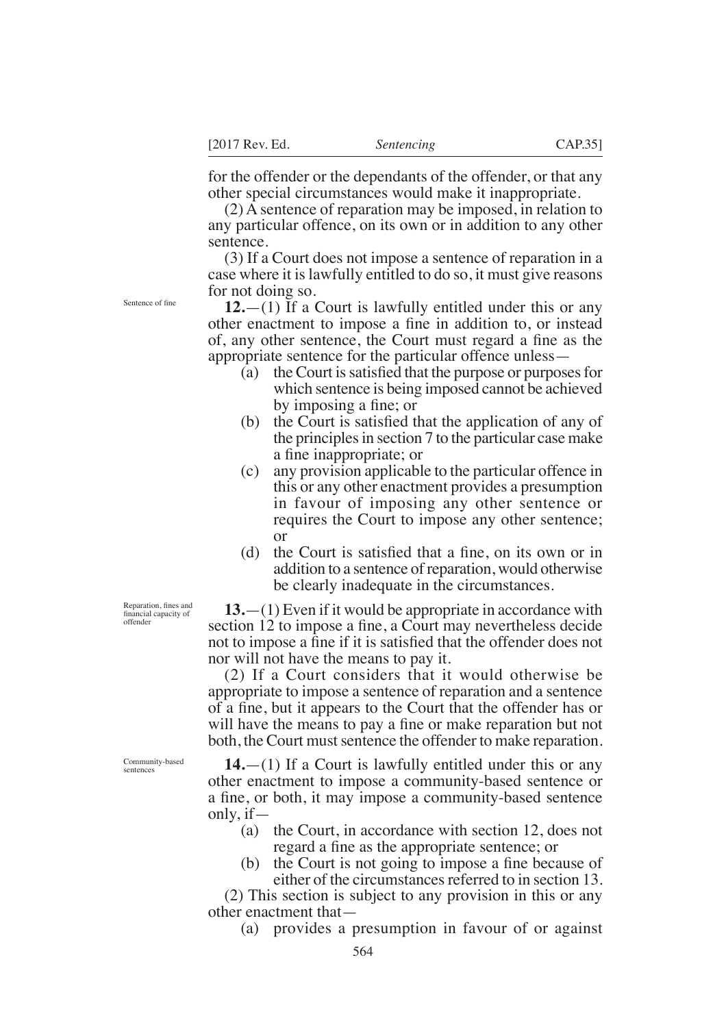for the offender or the dependants of the offender, or that any other special circumstances would make it inappropriate.

(2) A sentence of reparation may be imposed, in relation to any particular offence, on its own or in addition to any other sentence.

(3) If a Court does not impose a sentence of reparation in a case where it is lawfully entitled to do so, it must give reasons for not doing so.

**12.**—(1) If a Court is lawfully entitled under this or any other enactment to impose a fine in addition to, or instead of, any other sentence, the Court must regard a fine as the appropriate sentence for the particular offence unless—

- (a) the Court is satisfied that the purpose or purposes for which sentence is being imposed cannot be achieved by imposing a fine; or
- (b) the Court is satisfied that the application of any of the principles in section 7 to the particular case make a fine inappropriate; or
- (c) any provision applicable to the particular offence in this or any other enactment provides a presumption in favour of imposing any other sentence or requires the Court to impose any other sentence; or
- (d) the Court is satisfied that a fine, on its own or in addition to a sentence of reparation, would otherwise be clearly inadequate in the circumstances.

**13.**—(1) Even if it would be appropriate in accordance with section 12 to impose a fine, a Court may nevertheless decide not to impose a fine if it is satisfied that the offender does not nor will not have the means to pay it.

(2) If a Court considers that it would otherwise be appropriate to impose a sentence of reparation and a sentence of a fine, but it appears to the Court that the offender has or will have the means to pay a fine or make reparation but not both, the Court must sentence the offender to make reparation.

Community-based sentences

Reparation, fines and financial capacity of offender

> **14.**—(1) If a Court is lawfully entitled under this or any other enactment to impose a community-based sentence or a fine, or both, it may impose a community-based sentence only, if—

- (a) the Court, in accordance with section 12, does not regard a fine as the appropriate sentence; or
- (b) the Court is not going to impose a fine because of either of the circumstances referred to in section 13.

(2) This section is subject to any provision in this or any other enactment that—

(a) provides a presumption in favour of or against

Sentence of fne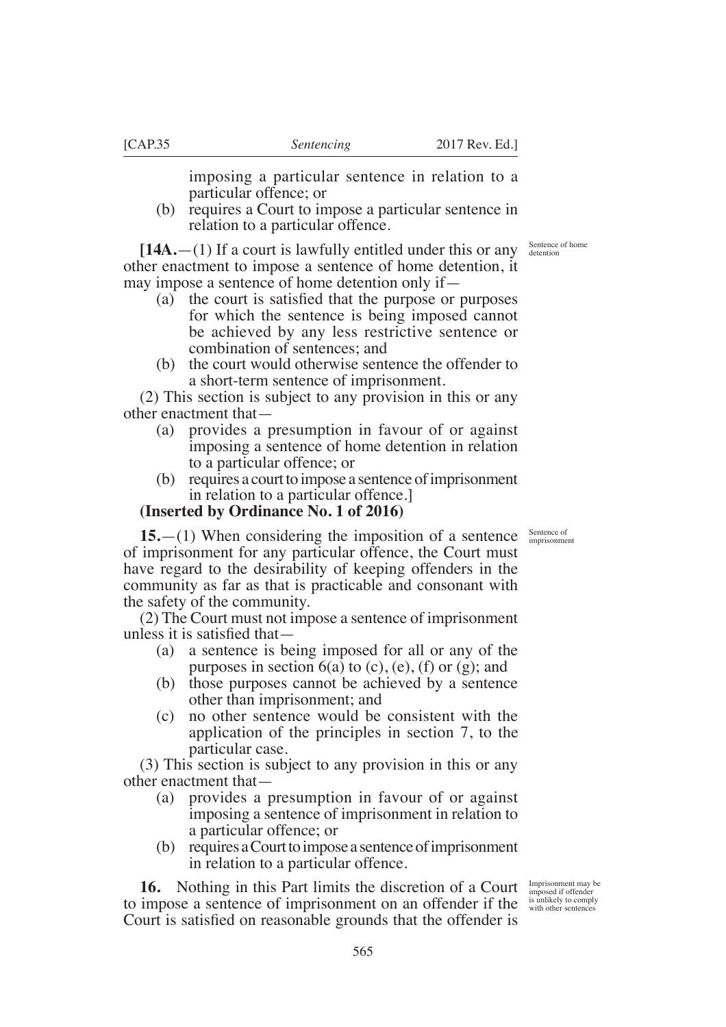particular offence; or (b) requires a Court to impose a particular sentence in

**[14A.**—(1) If a court is lawfully entitled under this or any other enactment to impose a sentence of home detention, it may impose a sentence of home detention only if—

relation to a particular offence.

- (a) the court is satisfied that the purpose or purposes for which the sentence is being imposed cannot be achieved by any less restrictive sentence or combination of sentences; and
- (b) the court would otherwise sentence the offender to a short-term sentence of imprisonment.

(2) This section is subject to any provision in this or any other enactment that—

- (a) provides a presumption in favour of or against imposing a sentence of home detention in relation to a particular offence; or
- (b) requires a court to impose a sentence of imprisonment in relation to a particular offence.]

### **(Inserted by Ordinance No. 1 of 2016)**

**15.**—(1) When considering the imposition of a sentence of imprisonment for any particular offence, the Court must have regard to the desirability of keeping offenders in the community as far as that is practicable and consonant with the safety of the community.

(2) The Court must not impose a sentence of imprisonment unless it is satisfied that $-$ 

- (a) a sentence is being imposed for all or any of the purposes in section  $6(a)$  to  $(c)$ ,  $(e)$ ,  $(f)$  or  $(g)$ ; and
- (b) those purposes cannot be achieved by a sentence other than imprisonment; and
- (c) no other sentence would be consistent with the application of the principles in section 7, to the particular case.

(3) This section is subject to any provision in this or any other enactment that—

- (a) provides a presumption in favour of or against imposing a sentence of imprisonment in relation to a particular offence; or
- (b) requires a Court to impose a sentence of imprisonment in relation to a particular offence.

**16.** Nothing in this Part limits the discretion of a Court **to.** INDIFFERENT IN THE TEXT ALL THILLS THE USELLMON OF A COULT imposed if offender to impose a sentence of imprisonment on an offender if the sunlikely to comply Court is satisfied on reasonable grounds that the offender is

Imprisonment may be

Sentence of imprisonment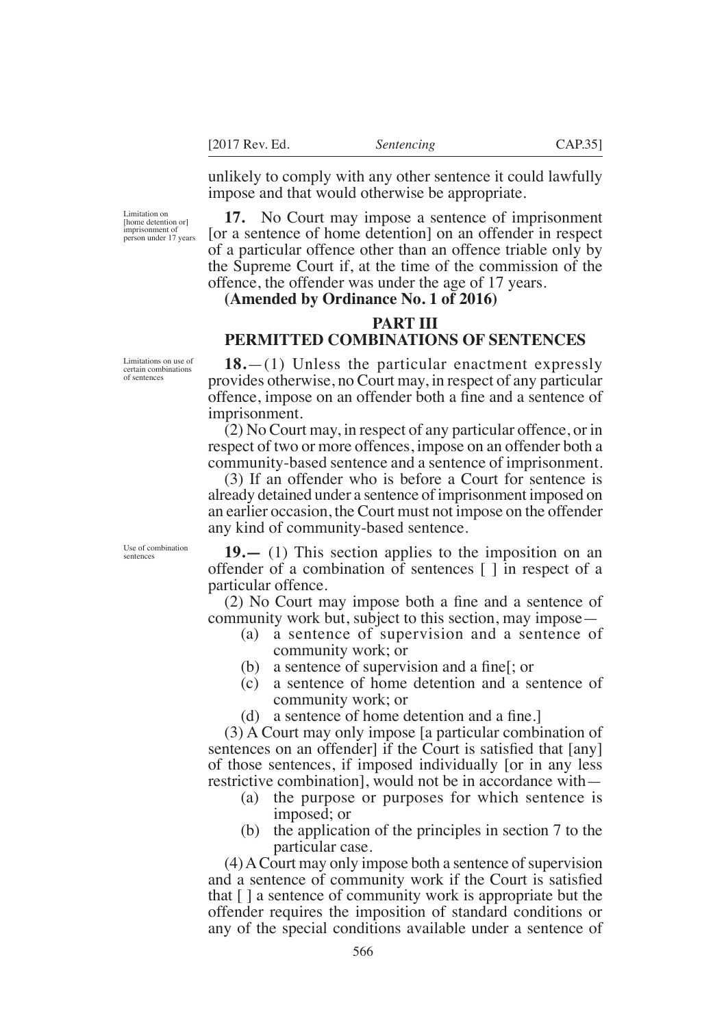unlikely to comply with any other sentence it could lawfully impose and that would otherwise be appropriate.

**17.** No Court may impose a sentence of imprisonment [or a sentence of home detention] on an offender in respect of a particular offence other than an offence triable only by the Supreme Court if, at the time of the commission of the offence, the offender was under the age of 17 years.

### **(Amended by Ordinance No. 1 of 2016)**

### **PART III PERMITTED COMBINATIONS OF SENTENCES**

**18.**—(1) Unless the particular enactment expressly provides otherwise, no Court may, in respect of any particular offence, impose on an offender both a fine and a sentence of imprisonment.

(2) No Court may, in respect of any particular offence, or in respect of two or more offences, impose on an offender both a community-based sentence and a sentence of imprisonment.

(3) If an offender who is before a Court for sentence is already detained under a sentence of imprisonment imposed on an earlier occasion, the Court must not impose on the offender any kind of community-based sentence.

**19.—** (1) This section applies to the imposition on an offender of a combination of sentences [ ] in respect of a particular offence.

 $(2)$  No Court may impose both a fine and a sentence of community work but, subject to this section, may impose—

- (a) a sentence of supervision and a sentence of community work; or
- (b) a sentence of supervision and a fine  $\vert$ ; or
- (c) a sentence of home detention and a sentence of community work; or
- (d) a sentence of home detention and a fine.

(3) A Court may only impose [a particular combination of sentences on an offender if the Court is satisfied that  $\lceil \text{any} \rceil$ of those sentences, if imposed individually [or in any less restrictive combination], would not be in accordance with—

- (a) the purpose or purposes for which sentence is imposed; or
- (b) the application of the principles in section 7 to the particular case.

(4) A Court may only impose both a sentence of supervision and a sentence of community work if the Court is satisfied that [ ] a sentence of community work is appropriate but the offender requires the imposition of standard conditions or any of the special conditions available under a sentence of

Limitations on use of certain combination of sentences

Limitation on [home detention or] imprisonment of person under 17 years

Use of combination sentences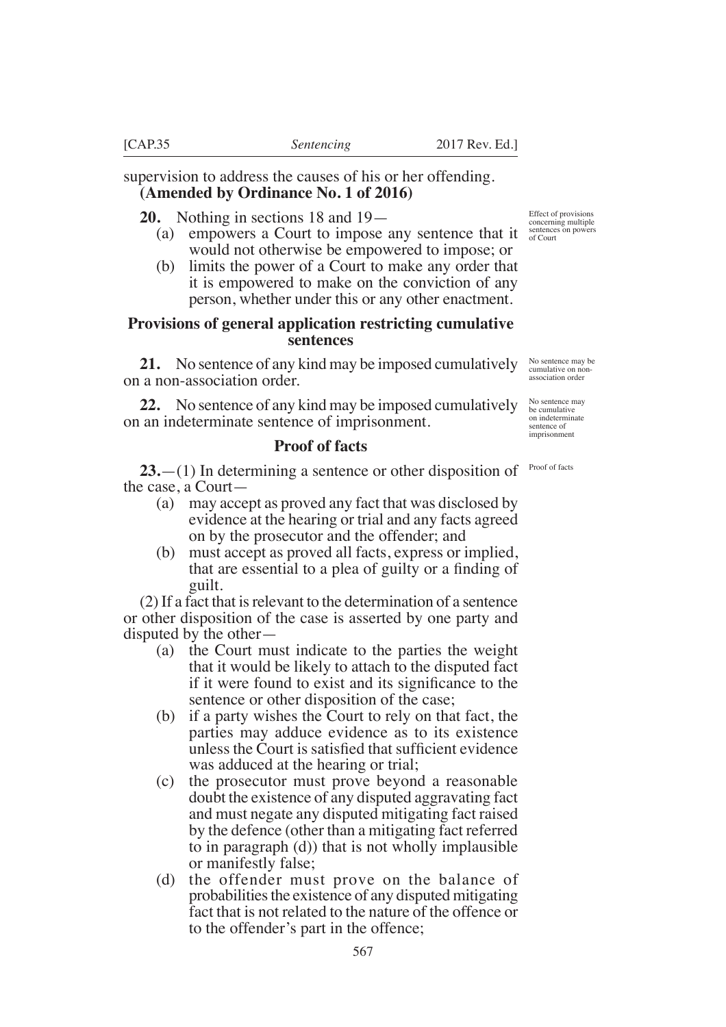supervision to address the causes of his or her offending. **(Amended by Ordinance No. 1 of 2016)**

**20.** Nothing in sections 18 and 19—

- (a) empowers a Court to impose any sentence that it  $\frac{\text{sentences on powers}}{\text{of Court}}$ would not otherwise be empowered to impose; or
- (b) limits the power of a Court to make any order that it is empowered to make on the conviction of any person, whether under this or any other enactment.

### **Provisions of general application restricting cumulative sentences**

**21.** No sentence of any kind may be imposed cumulatively on a non-association order.

**22.** No sentence of any kind may be imposed cumulatively on an indeterminate sentence of imprisonment.

# **Proof of facts**

**23.**—(1) In determining a sentence or other disposition of the case, a Court—

- (a) may accept as proved any fact that was disclosed by evidence at the hearing or trial and any facts agreed on by the prosecutor and the offender; and
- (b) must accept as proved all facts, express or implied, that are essential to a plea of guilty or a finding of guilt.

(2) If a fact that is relevant to the determination of a sentence or other disposition of the case is asserted by one party and disputed by the other—

- (a) the Court must indicate to the parties the weight that it would be likely to attach to the disputed fact if it were found to exist and its significance to the sentence or other disposition of the case;
- (b) if a party wishes the Court to rely on that fact, the parties may adduce evidence as to its existence unless the Court is satisfied that sufficient evidence was adduced at the hearing or trial;
- (c) the prosecutor must prove beyond a reasonable doubt the existence of any disputed aggravating fact and must negate any disputed mitigating fact raised by the defence (other than a mitigating fact referred to in paragraph (d)) that is not wholly implausible or manifestly false;
- (d) the offender must prove on the balance of probabilities the existence of any disputed mitigating fact that is not related to the nature of the offence or to the offender's part in the offence;

Effect of provisions concerning multiple

No sentence may be cumulative on nonassociation order

No sentence may be cumulative on indeterminate sentence of imprisonment

Proof of facts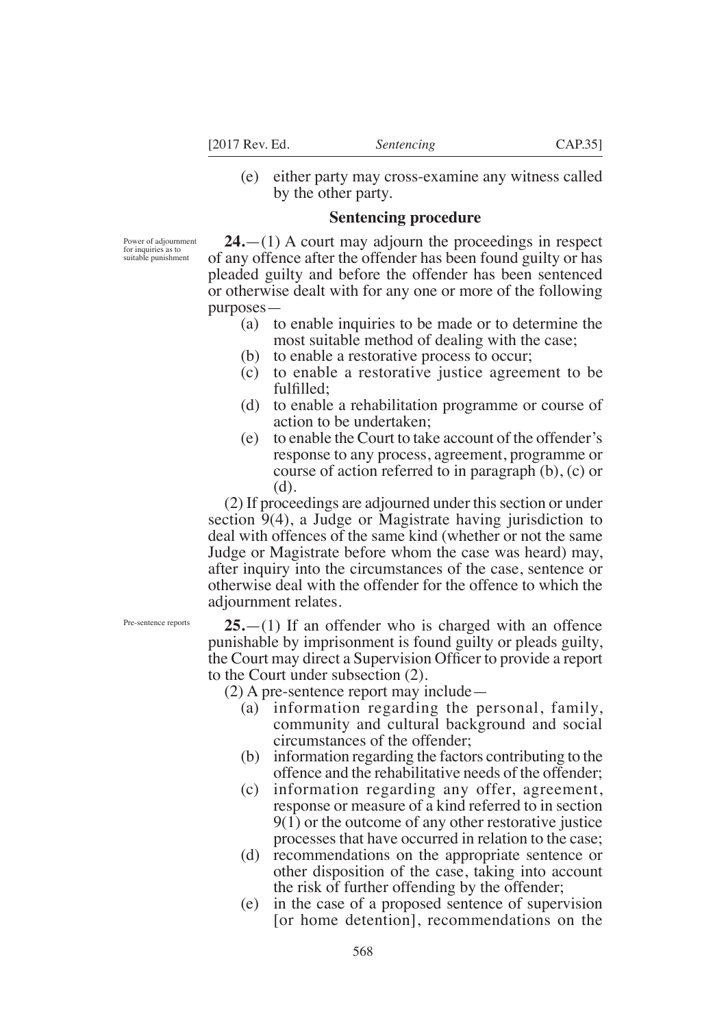- 
- (e) either party may cross-examine any witness called by the other party.

## **Sentencing procedure**

Power of adjournment for inquiries as to suitable punishment

**24.**—(1) A court may adjourn the proceedings in respect of any offence after the offender has been found guilty or has pleaded guilty and before the offender has been sentenced or otherwise dealt with for any one or more of the following purposes—

- (a) to enable inquiries to be made or to determine the most suitable method of dealing with the case;
- (b) to enable a restorative process to occur;
- (c) to enable a restorative justice agreement to be fulfilled:
- (d) to enable a rehabilitation programme or course of action to be undertaken;
- (e) to enable the Court to take account of the offender's response to any process, agreement, programme or course of action referred to in paragraph (b), (c) or (d).

(2) If proceedings are adjourned under this section or under section 9(4), a Judge or Magistrate having jurisdiction to deal with offences of the same kind (whether or not the same Judge or Magistrate before whom the case was heard) may, after inquiry into the circumstances of the case, sentence or otherwise deal with the offender for the offence to which the adjournment relates.

Pre-sentence reports

**25.**—(1) If an offender who is charged with an offence punishable by imprisonment is found guilty or pleads guilty, the Court may direct a Supervision Officer to provide a report to the Court under subsection (2).

(2) A pre-sentence report may include—

- (a) information regarding the personal, family, community and cultural background and social circumstances of the offender;
- (b) information regarding the factors contributing to the offence and the rehabilitative needs of the offender;
- (c) information regarding any offer, agreement, response or measure of a kind referred to in section 9(1) or the outcome of any other restorative justice processes that have occurred in relation to the case;
- (d) recommendations on the appropriate sentence or other disposition of the case, taking into account the risk of further offending by the offender;
- (e) in the case of a proposed sentence of supervision [or home detention], recommendations on the

568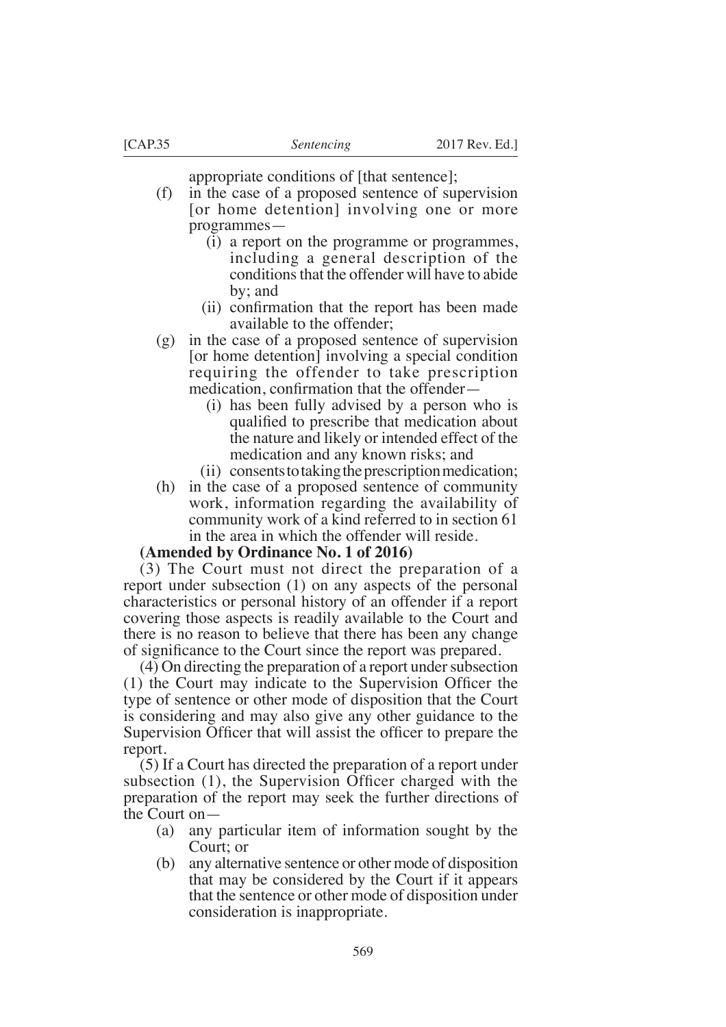appropriate conditions of [that sentence];

- (f) in the case of a proposed sentence of supervision [or home detention] involving one or more programmes—
	- (i) a report on the programme or programmes, including a general description of the conditions that the offender will have to abide by; and
	- (ii) confirmation that the report has been made available to the offender;
- (g) in the case of a proposed sentence of supervision [or home detention] involving a special condition requiring the offender to take prescription medication, confirmation that the offender–
	- (i) has been fully advised by a person who is qualified to prescribe that medication about the nature and likely or intended effect of the medication and any known risks; and
	- (ii) consents to taking the prescription medication;
- (h) in the case of a proposed sentence of community work, information regarding the availability of community work of a kind referred to in section 61 in the area in which the offender will reside.

## **(Amended by Ordinance No. 1 of 2016)**

(3) The Court must not direct the preparation of a report under subsection (1) on any aspects of the personal characteristics or personal history of an offender if a report covering those aspects is readily available to the Court and there is no reason to believe that there has been any change of significance to the Court since the report was prepared.

(4) On directing the preparation of a report under subsection  $(1)$  the Court may indicate to the Supervision Officer the type of sentence or other mode of disposition that the Court is considering and may also give any other guidance to the Supervision Officer that will assist the officer to prepare the report.

(5) If a Court has directed the preparation of a report under subsection  $(1)$ , the Supervision Officer charged with the preparation of the report may seek the further directions of the Court on—

- (a) any particular item of information sought by the Court; or
- (b) any alternative sentence or other mode of disposition that may be considered by the Court if it appears that the sentence or other mode of disposition under consideration is inappropriate.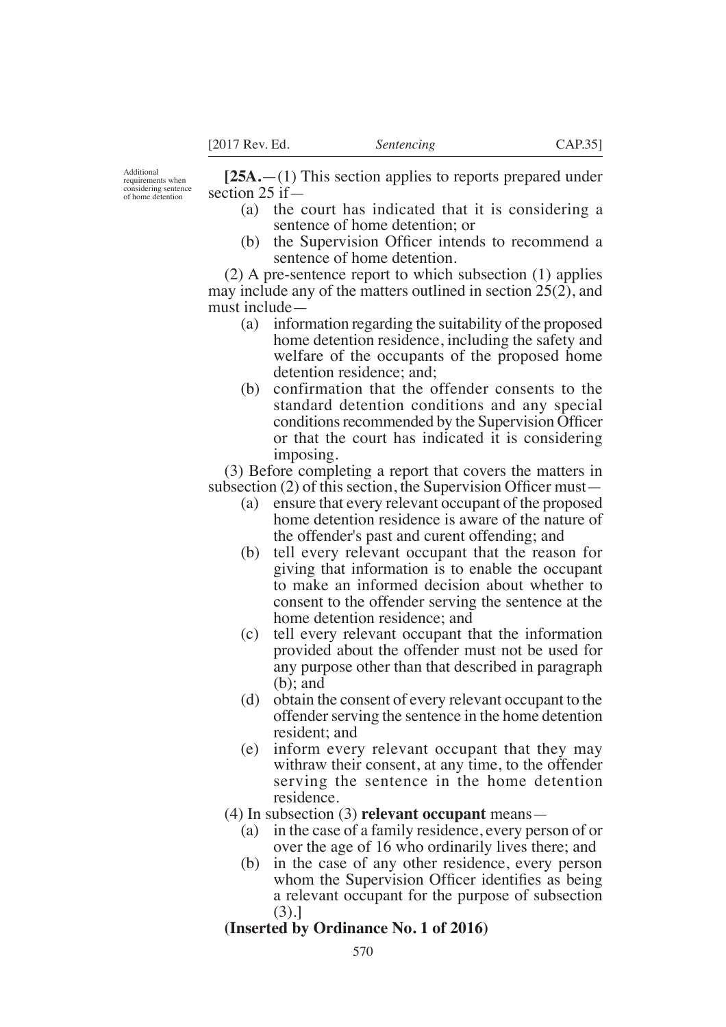**[25A.**—(1) This section applies to reports prepared under section 25 if—

- (a) the court has indicated that it is considering a sentence of home detention; or
- (b) the Supervision Officer intends to recommend a sentence of home detention.

(2) A pre-sentence report to which subsection (1) applies may include any of the matters outlined in section 25(2), and must include—

- (a) information regarding the suitability of the proposed home detention residence, including the safety and welfare of the occupants of the proposed home detention residence; and;
- (b) confirmation that the offender consents to the standard detention conditions and any special conditions recommended by the Supervision Officer or that the court has indicated it is considering imposing.

(3) Before completing a report that covers the matters in subsection (2) of this section, the Supervision Officer must—

- (a) ensure that every relevant occupant of the proposed home detention residence is aware of the nature of the offender's past and curent offending; and
- (b) tell every relevant occupant that the reason for giving that information is to enable the occupant to make an informed decision about whether to consent to the offender serving the sentence at the home detention residence; and
- (c) tell every relevant occupant that the information provided about the offender must not be used for any purpose other than that described in paragraph (b); and
- (d) obtain the consent of every relevant occupant to the offender serving the sentence in the home detention resident; and
- (e) inform every relevant occupant that they may withraw their consent, at any time, to the offender serving the sentence in the home detention residence.
- (4) In subsection (3) **relevant occupant** means—
	- (a) in the case of a family residence, every person of or over the age of 16 who ordinarily lives there; and
	- (b) in the case of any other residence, every person whom the Supervision Officer identifies as being a relevant occupant for the purpose of subsection (3).]

# **(Inserted by Ordinance No. 1 of 2016)**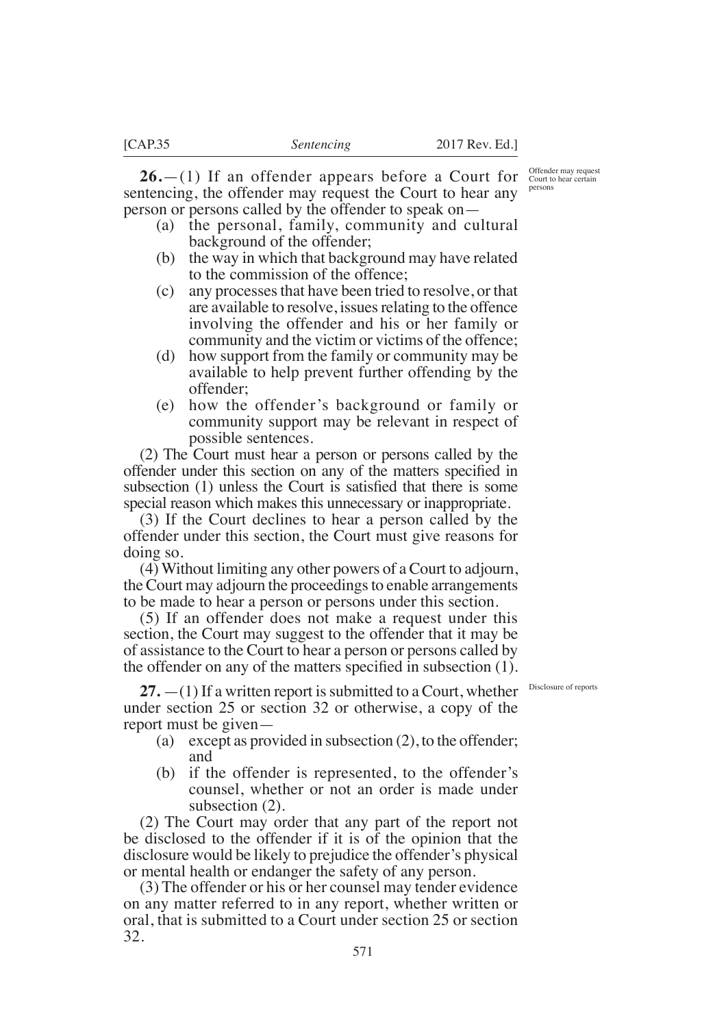**26.**—(1) If an offender appears before a Court for sentencing, the offender may request the Court to hear any person or persons called by the offender to speak on—

- (a) the personal, family, community and cultural background of the offender;
- (b) the way in which that background may have related to the commission of the offence;
- (c) any processes that have been tried to resolve, or that are available to resolve, issues relating to the offence involving the offender and his or her family or community and the victim or victims of the offence;
- (d) how support from the family or community may be available to help prevent further offending by the offender;
- (e) how the offender's background or family or community support may be relevant in respect of possible sentences.

(2) The Court must hear a person or persons called by the offender under this section on any of the matters specified in subsection (1) unless the Court is satisfied that there is some special reason which makes this unnecessary or inappropriate.

(3) If the Court declines to hear a person called by the offender under this section, the Court must give reasons for doing so.

(4) Without limiting any other powers of a Court to adjourn, the Court may adjourn the proceedings to enable arrangements to be made to hear a person or persons under this section.

(5) If an offender does not make a request under this section, the Court may suggest to the offender that it may be of assistance to the Court to hear a person or persons called by the offender on any of the matters specified in subsection  $(1)$ .

27.  $-(1)$  If a written report is submitted to a Court, whether **Disclosure of reports** under section 25 or section 32 or otherwise, a copy of the report must be given—

- (a) except as provided in subsection (2), to the offender; and
- (b) if the offender is represented, to the offender's counsel, whether or not an order is made under subsection (2).

(2) The Court may order that any part of the report not be disclosed to the offender if it is of the opinion that the disclosure would be likely to prejudice the offender's physical or mental health or endanger the safety of any person.

(3) The offender or his or her counsel may tender evidence on any matter referred to in any report, whether written or oral, that is submitted to a Court under section 25 or section 32.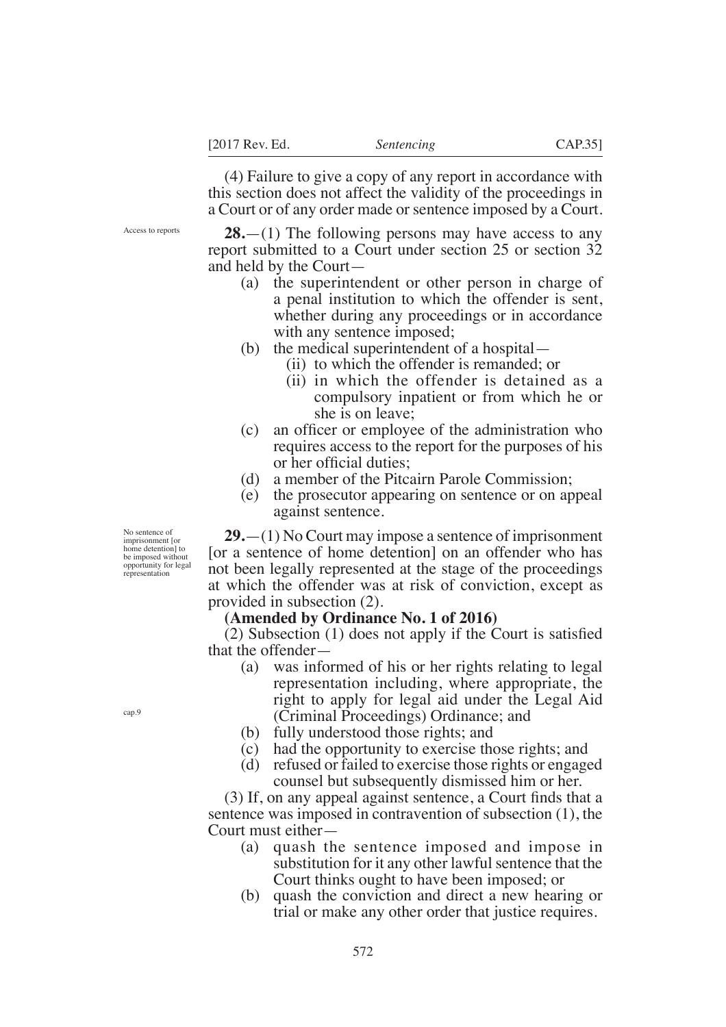(4) Failure to give a copy of any report in accordance with this section does not affect the validity of the proceedings in a Court or of any order made or sentence imposed by a Court.

Access to reports

**28.**—(1) The following persons may have access to any report submitted to a Court under section 25 or section 32 and held by the Court—

- (a) the superintendent or other person in charge of a penal institution to which the offender is sent, whether during any proceedings or in accordance with any sentence imposed;
- (b) the medical superintendent of a hospital—
	- (ii) to which the offender is remanded; or
	- (ii) in which the offender is detained as a compulsory inpatient or from which he or she is on leave;
- $(c)$  an officer or employee of the administration who requires access to the report for the purposes of his or her official duties:
- (d) a member of the Pitcairn Parole Commission;
- (e) the prosecutor appearing on sentence or on appeal against sentence.

**29.**—(1) No Court may impose a sentence of imprisonment [or a sentence of home detention] on an offender who has not been legally represented at the stage of the proceedings at which the offender was at risk of conviction, except as provided in subsection (2).

### **(Amended by Ordinance No. 1 of 2016)**

 $(2)$  Subsection  $(1)$  does not apply if the Court is satisfied that the offender—

- (a) was informed of his or her rights relating to legal representation including, where appropriate, the right to apply for legal aid under the Legal Aid (Criminal Proceedings) Ordinance; and
- (b) fully understood those rights; and
- (c) had the opportunity to exercise those rights; and
- (d) refused or failed to exercise those rights or engaged counsel but subsequently dismissed him or her.

 $(3)$  If, on any appeal against sentence, a Court finds that a sentence was imposed in contravention of subsection (1), the Court must either—

- (a) quash the sentence imposed and impose in substitution for it any other lawful sentence that the Court thinks ought to have been imposed; or
- (b) quash the conviction and direct a new hearing or trial or make any other order that justice requires.

No sentence of imprisonment [or home detention] to be imposed without opportunity for legal representation

cap.9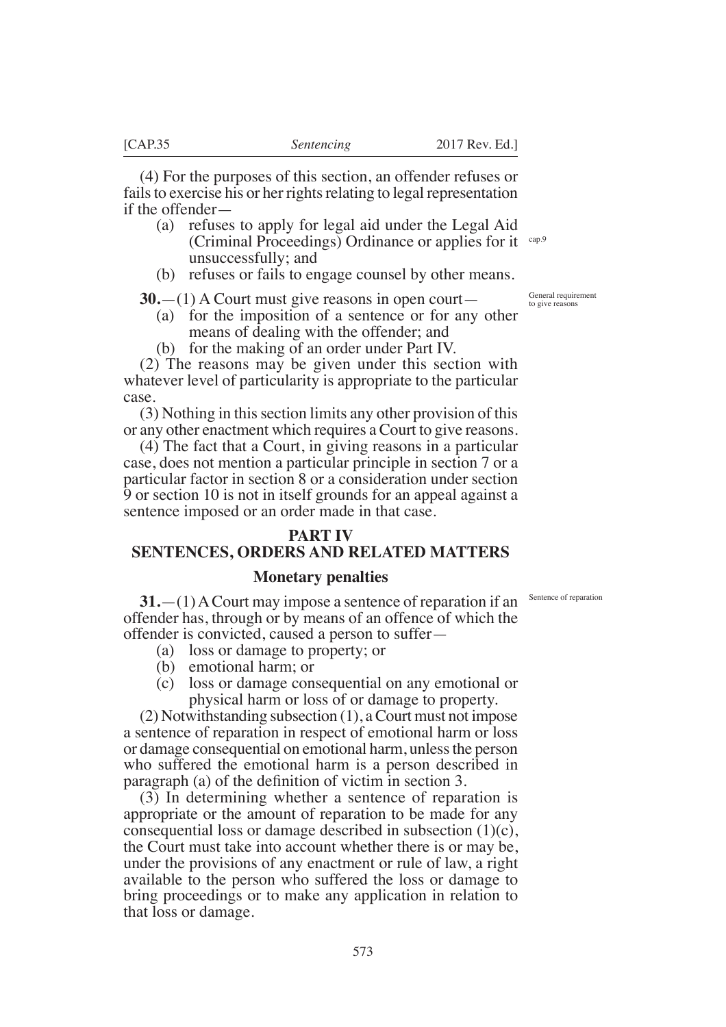(4) For the purposes of this section, an offender refuses or fails to exercise his or her rights relating to legal representation if the offender—

- (a) refuses to apply for legal aid under the Legal Aid (Criminal Proceedings) Ordinance or applies for it unsuccessfully; and cap.9
- (b) refuses or fails to engage counsel by other means.

**30.**—(1) A Court must give reasons in open court—

- (a) for the imposition of a sentence or for any other means of dealing with the offender; and
- (b) for the making of an order under Part IV.

(2) The reasons may be given under this section with whatever level of particularity is appropriate to the particular case.

(3) Nothing in this section limits any other provision of this or any other enactment which requires a Court to give reasons.

(4) The fact that a Court, in giving reasons in a particular case, does not mention a particular principle in section 7 or a particular factor in section 8 or a consideration under section 9 or section 10 is not in itself grounds for an appeal against a sentence imposed or an order made in that case.

### **PART IV**

# **SENTENCES, ORDERS AND RELATED MATTERS**

### **Monetary penalties**

**31.**—(1) A Court may impose a sentence of reparation if an offender has, through or by means of an offence of which the offender is convicted, caused a person to suffer—

- (a) loss or damage to property; or
- (b) emotional harm; or
- (c) loss or damage consequential on any emotional or physical harm or loss of or damage to property.

(2) Notwithstanding subsection (1), a Court must not impose a sentence of reparation in respect of emotional harm or loss or damage consequential on emotional harm, unless the person who suffered the emotional harm is a person described in paragraph (a) of the definition of victim in section  $3$ .

(3) In determining whether a sentence of reparation is appropriate or the amount of reparation to be made for any consequential loss or damage described in subsection (1)(c), the Court must take into account whether there is or may be, under the provisions of any enactment or rule of law, a right available to the person who suffered the loss or damage to bring proceedings or to make any application in relation to that loss or damage.

Sentence of reparation

General requirement to give reasons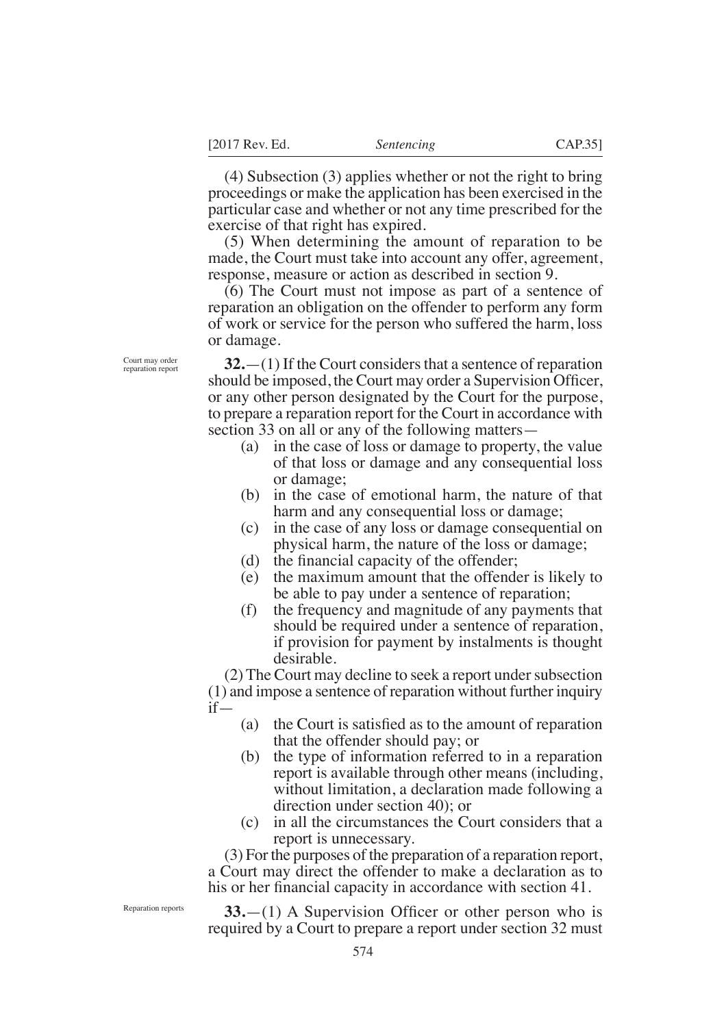(4) Subsection (3) applies whether or not the right to bring proceedings or make the application has been exercised in the particular case and whether or not any time prescribed for the exercise of that right has expired.

(5) When determining the amount of reparation to be made, the Court must take into account any offer, agreement, response, measure or action as described in section 9.

(6) The Court must not impose as part of a sentence of reparation an obligation on the offender to perform any form of work or service for the person who suffered the harm, loss or damage.

Court may order reparation report

**32.**—(1) If the Court considers that a sentence of reparation should be imposed, the Court may order a Supervision Officer, or any other person designated by the Court for the purpose, to prepare a reparation report for the Court in accordance with section 33 on all or any of the following matters—

- (a) in the case of loss or damage to property, the value of that loss or damage and any consequential loss or damage;
- (b) in the case of emotional harm, the nature of that harm and any consequential loss or damage;
- (c) in the case of any loss or damage consequential on physical harm, the nature of the loss or damage;
- (d) the financial capacity of the offender;
- (e) the maximum amount that the offender is likely to be able to pay under a sentence of reparation;
- (f) the frequency and magnitude of any payments that should be required under a sentence of reparation, if provision for payment by instalments is thought desirable.

(2) The Court may decline to seek a report under subsection (1) and impose a sentence of reparation without further inquiry if—

- (a) the Court is satisfied as to the amount of reparation that the offender should pay; or
- (b) the type of information referred to in a reparation report is available through other means (including, without limitation, a declaration made following a direction under section 40); or
- (c) in all the circumstances the Court considers that a report is unnecessary.

(3) For the purposes of the preparation of a reparation report, a Court may direct the offender to make a declaration as to his or her financial capacity in accordance with section 41.

Reparation reports

**33.**—(1) A Supervision Officer or other person who is required by a Court to prepare a report under section 32 must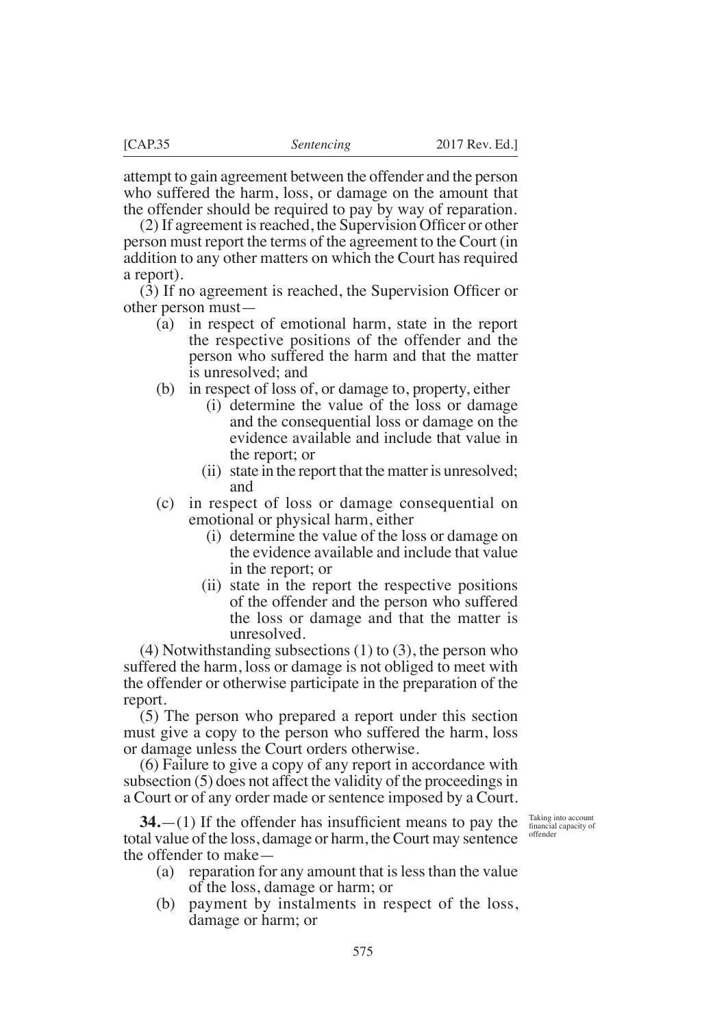attempt to gain agreement between the offender and the person who suffered the harm, loss, or damage on the amount that the offender should be required to pay by way of reparation.

 $(2)$  If agreement is reached, the Supervision Officer or other person must report the terms of the agreement to the Court (in addition to any other matters on which the Court has required a report).

 $(3)$  If no agreement is reached, the Supervision Officer or other person must—

- (a) in respect of emotional harm, state in the report the respective positions of the offender and the person who suffered the harm and that the matter is unresolved; and
- (b) in respect of loss of, or damage to, property, either
	- (i) determine the value of the loss or damage and the consequential loss or damage on the evidence available and include that value in the report; or
	- (ii) state in the report that the matter is unresolved; and
- (c) in respect of loss or damage consequential on emotional or physical harm, either
	- (i) determine the value of the loss or damage on the evidence available and include that value in the report; or
	- (ii) state in the report the respective positions of the offender and the person who suffered the loss or damage and that the matter is unresolved.

(4) Notwithstanding subsections (1) to (3), the person who suffered the harm, loss or damage is not obliged to meet with the offender or otherwise participate in the preparation of the report.

(5) The person who prepared a report under this section must give a copy to the person who suffered the harm, loss or damage unless the Court orders otherwise.

(6) Failure to give a copy of any report in accordance with subsection (5) does not affect the validity of the proceedings in a Court or of any order made or sentence imposed by a Court.

**34.** $-(1)$  If the offender has insufficient means to pay the total value of the loss, damage or harm, the Court may sentence the offender to make—

- (a) reparation for any amount that is less than the value of the loss, damage or harm; or
- (b) payment by instalments in respect of the loss, damage or harm; or

Taking into account financial capacity of offender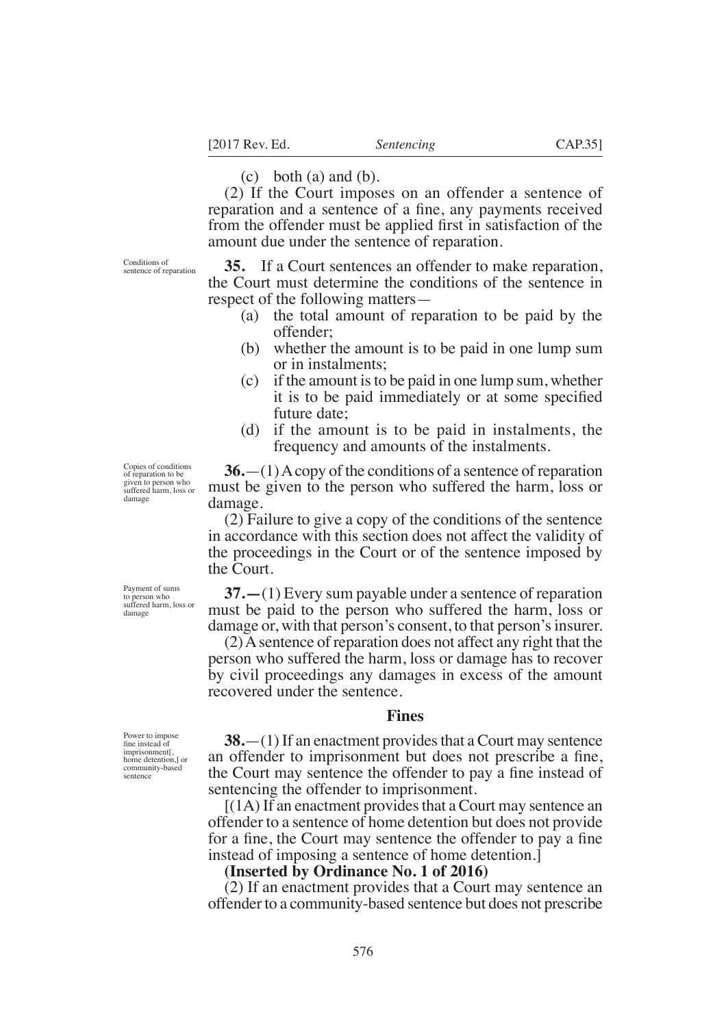$(c)$  both  $(a)$  and  $(b)$ .

(2) If the Court imposes on an offender a sentence of reparation and a sentence of a fine, any payments received from the offender must be applied first in satisfaction of the amount due under the sentence of reparation.

Conditions of sentence of reparation

**35.** If a Court sentences an offender to make reparation, the Court must determine the conditions of the sentence in respect of the following matters—

- (a) the total amount of reparation to be paid by the offender;
- (b) whether the amount is to be paid in one lump sum or in instalments;
- (c) if the amount is to be paid in one lump sum, whether it is to be paid immediately or at some specified future date;
- (d) if the amount is to be paid in instalments, the frequency and amounts of the instalments.

**36.**—(1) A copy of the conditions of a sentence of reparation must be given to the person who suffered the harm, loss or damage.

(2) Failure to give a copy of the conditions of the sentence in accordance with this section does not affect the validity of the proceedings in the Court or of the sentence imposed by the Court.

**37.—**(1) Every sum payable under a sentence of reparation must be paid to the person who suffered the harm, loss or damage or, with that person's consent, to that person's insurer.

(2) A sentence of reparation does not affect any right that the person who suffered the harm, loss or damage has to recover by civil proceedings any damages in excess of the amount recovered under the sentence.

### **Fines**

**38.**—(1) If an enactment provides that a Court may sentence an offender to imprisonment but does not prescribe a fine, the Court may sentence the offender to pay a fine instead of sentencing the offender to imprisonment.

 $[(1A)$  If an enactment provides that a Court may sentence an offender to a sentence of home detention but does not provide for a fine, the Court may sentence the offender to pay a fine instead of imposing a sentence of home detention.]

### **(Inserted by Ordinance No. 1 of 2016)**

(2) If an enactment provides that a Court may sentence an offender to a community-based sentence but does not prescribe

Copies of conditions of reparation to be given to person who suffered harm, loss or damage

Payment of sums to person who suffered harm, loss or

damage

Power to impose fne instead of imprisonment[, home detention,] or community-based sentence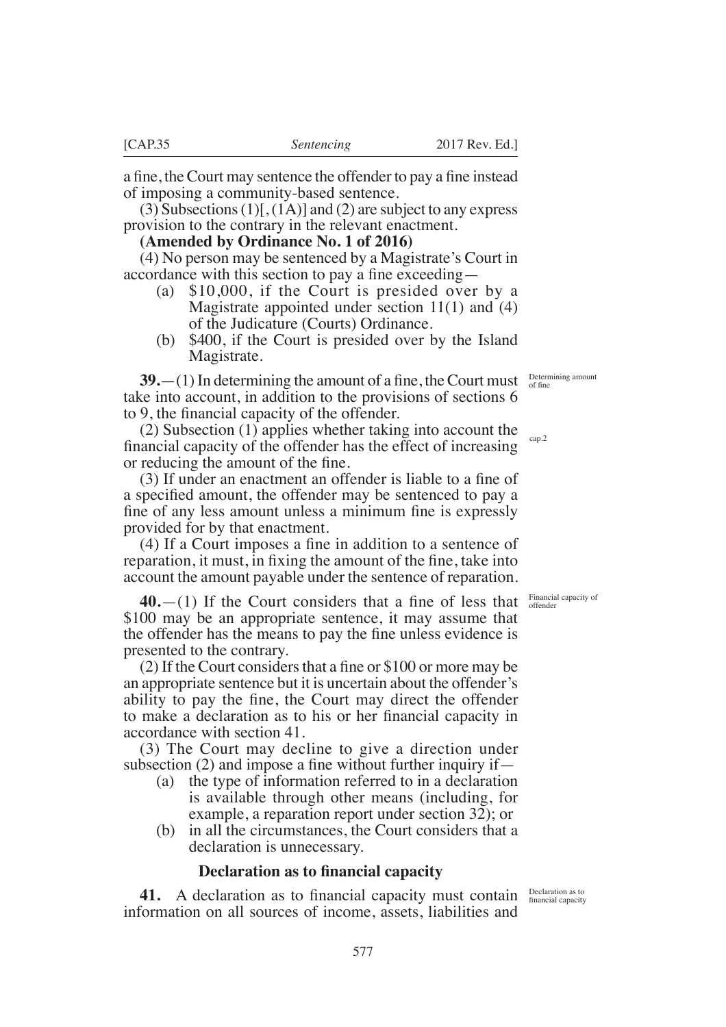Determining amount

of fne

**39.**—(1) In determining the amount of a fine, the Court must take into account, in addition to the provisions of sections 6 to  $9$ , the financial capacity of the offender.

(2) Subsection (1) applies whether taking into account the financial capacity of the offender has the effect of increasing or reducing the amount of the fine. cap.2

 $(3)$  If under an enactment an offender is liable to a fine of a specified amount, the offender may be sentenced to pay a fine of any less amount unless a minimum fine is expressly provided for by that enactment.

 $(4)$  If a Court imposes a fine in addition to a sentence of reparation, it must, in fixing the amount of the fine, take into account the amount payable under the sentence of reparation.

 $40$ , $-$ (1) If the Court considers that a fine of less that \$100 may be an appropriate sentence, it may assume that the offender has the means to pay the fine unless evidence is presented to the contrary.

(2) If the Court considers that a fine or  $$100$  or more may be an appropriate sentence but it is uncertain about the offender's ability to pay the fine, the Court may direct the offender to make a declaration as to his or her financial capacity in accordance with section 41.

(3) The Court may decline to give a direction under subsection (2) and impose a fine without further inquiry if  $-$ 

- (a) the type of information referred to in a declaration is available through other means (including, for example, a reparation report under section 32); or
- (b) in all the circumstances, the Court considers that a declaration is unnecessary.

577

### **Declaration as to fnancial capacity**

**41.** A declaration as to financial capacity must contain **Declaration as to** financial capacity information on all sources of income, assets, liabilities and

Financial capacity of offender

a fine, the Court may sentence the offender to pay a fine instead of imposing a community-based sentence.

 $(3)$  Subsections  $(1)$ [,  $(1)$ ] and  $(2)$  are subject to any express provision to the contrary in the relevant enactment.

**(Amended by Ordinance No. 1 of 2016)**

(4) No person may be sentenced by a Magistrate's Court in accordance with this section to pay a fine exceeding  $-$ 

- (a) \$10,000, if the Court is presided over by a Magistrate appointed under section 11(1) and (4) of the Judicature (Courts) Ordinance.
- (b) \$400, if the Court is presided over by the Island Magistrate.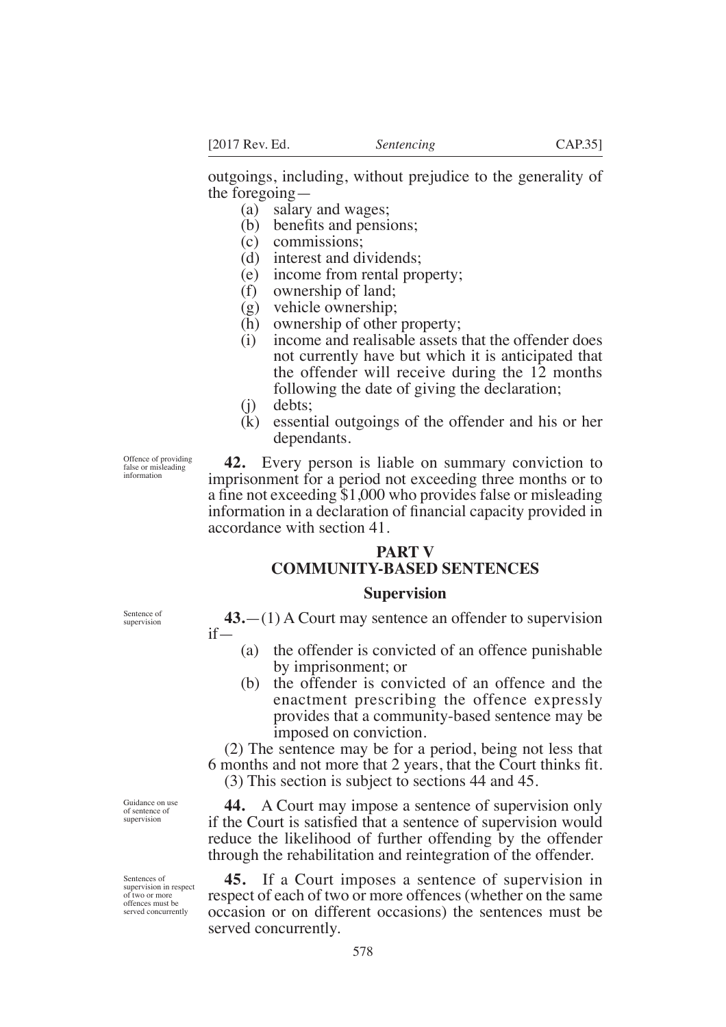outgoings, including, without prejudice to the generality of the foregoing—

(a) salary and wages;

- $(b)$  benefits and pensions;
- (c) commissions;
- (d) interest and dividends;
- (e) income from rental property;
- (f) ownership of land;
- (g) vehicle ownership;
- (h) ownership of other property;
- (i) income and realisable assets that the offender does not currently have but which it is anticipated that the offender will receive during the 12 months following the date of giving the declaration;
- (j) debts;
- (k) essential outgoings of the offender and his or her dependants.

Offence of providing false or misleading information

**42.** Every person is liable on summary conviction to imprisonment for a period not exceeding three months or to a fine not exceeding  $$1,000$  who provides false or misleading information in a declaration of financial capacity provided in accordance with section 41.

# **PART V COMMUNITY-BASED SENTENCES**

### **Supervision**

**43.**—(1) A Court may sentence an offender to supervision if—

- (a) the offender is convicted of an offence punishable by imprisonment; or
- (b) the offender is convicted of an offence and the enactment prescribing the offence expressly provides that a community-based sentence may be imposed on conviction.

(2) The sentence may be for a period, being not less that 6 months and not more that 2 years, that the Court thinks fit. (3) This section is subject to sections 44 and 45.

**44.** A Court may impose a sentence of supervision only if the Court is satisfied that a sentence of supervision would reduce the likelihood of further offending by the offender through the rehabilitation and reintegration of the offender.

**45.** If a Court imposes a sentence of supervision in respect of each of two or more offences (whether on the same occasion or on different occasions) the sentences must be served concurrently.

Sentence of supervision

Guidance on use of sentence of supervision

Sentences of supervision in respect of two or more offences must be served concurrently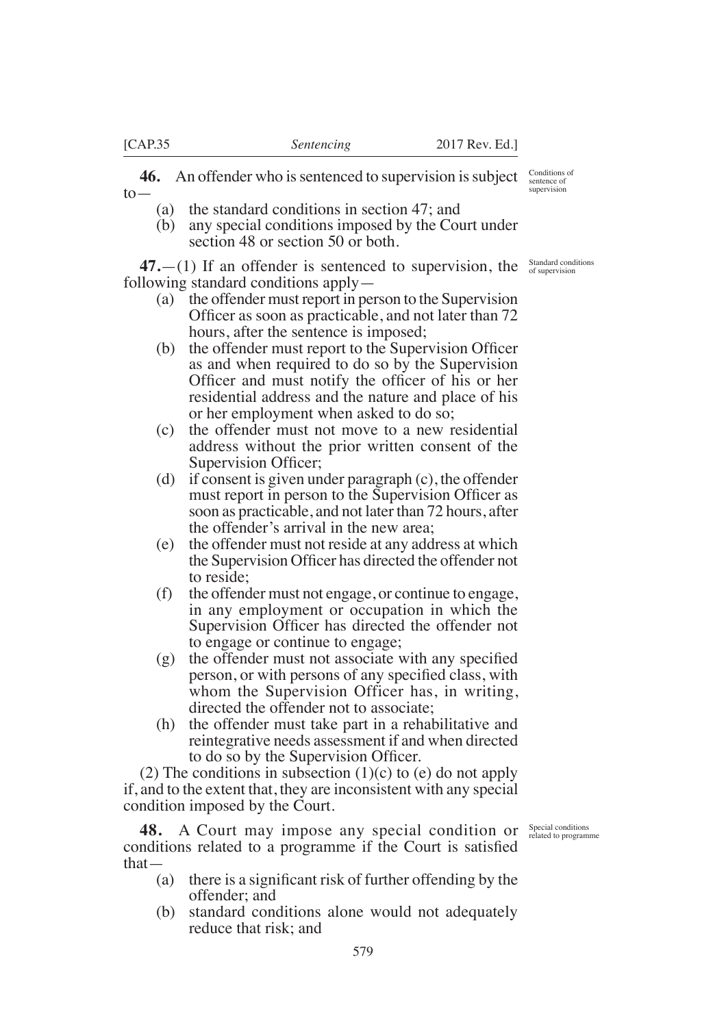**46.** An offender who is sentenced to supervision is subject to—

- (a) the standard conditions in section 47; and
- (b) any special conditions imposed by the Court under section 48 or section 50 or both.

 $47$ .  $-$ (1) If an offender is sentenced to supervision, the  $\frac{\text{Standard conditions}}{\text{of supervision}}$ following standard conditions apply—

- (a) the offender must report in person to the Supervision Officer as soon as practicable, and not later than 72 hours, after the sentence is imposed;
- $(b)$  the offender must report to the Supervision Officer as and when required to do so by the Supervision Officer and must notify the officer of his or her residential address and the nature and place of his or her employment when asked to do so;
- (c) the offender must not move to a new residential address without the prior written consent of the Supervision Officer;
- (d) if consent is given under paragraph (c), the offender must report in person to the Supervision Officer as soon as practicable, and not later than 72 hours, after the offender's arrival in the new area;
- (e) the offender must not reside at any address at which the Supervision Officer has directed the offender not to reside;
- (f) the offender must not engage, or continue to engage, in any employment or occupation in which the Supervision Officer has directed the offender not to engage or continue to engage;
- $(g)$  the offender must not associate with any specified person, or with persons of any specified class, with whom the Supervision Officer has, in writing, directed the offender not to associate;
- (h) the offender must take part in a rehabilitative and reintegrative needs assessment if and when directed to do so by the Supervision Officer.

(2) The conditions in subsection  $(1)(c)$  to  $(e)$  do not apply if, and to the extent that, they are inconsistent with any special condition imposed by the Court.

**48.** A Court may impose any special condition or conditions related to a programme if the Court is satisfied that—

- Special conditions related to programme
- (a) there is a significant risk of further offending by the offender; and
- (b) standard conditions alone would not adequately reduce that risk; and

Conditions of sentence of supervision

579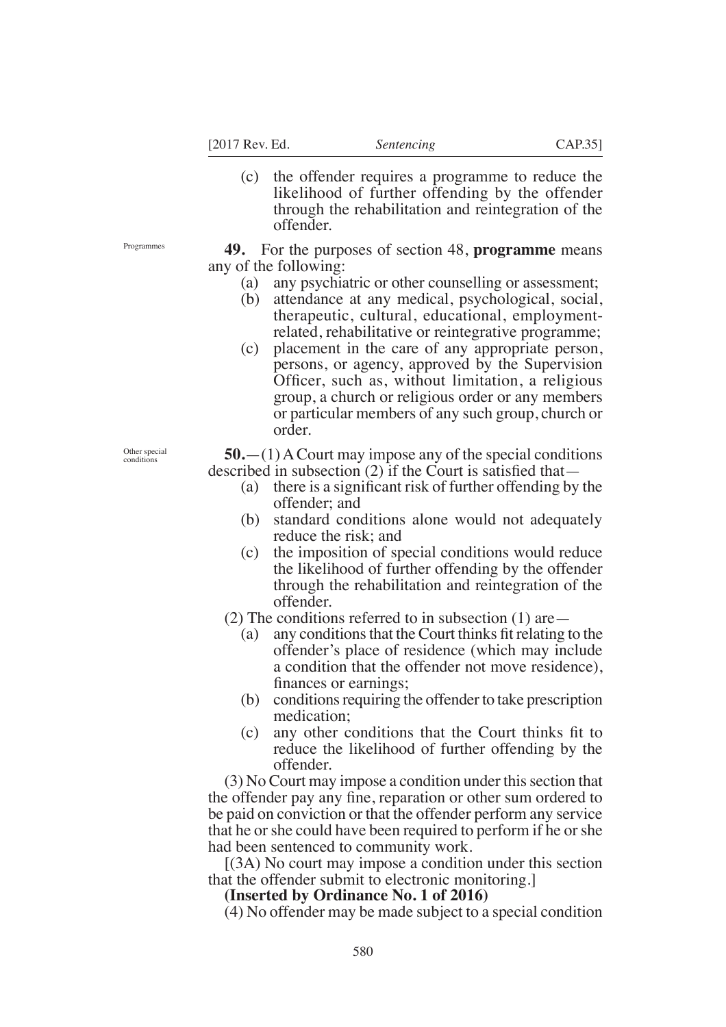(c) the offender requires a programme to reduce the likelihood of further offending by the offender through the rehabilitation and reintegration of the offender.

**49.** For the purposes of section 48, **programme** means any of the following:

- (a) any psychiatric or other counselling or assessment;
- (b) attendance at any medical, psychological, social, therapeutic, cultural, educational, employmentrelated, rehabilitative or reintegrative programme;
- (c) placement in the care of any appropriate person, persons, or agency, approved by the Supervision Officer, such as, without limitation, a religious group, a church or religious order or any members or particular members of any such group, church or order.

**50.**—(1) A Court may impose any of the special conditions described in subsection  $(2)$  if the Court is satisfied that—

- (a) there is a significant risk of further offending by the offender; and
- (b) standard conditions alone would not adequately reduce the risk; and
- (c) the imposition of special conditions would reduce the likelihood of further offending by the offender through the rehabilitation and reintegration of the offender.
- (2) The conditions referred to in subsection  $(1)$  are
	- (a) any conditions that the Court thinks fit relating to the offender's place of residence (which may include a condition that the offender not move residence), finances or earnings;
	- (b) conditions requiring the offender to take prescription medication;
	- $(c)$  any other conditions that the Court thinks fit to reduce the likelihood of further offending by the offender.

(3) No Court may impose a condition under this section that the offender pay any fine, reparation or other sum ordered to be paid on conviction or that the offender perform any service that he or she could have been required to perform if he or she had been sentenced to community work.

[(3A) No court may impose a condition under this section that the offender submit to electronic monitoring.]

## **(Inserted by Ordinance No. 1 of 2016)**

(4) No offender may be made subject to a special condition

Programmes

Other special conditions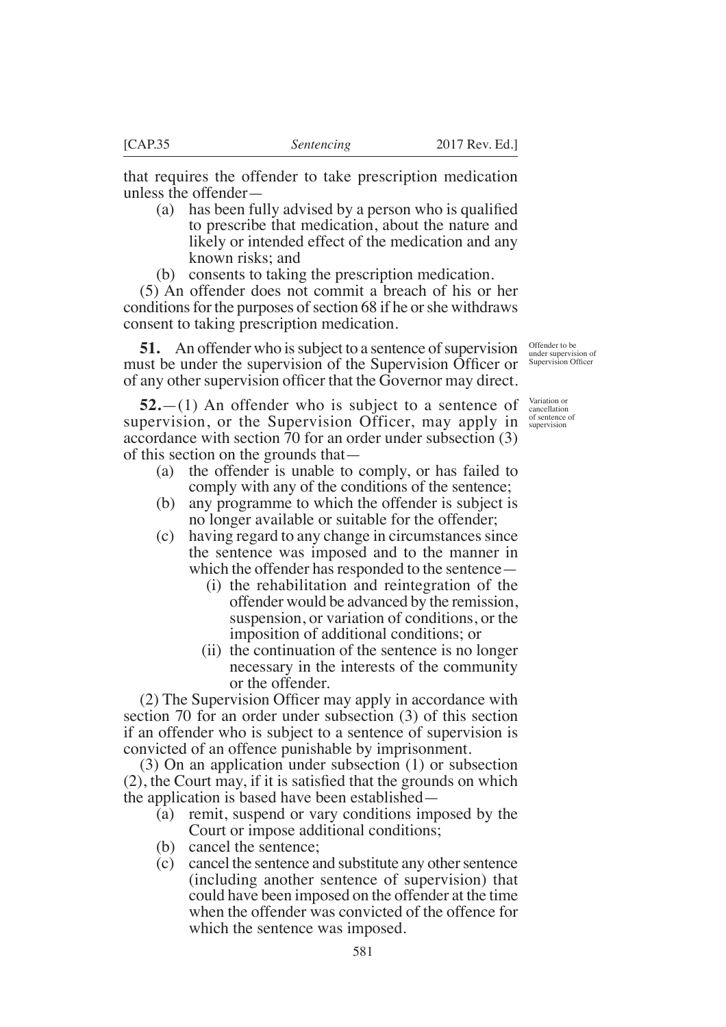that requires the offender to take prescription medication unless the offender—

- (a) has been fully advised by a person who is qualified to prescribe that medication, about the nature and likely or intended effect of the medication and any known risks; and
- (b) consents to taking the prescription medication.

(5) An offender does not commit a breach of his or her conditions for the purposes of section 68 if he or she withdraws consent to taking prescription medication.

**51.** An offender who is subject to a sentence of supervision must be under the supervision of the Supervision Officer or of any other supervision officer that the Governor may direct.

**52.**—(1) An offender who is subject to a sentence of supervision, or the Supervision Officer, may apply in *supervision* accordance with section 70 for an order under subsection (3) of this section on the grounds that—

- (a) the offender is unable to comply, or has failed to comply with any of the conditions of the sentence;
- (b) any programme to which the offender is subject is no longer available or suitable for the offender;
- (c) having regard to any change in circumstances since the sentence was imposed and to the manner in which the offender has responded to the sentence—
	- (i) the rehabilitation and reintegration of the offender would be advanced by the remission, suspension, or variation of conditions, or the imposition of additional conditions; or
	- (ii) the continuation of the sentence is no longer necessary in the interests of the community or the offender.

 $(2)$  The Supervision Officer may apply in accordance with section 70 for an order under subsection (3) of this section if an offender who is subject to a sentence of supervision is convicted of an offence punishable by imprisonment.

(3) On an application under subsection (1) or subsection  $(2)$ , the Court may, if it is satisfied that the grounds on which the application is based have been established—

- (a) remit, suspend or vary conditions imposed by the Court or impose additional conditions;
- (b) cancel the sentence;
- (c) cancel the sentence and substitute any other sentence (including another sentence of supervision) that could have been imposed on the offender at the time when the offender was convicted of the offence for which the sentence was imposed.

Offender to be under supervision of Supervision Offcer

Variation or cancellation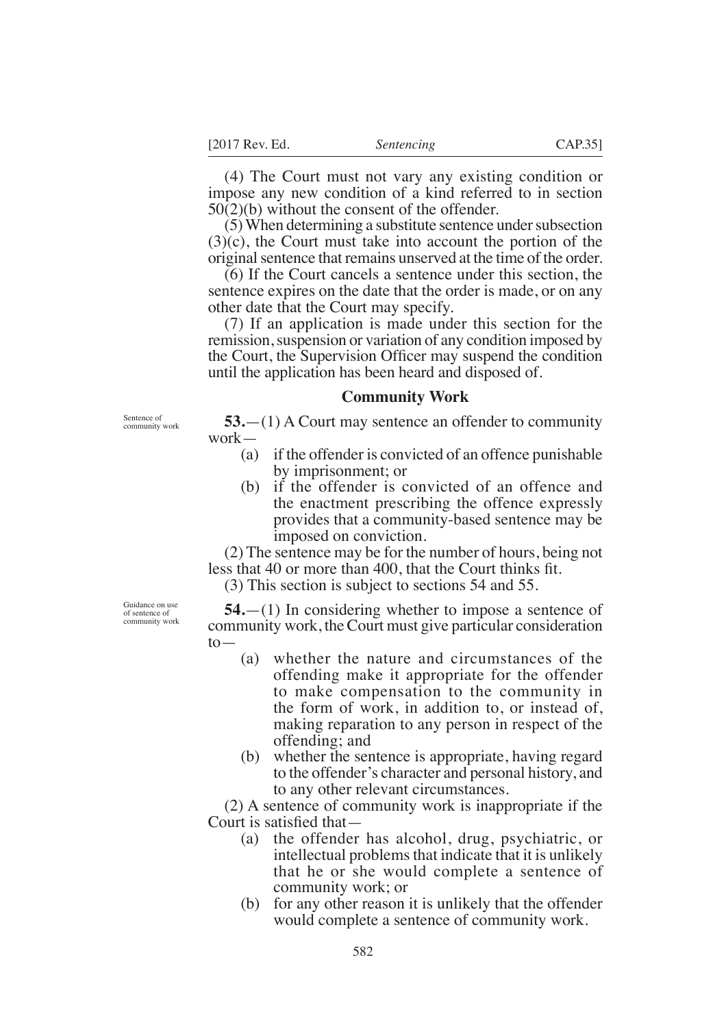(4) The Court must not vary any existing condition or impose any new condition of a kind referred to in section 50(2)(b) without the consent of the offender.

(5) When determining a substitute sentence under subsection (3)(c), the Court must take into account the portion of the original sentence that remains unserved at the time of the order.

(6) If the Court cancels a sentence under this section, the sentence expires on the date that the order is made, or on any other date that the Court may specify.

(7) If an application is made under this section for the remission, suspension or variation of any condition imposed by the Court, the Supervision Officer may suspend the condition until the application has been heard and disposed of.

### **Community Work**

Sentence of community work

**53.**—(1) A Court may sentence an offender to community work—

- (a) if the offender is convicted of an offence punishable by imprisonment; or
- (b) if the offender is convicted of an offence and the enactment prescribing the offence expressly provides that a community-based sentence may be imposed on conviction.

(2) The sentence may be for the number of hours, being not less that 40 or more than 400, that the Court thinks fit.

(3) This section is subject to sections 54 and 55.

**54.**—(1) In considering whether to impose a sentence of community work, the Court must give particular consideration to—

- (a) whether the nature and circumstances of the offending make it appropriate for the offender to make compensation to the community in the form of work, in addition to, or instead of, making reparation to any person in respect of the offending; and
- (b) whether the sentence is appropriate, having regard to the offender's character and personal history, and to any other relevant circumstances.

(2) A sentence of community work is inappropriate if the Court is satisfied that-

- (a) the offender has alcohol, drug, psychiatric, or intellectual problems that indicate that it is unlikely that he or she would complete a sentence of community work; or
- (b) for any other reason it is unlikely that the offender would complete a sentence of community work.

Guidance on use of sentence of community work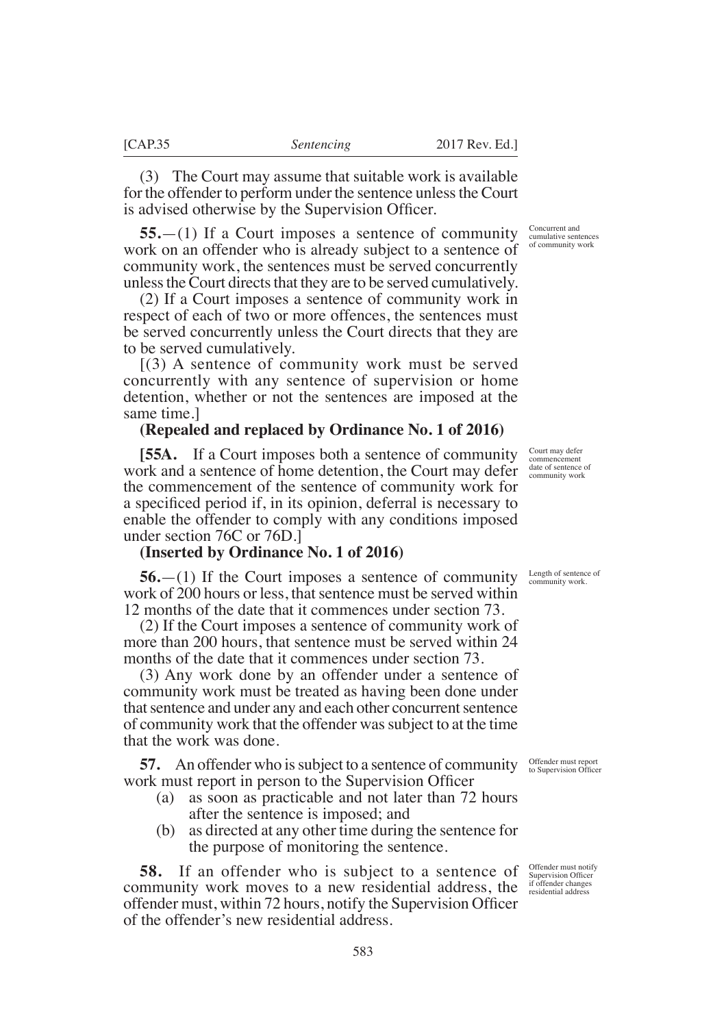(3) The Court may assume that suitable work is available for the offender to perform under the sentence unless the Court is advised otherwise by the Supervision Officer.

**55.**—(1) If a Court imposes a sentence of community work on an offender who is already subject to a sentence of community work, the sentences must be served concurrently unless the Court directs that they are to be served cumulatively.

(2) If a Court imposes a sentence of community work in respect of each of two or more offences, the sentences must be served concurrently unless the Court directs that they are to be served cumulatively.

[(3) A sentence of community work must be served concurrently with any sentence of supervision or home detention, whether or not the sentences are imposed at the same time.]

### **(Repealed and replaced by Ordinance No. 1 of 2016)**

**[55A.** If a Court imposes both a sentence of community work and a sentence of home detention, the Court may defer the commencement of the sentence of community work for a specificed period if, in its opinion, deferral is necessary to enable the offender to comply with any conditions imposed under section 76C or 76D.]

### **(Inserted by Ordinance No. 1 of 2016)**

**56.**—(1) If the Court imposes a sentence of community work of 200 hours or less, that sentence must be served within 12 months of the date that it commences under section 73.

(2) If the Court imposes a sentence of community work of more than 200 hours, that sentence must be served within 24 months of the date that it commences under section 73.

(3) Any work done by an offender under a sentence of community work must be treated as having been done under that sentence and under any and each other concurrent sentence of community work that the offender was subject to at the time that the work was done.

**57.** An offender who is subject to a sentence of community work must report in person to the Supervision Officer

- (a) as soon as practicable and not later than 72 hours after the sentence is imposed; and
- (b) as directed at any other time during the sentence for the purpose of monitoring the sentence.

**58.** If an offender who is subject to a sentence of community work moves to a new residential address, the offender must, within 72 hours, notify the Supervision Officer of the offender's new residential address.

Concurrent and cumulative sentences of community work

Court may defer commencement date of sentence of community work

Length of sentence of community work.

Offender must report to Supervision Offcer

Offender must notify Supervision Offcer if offender changes residential address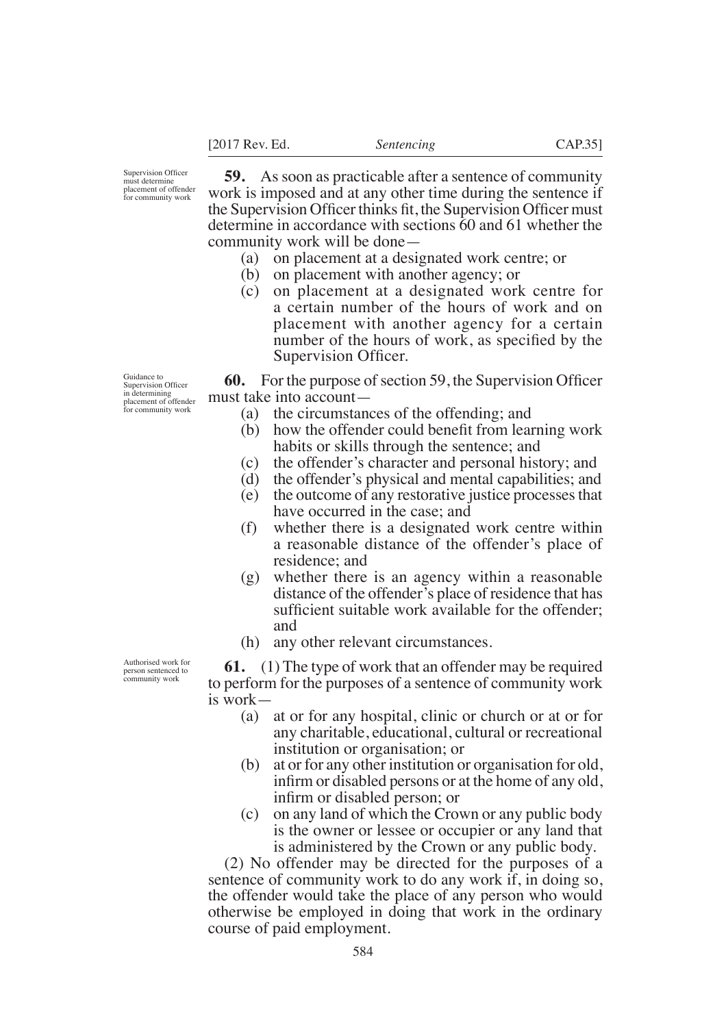Supervision Offcer must determine placement of offender for community work

**59.** As soon as practicable after a sentence of community work is imposed and at any other time during the sentence if the Supervision Officer thinks fit, the Supervision Officer must determine in accordance with sections 60 and 61 whether the community work will be done—

- (a) on placement at a designated work centre; or
- (b) on placement with another agency; or
- (c) on placement at a designated work centre for a certain number of the hours of work and on placement with another agency for a certain number of the hours of work, as specified by the Supervision Officer.

**60.** For the purpose of section 59, the Supervision Officer must take into account—

- (a) the circumstances of the offending; and
- $(b)$  how the offender could benefit from learning work habits or skills through the sentence; and
- (c) the offender's character and personal history; and
- (d) the offender's physical and mental capabilities; and
- (e) the outcome of any restorative justice processes that have occurred in the case; and
- (f) whether there is a designated work centre within a reasonable distance of the offender's place of residence; and
- (g) whether there is an agency within a reasonable distance of the offender's place of residence that has sufficient suitable work available for the offender: and
- (h) any other relevant circumstances.

**61.** (1) The type of work that an offender may be required to perform for the purposes of a sentence of community work is work—

- (a) at or for any hospital, clinic or church or at or for any charitable, educational, cultural or recreational institution or organisation; or
- (b) at or for any other institution or organisation for old, infirm or disabled persons or at the home of any old, infirm or disabled person; or
- (c) on any land of which the Crown or any public body is the owner or lessee or occupier or any land that is administered by the Crown or any public body.

(2) No offender may be directed for the purposes of a sentence of community work to do any work if, in doing so, the offender would take the place of any person who would otherwise be employed in doing that work in the ordinary course of paid employment.

Guidance to<br>Supervision Officer<br>in determining<br>placement of offender for community work

Authorised work for person sentenced to community work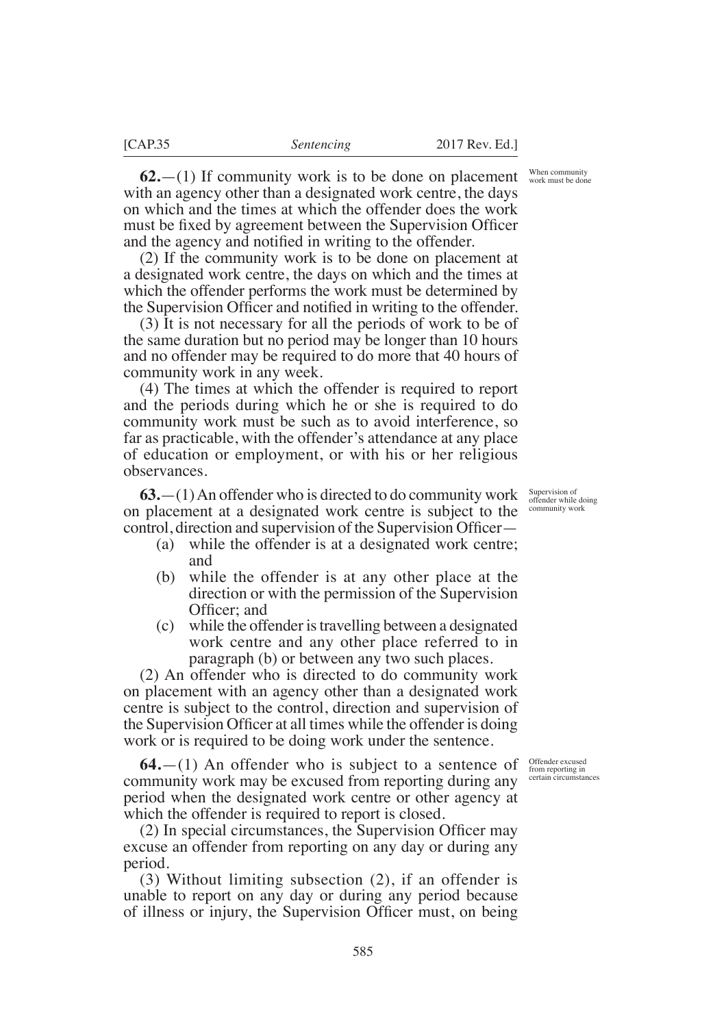When community work must be done

**62.**—(1) If community work is to be done on placement with an agency other than a designated work centre, the days on which and the times at which the offender does the work must be fixed by agreement between the Supervision Officer and the agency and notified in writing to the offender.

(2) If the community work is to be done on placement at a designated work centre, the days on which and the times at which the offender performs the work must be determined by the Supervision Officer and notified in writing to the offender.

(3) It is not necessary for all the periods of work to be of the same duration but no period may be longer than 10 hours and no offender may be required to do more that 40 hours of community work in any week.

(4) The times at which the offender is required to report and the periods during which he or she is required to do community work must be such as to avoid interference, so far as practicable, with the offender's attendance at any place of education or employment, or with his or her religious observances.

**63.**—(1) An offender who is directed to do community work on placement at a designated work centre is subject to the control, direction and supervision of the Supervision Officer—

- (a) while the offender is at a designated work centre; and
- (b) while the offender is at any other place at the direction or with the permission of the Supervision Officer: and
- (c) while the offender is travelling between a designated work centre and any other place referred to in paragraph (b) or between any two such places.

(2) An offender who is directed to do community work on placement with an agency other than a designated work centre is subject to the control, direction and supervision of the Supervision Officer at all times while the offender is doing work or is required to be doing work under the sentence.

**64.**—(1) An offender who is subject to a sentence of community work may be excused from reporting during any period when the designated work centre or other agency at which the offender is required to report is closed.

 $(2)$  In special circumstances, the Supervision Officer may excuse an offender from reporting on any day or during any period.

(3) Without limiting subsection (2), if an offender is unable to report on any day or during any period because of illness or injury, the Supervision Officer must, on being

Supervision of offender while doing community work

Offender excused from reporting in certain circumstances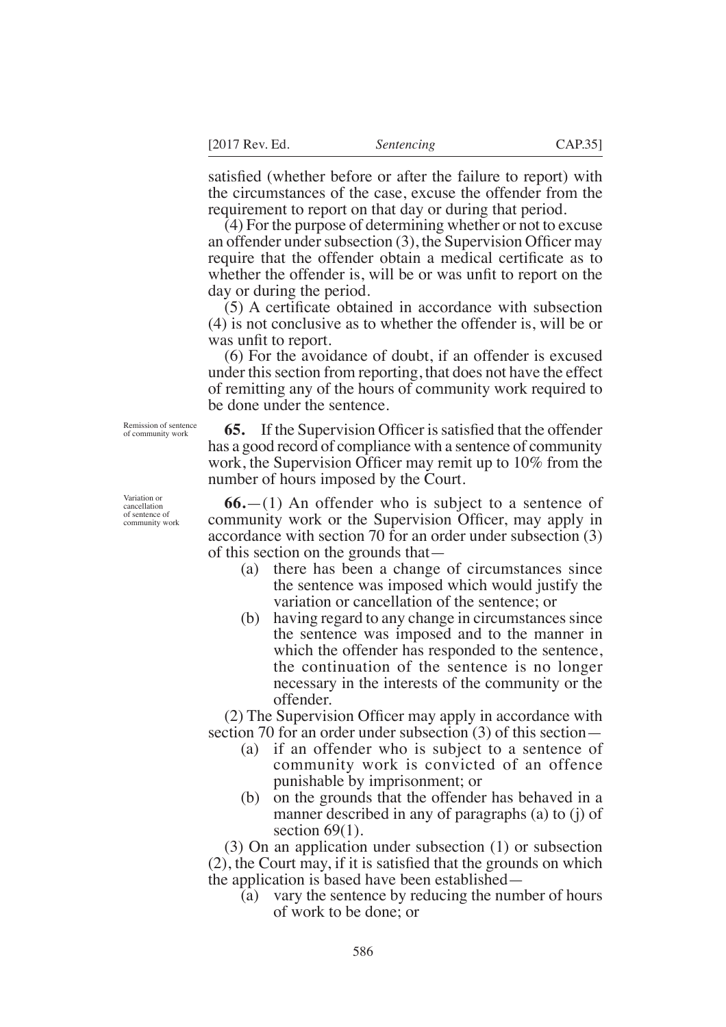satisfied (whether before or after the failure to report) with the circumstances of the case, excuse the offender from the requirement to report on that day or during that period.

(4) For the purpose of determining whether or not to excuse an offender under subsection  $(3)$ , the Supervision Officer may require that the offender obtain a medical certificate as to whether the offender is, will be or was unfit to report on the day or during the period.

 $(5)$  A certificate obtained in accordance with subsection (4) is not conclusive as to whether the offender is, will be or was unfit to report.

(6) For the avoidance of doubt, if an offender is excused under this section from reporting, that does not have the effect of remitting any of the hours of community work required to be done under the sentence.

**65.** If the Supervision Officer is satisfied that the offender has a good record of compliance with a sentence of community work, the Supervision Officer may remit up to  $10\%$  from the number of hours imposed by the Court.

**66.**—(1) An offender who is subject to a sentence of community work or the Supervision Officer, may apply in accordance with section 70 for an order under subsection (3) of this section on the grounds that—

- (a) there has been a change of circumstances since the sentence was imposed which would justify the variation or cancellation of the sentence; or
- (b) having regard to any change in circumstances since the sentence was imposed and to the manner in which the offender has responded to the sentence, the continuation of the sentence is no longer necessary in the interests of the community or the offender.

 $(2)$  The Supervision Officer may apply in accordance with section 70 for an order under subsection (3) of this section—

- (a) if an offender who is subject to a sentence of community work is convicted of an offence punishable by imprisonment; or
- (b) on the grounds that the offender has behaved in a manner described in any of paragraphs (a) to (j) of section  $69(1)$ .

(3) On an application under subsection (1) or subsection  $(2)$ , the Court may, if it is satisfied that the grounds on which the application is based have been established—

(a) vary the sentence by reducing the number of hours of work to be done; or

Remission of sentence of community work

Variation or cancellation of sentence of community work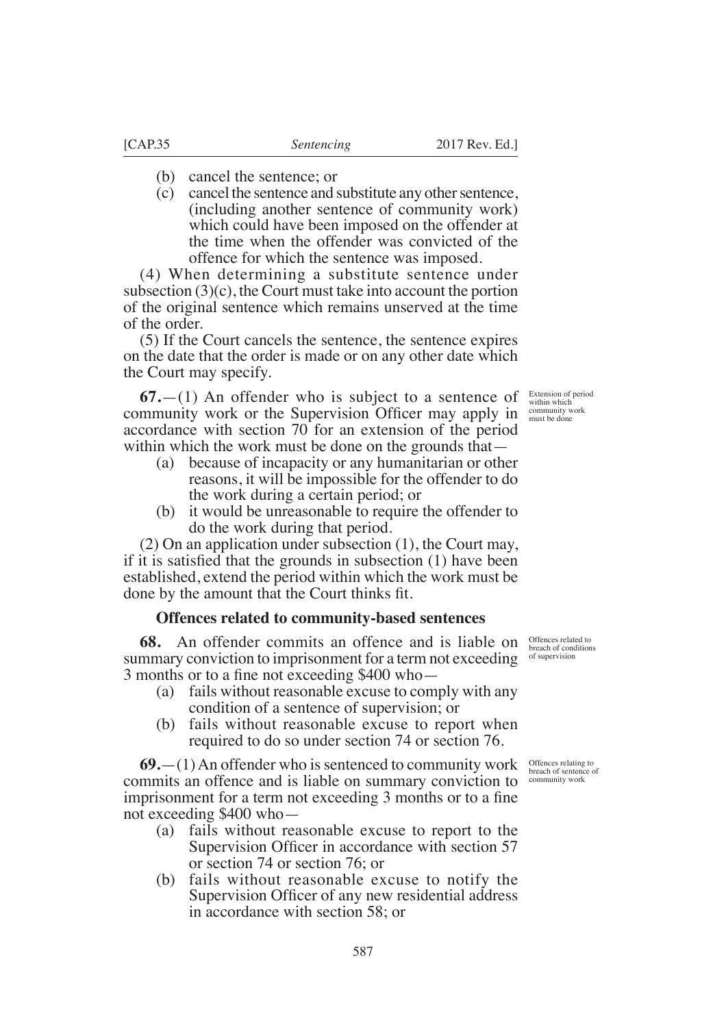- (b) cancel the sentence; or
- (c) cancel the sentence and substitute any other sentence, (including another sentence of community work) which could have been imposed on the offender at the time when the offender was convicted of the offence for which the sentence was imposed.

(4) When determining a substitute sentence under subsection  $(3)(c)$ , the Court must take into account the portion of the original sentence which remains unserved at the time of the order.

(5) If the Court cancels the sentence, the sentence expires on the date that the order is made or on any other date which the Court may specify.

**67.**—(1) An offender who is subject to a sentence of community work or the Supervision Officer may apply in  $\frac{\text{commuity work}}{\text{must be done}}$ accordance with section 70 for an extension of the period within which the work must be done on the grounds that—

- (a) because of incapacity or any humanitarian or other reasons, it will be impossible for the offender to do the work during a certain period; or
- (b) it would be unreasonable to require the offender to do the work during that period.

(2) On an application under subsection (1), the Court may, if it is satisfied that the grounds in subsection  $(1)$  have been established, extend the period within which the work must be done by the amount that the Court thinks fit.

#### **Offences related to community-based sentences**

**68.** An offender commits an offence and is liable on summary conviction to imprisonment for a term not exceeding 3 months or to a fine not exceeding  $$400$  who $-$ 

- (a) fails without reasonable excuse to comply with any condition of a sentence of supervision; or
- (b) fails without reasonable excuse to report when required to do so under section 74 or section 76.

**69.**—(1) An offender who is sentenced to community work commits an offence and is liable on summary conviction to imprisonment for a term not exceeding 3 months or to a fine not exceeding \$400 who—

- (a) fails without reasonable excuse to report to the Supervision Officer in accordance with section 57 or section 74 or section 76; or
- (b) fails without reasonable excuse to notify the Supervision Officer of any new residential address in accordance with section 58; or

Offences related to breach of conditions of supervision

Offences relating to breach of sentence of community work

Extension of period within which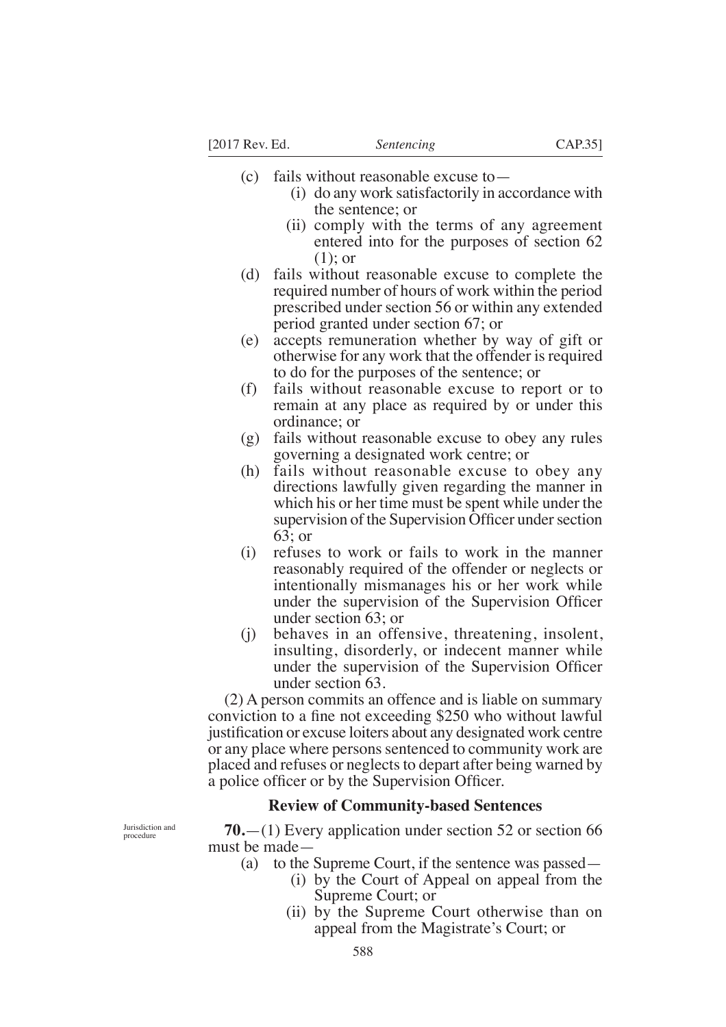- (c) fails without reasonable excuse to—
	- (i) do any work satisfactorily in accordance with the sentence; or
	- (ii) comply with the terms of any agreement entered into for the purposes of section 62 (1); or
- (d) fails without reasonable excuse to complete the required number of hours of work within the period prescribed under section 56 or within any extended period granted under section 67; or
- (e) accepts remuneration whether by way of gift or otherwise for any work that the offender is required to do for the purposes of the sentence; or
- (f) fails without reasonable excuse to report or to remain at any place as required by or under this ordinance; or
- (g) fails without reasonable excuse to obey any rules governing a designated work centre; or
- (h) fails without reasonable excuse to obey any directions lawfully given regarding the manner in which his or her time must be spent while under the supervision of the Supervision Officer under section 63; or
- (i) refuses to work or fails to work in the manner reasonably required of the offender or neglects or intentionally mismanages his or her work while under the supervision of the Supervision Officer under section 63; or
- (j) behaves in an offensive, threatening, insolent, insulting, disorderly, or indecent manner while under the supervision of the Supervision Officer under section 63.

(2) A person commits an offence and is liable on summary conviction to a fine not exceeding \$250 who without lawful justification or excuse loiters about any designated work centre or any place where persons sentenced to community work are placed and refuses or neglects to depart after being warned by a police officer or by the Supervision Officer.

## **Review of Community-based Sentences**

**70.**—(1) Every application under section 52 or section 66 must be made—

- (a) to the Supreme Court, if the sentence was passed—
	- (i) by the Court of Appeal on appeal from the Supreme Court; or
	- (ii) by the Supreme Court otherwise than on appeal from the Magistrate's Court; or

Jurisdiction and procedure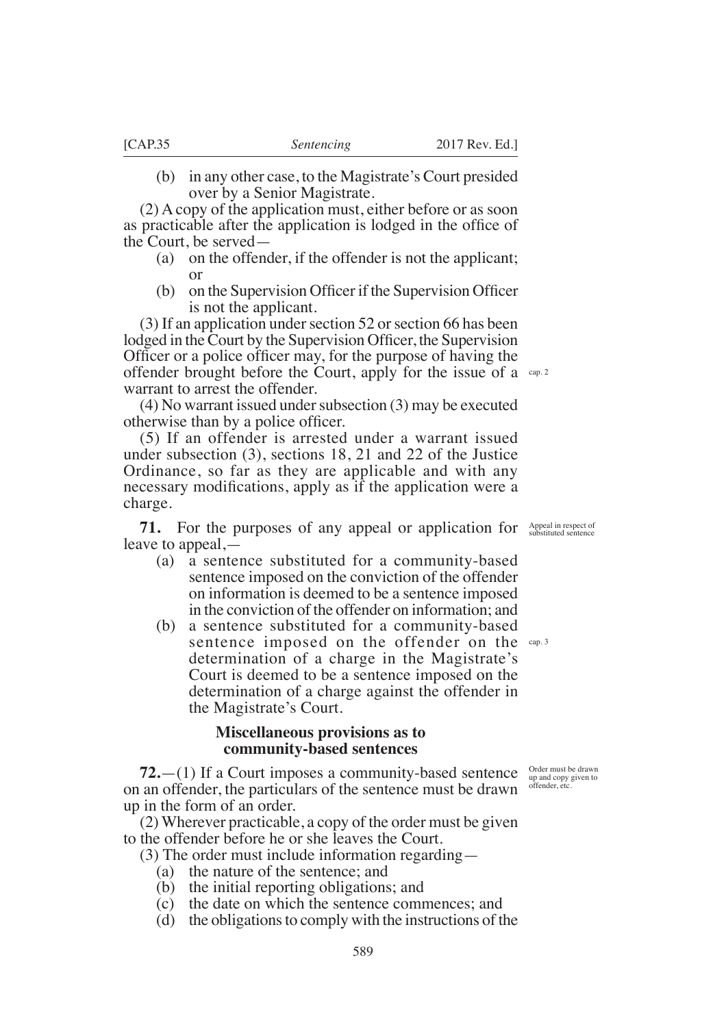(b) in any other case, to the Magistrate's Court presided over by a Senior Magistrate.

(2) A copy of the application must, either before or as soon as practicable after the application is lodged in the office of the Court, be served—

- (a) on the offender, if the offender is not the applicant; or
- $(b)$  on the Supervision Officer if the Supervision Officer is not the applicant.

(3) If an application under section 52 or section 66 has been lodged in the Court by the Supervision Officer, the Supervision Officer or a police officer may, for the purpose of having the offender brought before the Court, apply for the issue of a cap.2 warrant to arrest the offender.

(4) No warrant issued under subsection (3) may be executed otherwise than by a police officer.

(5) If an offender is arrested under a warrant issued under subsection (3), sections 18, 21 and 22 of the Justice Ordinance, so far as they are applicable and with any necessary modifications, apply as if the application were a charge.

**71.** For the purposes of any appeal or application for leave to appeal,—

- (a) a sentence substituted for a community-based sentence imposed on the conviction of the offender on information is deemed to be a sentence imposed in the conviction of the offender on information; and
- (b) a sentence substituted for a community-based sentence imposed on the offender on the cap.3 determination of a charge in the Magistrate's Court is deemed to be a sentence imposed on the determination of a charge against the offender in the Magistrate's Court.

## **Miscellaneous provisions as to community-based sentences**

**72.**—(1) If a Court imposes a community-based sentence on an offender, the particulars of the sentence must be drawn up in the form of an order.

(2) Wherever practicable, a copy of the order must be given to the offender before he or she leaves the Court.

(3) The order must include information regarding—

- (a) the nature of the sentence; and
- (b) the initial reporting obligations; and
- (c) the date on which the sentence commences; and
- (d) the obligations to comply with the instructions of the

Order must be drawn up and copy given to offender, etc.

Appeal in respect of substituted sentence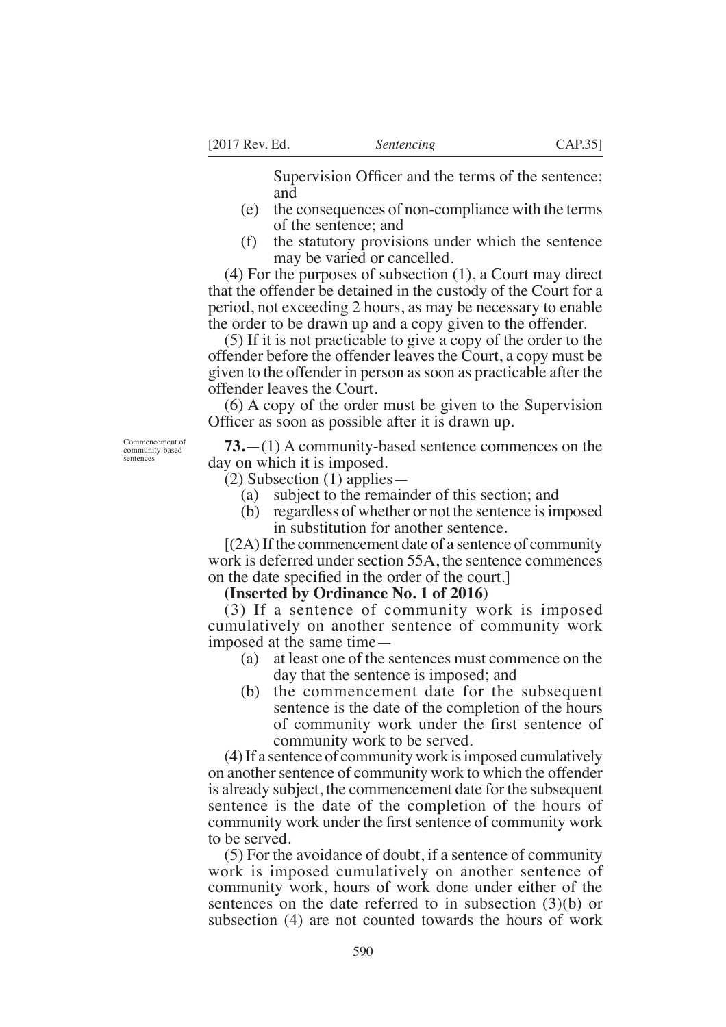Supervision Officer and the terms of the sentence; and

- (e) the consequences of non-compliance with the terms of the sentence; and
- (f) the statutory provisions under which the sentence may be varied or cancelled.

(4) For the purposes of subsection (1), a Court may direct that the offender be detained in the custody of the Court for a period, not exceeding 2 hours, as may be necessary to enable the order to be drawn up and a copy given to the offender.

(5) If it is not practicable to give a copy of the order to the offender before the offender leaves the Court, a copy must be given to the offender in person as soon as practicable after the offender leaves the Court.

(6) A copy of the order must be given to the Supervision Officer as soon as possible after it is drawn up.

Commencement of community-based sentences

**73.**—(1) A community-based sentence commences on the day on which it is imposed.

(2) Subsection (1) applies—

- (a) subject to the remainder of this section; and
- (b) regardless of whether or not the sentence is imposed in substitution for another sentence.

 $[(2A)$  If the commencement date of a sentence of community work is deferred under section 55A, the sentence commences on the date specified in the order of the court.

#### **(Inserted by Ordinance No. 1 of 2016)**

(3) If a sentence of community work is imposed cumulatively on another sentence of community work imposed at the same time—

- (a) at least one of the sentences must commence on the day that the sentence is imposed; and
- (b) the commencement date for the subsequent sentence is the date of the completion of the hours of community work under the first sentence of community work to be served.

(4) If a sentence of community work is imposed cumulatively on another sentence of community work to which the offender is already subject, the commencement date for the subsequent sentence is the date of the completion of the hours of community work under the first sentence of community work to be served.

(5) For the avoidance of doubt, if a sentence of community work is imposed cumulatively on another sentence of community work, hours of work done under either of the sentences on the date referred to in subsection (3)(b) or subsection (4) are not counted towards the hours of work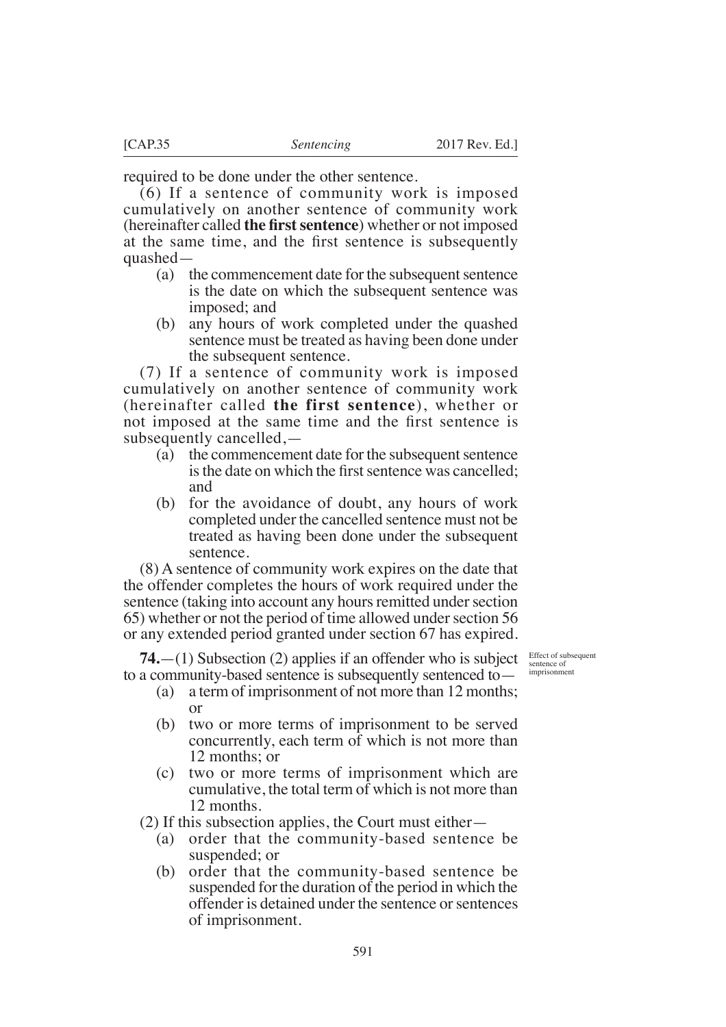required to be done under the other sentence.

(6) If a sentence of community work is imposed cumulatively on another sentence of community work (hereinafter called **the frst sentence**) whether or not imposed at the same time, and the first sentence is subsequently quashed—

- (a) the commencement date for the subsequent sentence is the date on which the subsequent sentence was imposed; and
- (b) any hours of work completed under the quashed sentence must be treated as having been done under the subsequent sentence.

(7) If a sentence of community work is imposed cumulatively on another sentence of community work (hereinafter called **the first sentence**), whether or not imposed at the same time and the first sentence is subsequently cancelled,—

- (a) the commencement date for the subsequent sentence is the date on which the first sentence was cancelled: and
- (b) for the avoidance of doubt, any hours of work completed under the cancelled sentence must not be treated as having been done under the subsequent sentence.

(8) A sentence of community work expires on the date that the offender completes the hours of work required under the sentence (taking into account any hours remitted under section 65) whether or not the period of time allowed under section 56 or any extended period granted under section 67 has expired.

**74.**—(1) Subsection (2) applies if an offender who is subject to a community-based sentence is subsequently sentenced to—

Effect of subsequent sentence of imprisonment

- (a) a term of imprisonment of not more than 12 months; or
- (b) two or more terms of imprisonment to be served concurrently, each term of which is not more than 12 months; or
- (c) two or more terms of imprisonment which are cumulative, the total term of which is not more than 12 months.

(2) If this subsection applies, the Court must either—

- (a) order that the community-based sentence be suspended; or
- (b) order that the community-based sentence be suspended for the duration of the period in which the offender is detained under the sentence or sentences of imprisonment.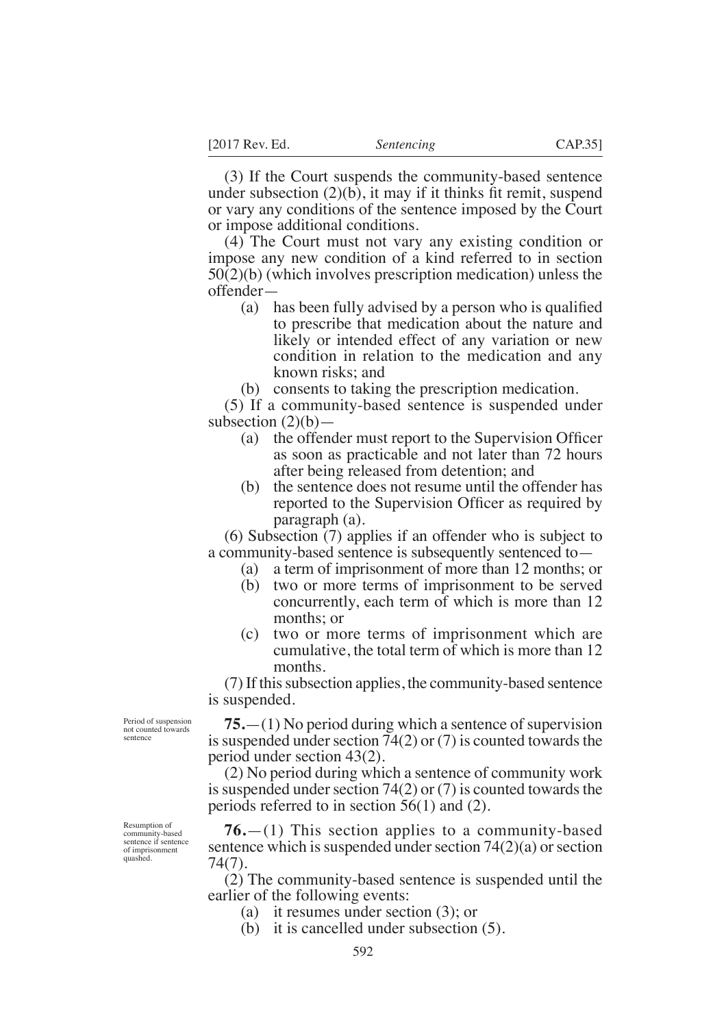(3) If the Court suspends the community-based sentence under subsection  $(2)(b)$ , it may if it thinks fit remit, suspend or vary any conditions of the sentence imposed by the Court or impose additional conditions.

(4) The Court must not vary any existing condition or impose any new condition of a kind referred to in section 50(2)(b) (which involves prescription medication) unless the offender—

- (a) has been fully advised by a person who is qualified to prescribe that medication about the nature and likely or intended effect of any variation or new condition in relation to the medication and any known risks; and
- (b) consents to taking the prescription medication.

(5) If a community-based sentence is suspended under subsection  $(2)(b)$ –

- (a) the offender must report to the Supervision Officer as soon as practicable and not later than 72 hours after being released from detention; and
- (b) the sentence does not resume until the offender has reported to the Supervision Officer as required by paragraph (a).

(6) Subsection (7) applies if an offender who is subject to a community-based sentence is subsequently sentenced to—

- (a) a term of imprisonment of more than 12 months; or
- (b) two or more terms of imprisonment to be served concurrently, each term of which is more than 12 months; or
- (c) two or more terms of imprisonment which are cumulative, the total term of which is more than 12 months.

(7) If this subsection applies, the community-based sentence is suspended.

**75.**—(1) No period during which a sentence of supervision is suspended under section 74(2) or (7) is counted towards the period under section 43(2).

(2) No period during which a sentence of community work is suspended under section 74(2) or (7) is counted towards the periods referred to in section 56(1) and (2).

**76.**—(1) This section applies to a community-based sentence which is suspended under section 74(2)(a) or section 74(7).

(2) The community-based sentence is suspended until the earlier of the following events:

- (a) it resumes under section (3); or
- (b) it is cancelled under subsection (5).

Period of suspension not counted towards sentence

Resumption of community-based sentence if sentence sencondent comment quashed.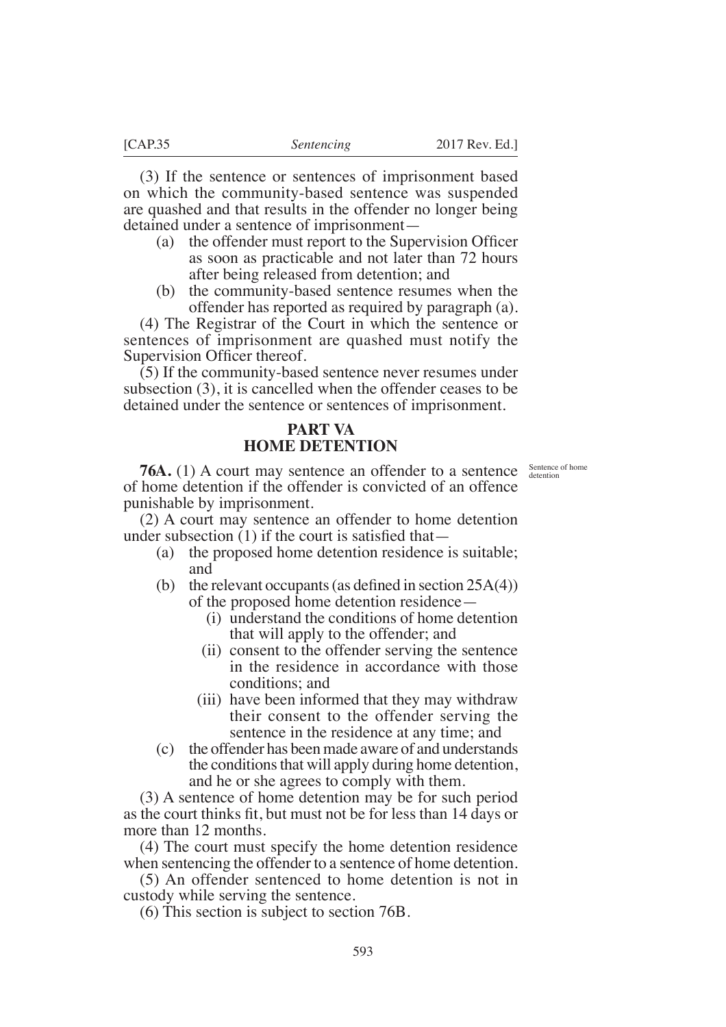(3) If the sentence or sentences of imprisonment based on which the community-based sentence was suspended are quashed and that results in the offender no longer being detained under a sentence of imprisonment—

- (a) the offender must report to the Supervision Officer as soon as practicable and not later than 72 hours after being released from detention; and
- (b) the community-based sentence resumes when the offender has reported as required by paragraph (a).

(4) The Registrar of the Court in which the sentence or sentences of imprisonment are quashed must notify the Supervision Officer thereof.

(5) If the community-based sentence never resumes under subsection (3), it is cancelled when the offender ceases to be detained under the sentence or sentences of imprisonment.

# **PART VA HOME DETENTION**

Sentence of home detention

**76A.** (1) A court may sentence an offender to a sentence of home detention if the offender is convicted of an offence punishable by imprisonment.

(2) A court may sentence an offender to home detention under subsection  $(1)$  if the court is satisfied that —

- (a) the proposed home detention residence is suitable; and
- (b) the relevant occupants (as defined in section  $25A(4)$ ) of the proposed home detention residence—
	- (i) understand the conditions of home detention that will apply to the offender; and
	- (ii) consent to the offender serving the sentence in the residence in accordance with those conditions; and
	- (iii) have been informed that they may withdraw their consent to the offender serving the sentence in the residence at any time; and
- (c) the offender has been made aware of and understands the conditions that will apply during home detention, and he or she agrees to comply with them.

(3) A sentence of home detention may be for such period as the court thinks fit, but must not be for less than 14 days or more than 12 months.

(4) The court must specify the home detention residence when sentencing the offender to a sentence of home detention.

(5) An offender sentenced to home detention is not in custody while serving the sentence.

(6) This section is subject to section 76B.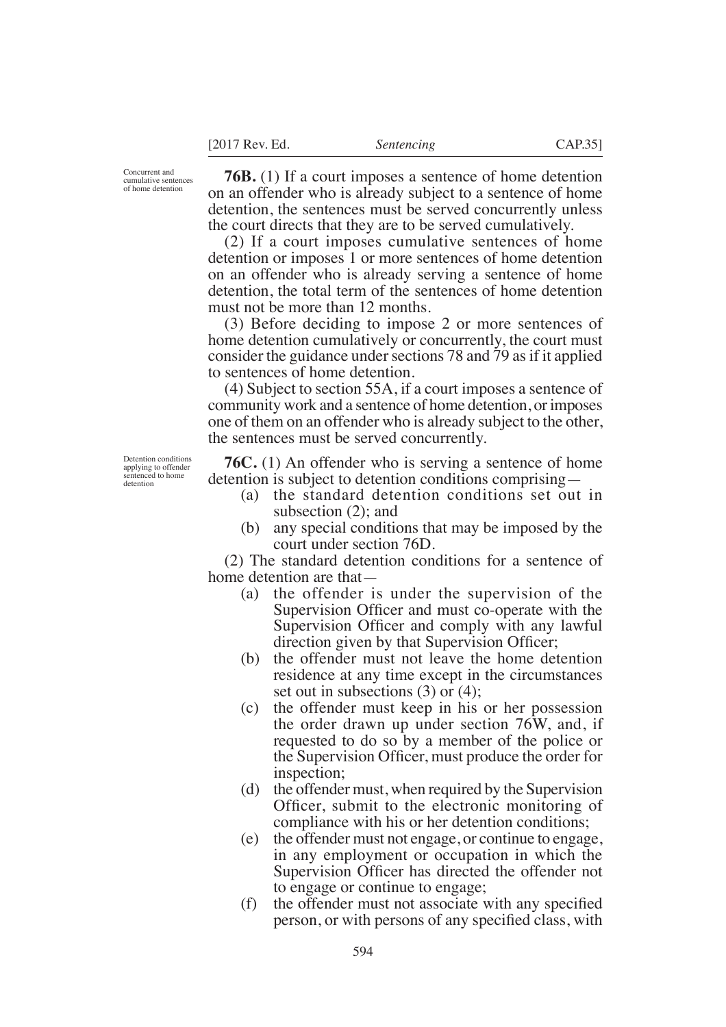Concurrent and cumulative sentences of home detention

**76B.** (1) If a court imposes a sentence of home detention on an offender who is already subject to a sentence of home detention, the sentences must be served concurrently unless the court directs that they are to be served cumulatively.

(2) If a court imposes cumulative sentences of home detention or imposes 1 or more sentences of home detention on an offender who is already serving a sentence of home detention, the total term of the sentences of home detention must not be more than 12 months.

(3) Before deciding to impose 2 or more sentences of home detention cumulatively or concurrently, the court must consider the guidance under sections 78 and 79 as if it applied to sentences of home detention.

(4) Subject to section 55A, if a court imposes a sentence of community work and a sentence of home detention, or imposes one of them on an offender who is already subject to the other, the sentences must be served concurrently.

**76C.** (1) An offender who is serving a sentence of home detention is subject to detention conditions comprising—

- (a) the standard detention conditions set out in subsection (2); and
- (b) any special conditions that may be imposed by the court under section 76D.

(2) The standard detention conditions for a sentence of home detention are that—

- (a) the offender is under the supervision of the Supervision Officer and must co-operate with the Supervision Officer and comply with any lawful direction given by that Supervision Officer;
- (b) the offender must not leave the home detention residence at any time except in the circumstances set out in subsections (3) or (4);
- (c) the offender must keep in his or her possession the order drawn up under section 76W, and, if requested to do so by a member of the police or the Supervision Officer, must produce the order for inspection;
- (d) the offender must, when required by the Supervision Officer, submit to the electronic monitoring of compliance with his or her detention conditions;
- (e) the offender must not engage, or continue to engage, in any employment or occupation in which the Supervision Officer has directed the offender not to engage or continue to engage;
- $(f)$  the offender must not associate with any specified person, or with persons of any specified class, with

Detention conditions applying to offender sentenced to home detention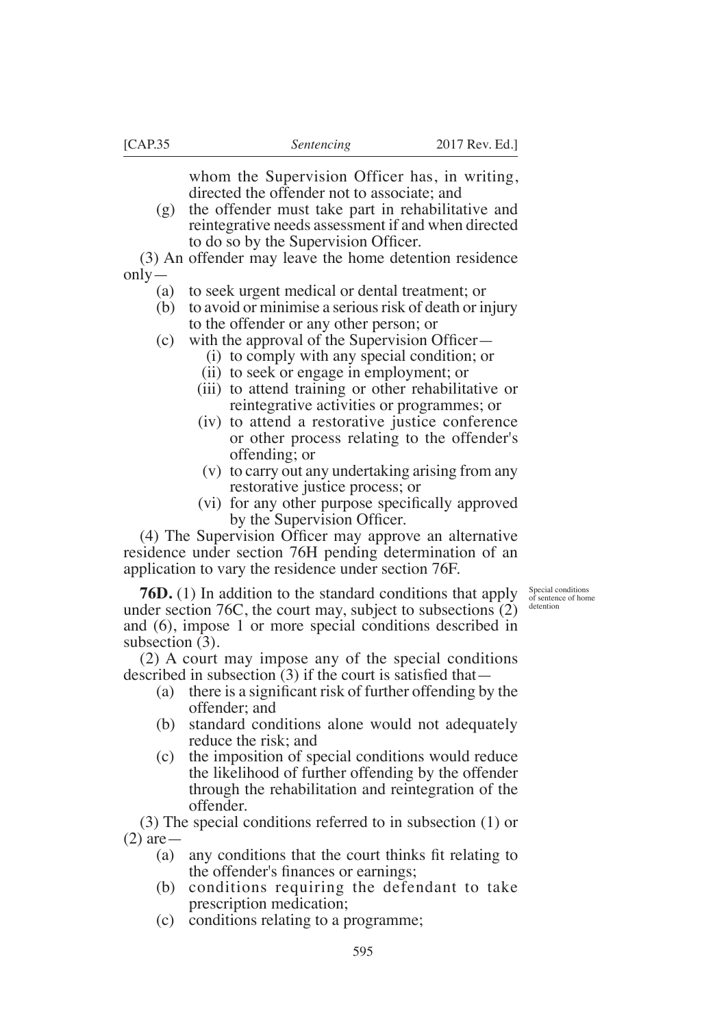whom the Supervision Officer has, in writing, directed the offender not to associate; and

(g) the offender must take part in rehabilitative and reintegrative needs assessment if and when directed to do so by the Supervision Officer.

(3) An offender may leave the home detention residence only—

- (a) to seek urgent medical or dental treatment; or
- (b) to avoid or minimise a serious risk of death or injury to the offender or any other person; or
- (c) with the approval of the Supervision Officer $-$ 
	- (i) to comply with any special condition; or
	- (ii) to seek or engage in employment; or
	- (iii) to attend training or other rehabilitative or reintegrative activities or programmes; or
	- (iv) to attend a restorative justice conference or other process relating to the offender's offending; or
	- (v) to carry out any undertaking arising from any restorative justice process; or
	- (vi) for any other purpose specifically approved by the Supervision Officer.

 $(4)$  The Supervision Officer may approve an alternative residence under section 76H pending determination of an application to vary the residence under section 76F.

> Special conditions of sentence of home detention

**76D.** (1) In addition to the standard conditions that apply under section 76C, the court may, subject to subsections (2) and (6), impose 1 or more special conditions described in subsection  $(3)$ .

(2) A court may impose any of the special conditions described in subsection  $(3)$  if the court is satisfied that —

- (a) there is a significant risk of further offending by the offender; and
- (b) standard conditions alone would not adequately reduce the risk; and
- (c) the imposition of special conditions would reduce the likelihood of further offending by the offender through the rehabilitation and reintegration of the offender.

(3) The special conditions referred to in subsection (1) or (2) are—

- (a) any conditions that the court thinks fit relating to the offender's finances or earnings;
- (b) conditions requiring the defendant to take prescription medication;
- (c) conditions relating to a programme;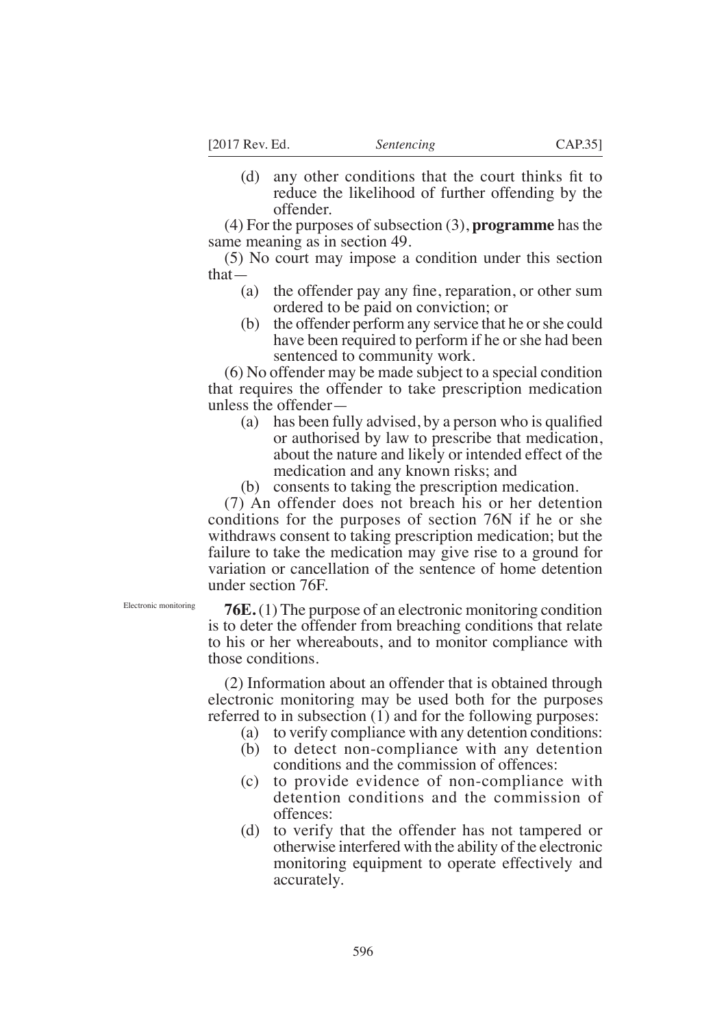(d) any other conditions that the court thinks fit to reduce the likelihood of further offending by the offender.

(4) For the purposes of subsection (3), **programme** has the same meaning as in section 49.

(5) No court may impose a condition under this section that—

- (a) the offender pay any fine, reparation, or other sum ordered to be paid on conviction; or
- (b) the offender perform any service that he or she could have been required to perform if he or she had been sentenced to community work.

(6) No offender may be made subject to a special condition that requires the offender to take prescription medication unless the offender—

- (a) has been fully advised, by a person who is qualified or authorised by law to prescribe that medication, about the nature and likely or intended effect of the medication and any known risks; and
- (b) consents to taking the prescription medication.

(7) An offender does not breach his or her detention conditions for the purposes of section 76N if he or she withdraws consent to taking prescription medication; but the failure to take the medication may give rise to a ground for variation or cancellation of the sentence of home detention under section 76F.

Electronic monitoring

**76E.** (1) The purpose of an electronic monitoring condition is to deter the offender from breaching conditions that relate to his or her whereabouts, and to monitor compliance with those conditions.

(2) Information about an offender that is obtained through electronic monitoring may be used both for the purposes referred to in subsection (1) and for the following purposes:

- (a) to verify compliance with any detention conditions:
- (b) to detect non-compliance with any detention conditions and the commission of offences:
- (c) to provide evidence of non-compliance with detention conditions and the commission of offences:
- (d) to verify that the offender has not tampered or otherwise interfered with the ability of the electronic monitoring equipment to operate effectively and accurately.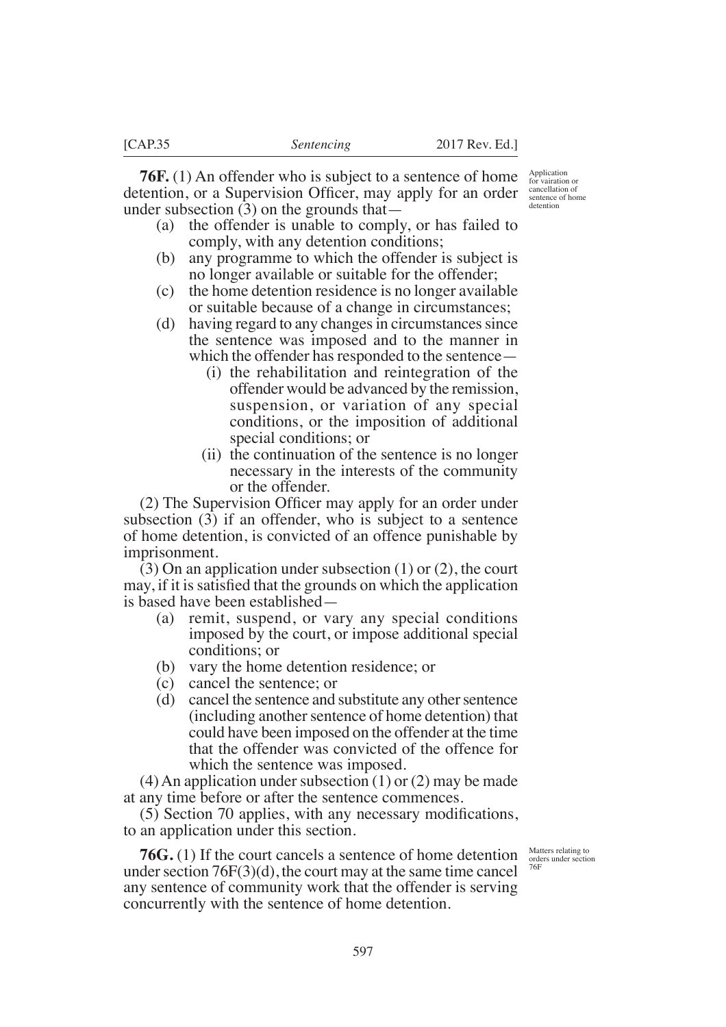**76F.** (1) An offender who is subject to a sentence of home detention, or a Supervision Officer, may apply for an order under subsection (3) on the grounds that—

- (a) the offender is unable to comply, or has failed to comply, with any detention conditions;
- (b) any programme to which the offender is subject is no longer available or suitable for the offender;
- (c) the home detention residence is no longer available or suitable because of a change in circumstances;
- (d) having regard to any changes in circumstances since the sentence was imposed and to the manner in which the offender has responded to the sentence—
	- (i) the rehabilitation and reintegration of the offender would be advanced by the remission, suspension, or variation of any special conditions, or the imposition of additional special conditions; or
	- (ii) the continuation of the sentence is no longer necessary in the interests of the community or the offender.

 $(2)$  The Supervision Officer may apply for an order under subsection (3) if an offender, who is subject to a sentence of home detention, is convicted of an offence punishable by imprisonment.

(3) On an application under subsection (1) or (2), the court may, if it is satisfied that the grounds on which the application is based have been established—

- (a) remit, suspend, or vary any special conditions imposed by the court, or impose additional special conditions; or
- (b) vary the home detention residence; or
- (c) cancel the sentence; or
- (d) cancel the sentence and substitute any other sentence (including another sentence of home detention) that could have been imposed on the offender at the time that the offender was convicted of the offence for which the sentence was imposed.

 $(4)$  An application under subsection  $(1)$  or  $(2)$  may be made at any time before or after the sentence commences.

 $(5)$  Section 70 applies, with any necessary modifications, to an application under this section.

**76G.** (1) If the court cancels a sentence of home detention under section 76F(3)(d), the court may at the same time cancel any sentence of community work that the offender is serving concurrently with the sentence of home detention.

Matters relating to orders under section 76F

Application for vairation or cancellation of sentence of home detention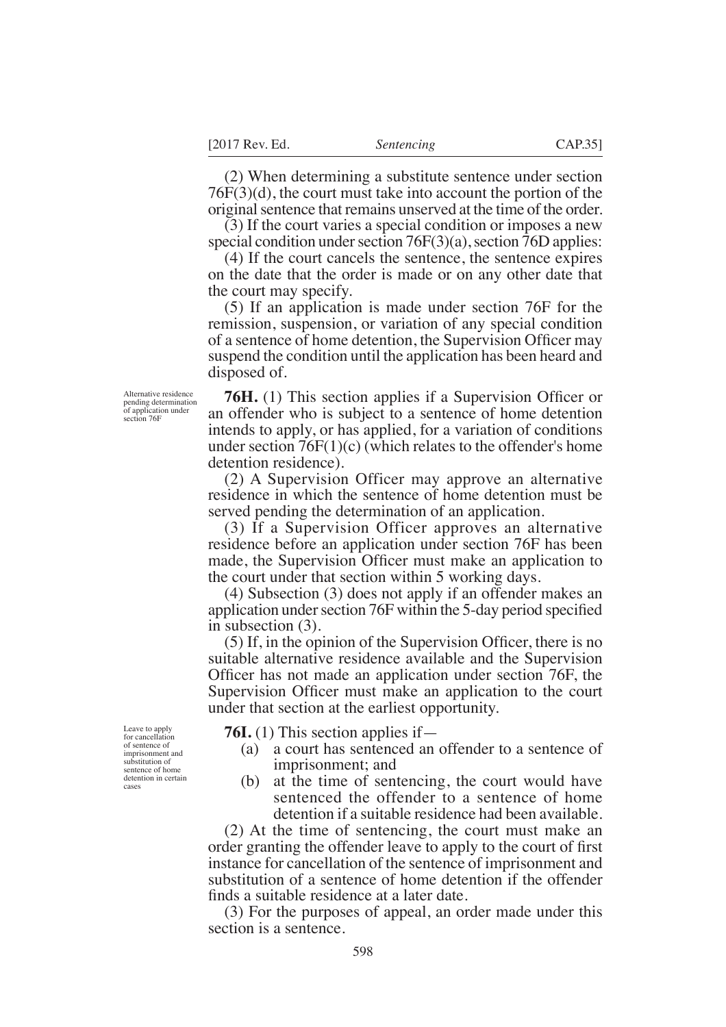(2) When determining a substitute sentence under section 76F(3)(d), the court must take into account the portion of the original sentence that remains unserved at the time of the order.

(3) If the court varies a special condition or imposes a new special condition under section 76F(3)(a), section 76D applies:

(4) If the court cancels the sentence, the sentence expires on the date that the order is made or on any other date that the court may specify.

(5) If an application is made under section 76F for the remission, suspension, or variation of any special condition of a sentence of home detention, the Supervision Officer may suspend the condition until the application has been heard and disposed of.

**76H.** (1) This section applies if a Supervision Officer or an offender who is subject to a sentence of home detention intends to apply, or has applied, for a variation of conditions under section  $76F(1)(c)$  (which relates to the offender's home detention residence).

(2) A Supervision Officer may approve an alternative residence in which the sentence of home detention must be served pending the determination of an application.

(3) If a Supervision Officer approves an alternative residence before an application under section 76F has been made, the Supervision Officer must make an application to the court under that section within 5 working days.

(4) Subsection (3) does not apply if an offender makes an application under section  $76F$  within the 5-day period specified in subsection (3).

 $(5)$  If, in the opinion of the Supervision Officer, there is no suitable alternative residence available and the Supervision Officer has not made an application under section 76F, the Supervision Officer must make an application to the court under that section at the earliest opportunity.

**76I.** (1) This section applies if—

- (a) a court has sentenced an offender to a sentence of imprisonment; and
- (b) at the time of sentencing, the court would have sentenced the offender to a sentence of home detention if a suitable residence had been available.

(2) At the time of sentencing, the court must make an order granting the offender leave to apply to the court of first instance for cancellation of the sentence of imprisonment and substitution of a sentence of home detention if the offender finds a suitable residence at a later date.

(3) For the purposes of appeal, an order made under this section is a sentence.

Alternative residence pending determination of application under section 76F

Leave to apply for cancellation of sentence of imprisonment and substitution of sentence of home detention in certain cases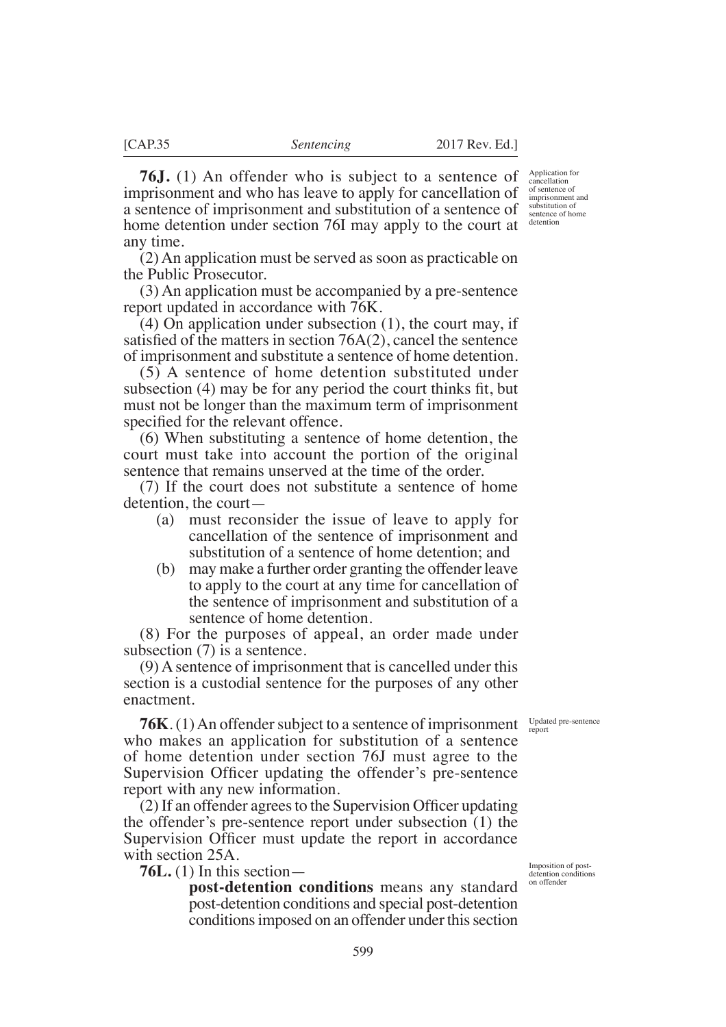Imposition of postdetention conditions on offender

Updated pre-sentence report

a sentence of imprisonment and substitution of a sentence of home detention under section 76I may apply to the court at any time. (2) An application must be served as soon as practicable on

the Public Prosecutor.

(3) An application must be accompanied by a pre-sentence report updated in accordance with 76K.

(4) On application under subsection (1), the court may, if satisfied of the matters in section  $76A(2)$ , cancel the sentence of imprisonment and substitute a sentence of home detention.

(5) A sentence of home detention substituted under subsection  $(4)$  may be for any period the court thinks fit, but must not be longer than the maximum term of imprisonment specified for the relevant offence.

(6) When substituting a sentence of home detention, the court must take into account the portion of the original sentence that remains unserved at the time of the order.

(7) If the court does not substitute a sentence of home detention, the court—

- (a) must reconsider the issue of leave to apply for cancellation of the sentence of imprisonment and substitution of a sentence of home detention; and
- (b) may make a further order granting the offender leave to apply to the court at any time for cancellation of the sentence of imprisonment and substitution of a sentence of home detention.

(8) For the purposes of appeal, an order made under subsection (7) is a sentence.

(9) A sentence of imprisonment that is cancelled under this section is a custodial sentence for the purposes of any other enactment.

**76K**. (1) An offender subject to a sentence of imprisonment who makes an application for substitution of a sentence of home detention under section 76J must agree to the Supervision Officer updating the offender's pre-sentence report with any new information.

 $(2)$  If an offender agrees to the Supervision Officer updating the offender's pre-sentence report under subsection (1) the Supervision Officer must update the report in accordance with section 25A.

**76L.** (1) In this section—

**post-detention conditions** means any standard post-detention conditions and special post-detention conditions imposed on an offender under this section

599

**76J.** (1) An offender who is subject to a sentence of imprisonment and who has leave to apply for cancellation of Application for cancellation of sentence of imprisonment and substitution of

sentence of home detention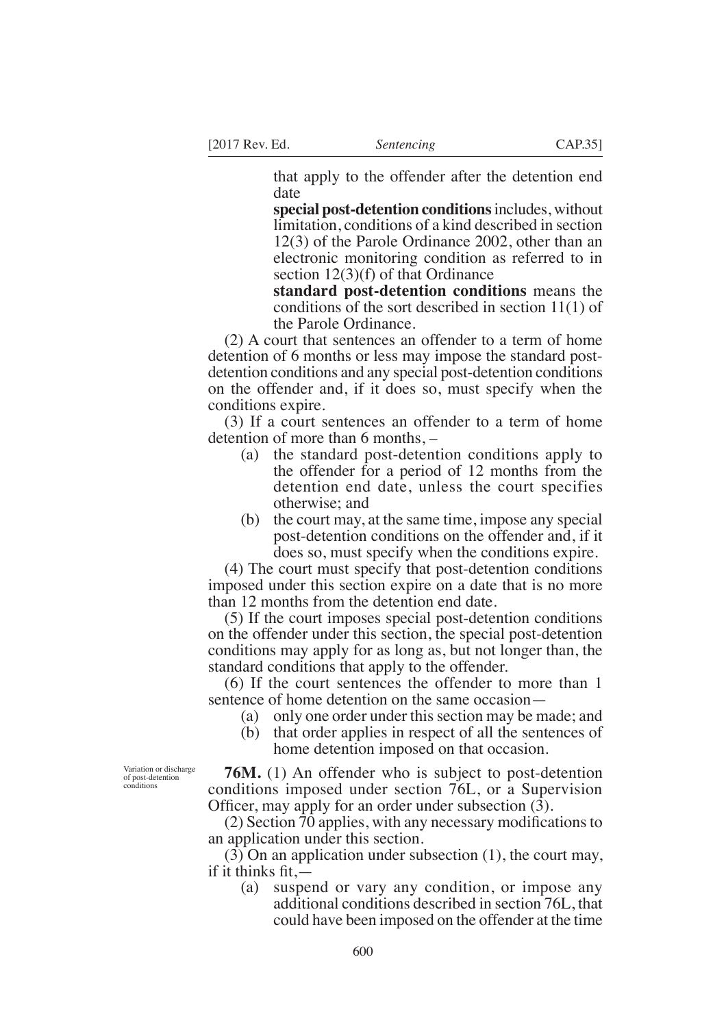that apply to the offender after the detention end date

**special post-detention conditions** includes, without limitation, conditions of a kind described in section 12(3) of the Parole Ordinance 2002, other than an electronic monitoring condition as referred to in section 12(3)(f) of that Ordinance

**standard post-detention conditions** means the conditions of the sort described in section 11(1) of the Parole Ordinance.

(2) A court that sentences an offender to a term of home detention of 6 months or less may impose the standard postdetention conditions and any special post-detention conditions on the offender and, if it does so, must specify when the conditions expire.

(3) If a court sentences an offender to a term of home detention of more than 6 months, –

- (a) the standard post-detention conditions apply to the offender for a period of 12 months from the detention end date, unless the court specifies otherwise; and
- (b) the court may, at the same time, impose any special post-detention conditions on the offender and, if it does so, must specify when the conditions expire.

(4) The court must specify that post-detention conditions imposed under this section expire on a date that is no more than 12 months from the detention end date.

(5) If the court imposes special post-detention conditions on the offender under this section, the special post-detention conditions may apply for as long as, but not longer than, the standard conditions that apply to the offender.

(6) If the court sentences the offender to more than 1 sentence of home detention on the same occasion—

- (a) only one order under this section may be made; and
- (b) that order applies in respect of all the sentences of home detention imposed on that occasion.

**76M.** (1) An offender who is subject to post-detention conditions imposed under section 76L, or a Supervision Officer, may apply for an order under subsection  $(3)$ .

 $(2)$  Section 70 applies, with any necessary modifications to an application under this section.

(3) On an application under subsection (1), the court may, if it thinks fit. $-$ 

(a) suspend or vary any condition, or impose any additional conditions described in section 76L, that could have been imposed on the offender at the time

Variation or discharge of post-detention conditions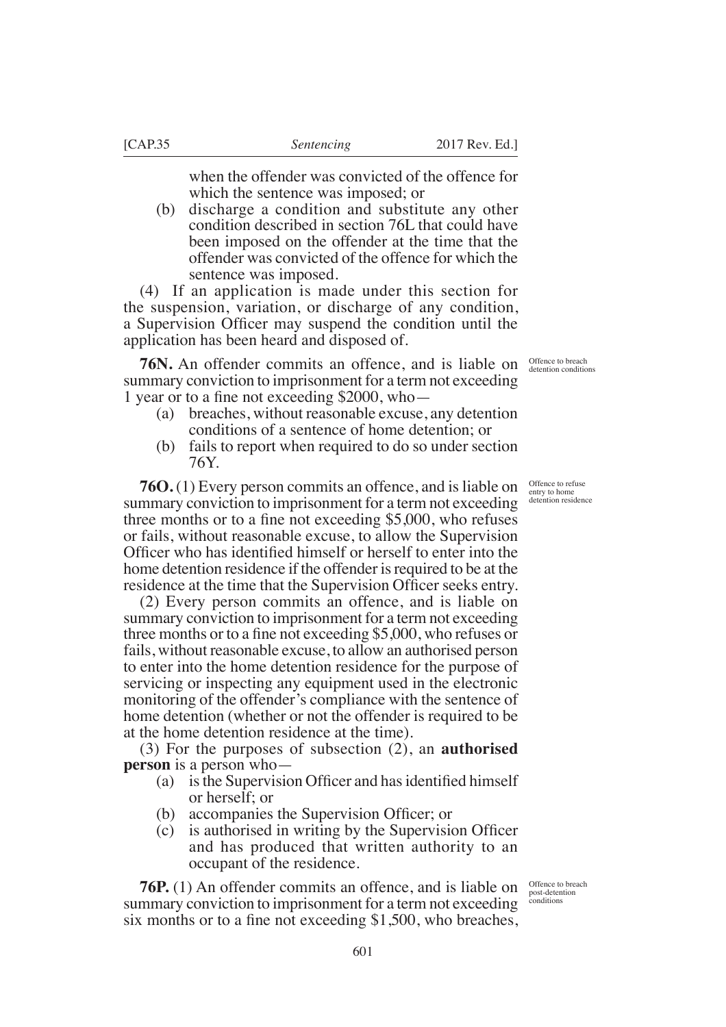when the offender was convicted of the offence for which the sentence was imposed; or

(b) discharge a condition and substitute any other condition described in section 76L that could have been imposed on the offender at the time that the offender was convicted of the offence for which the sentence was imposed.

(4) If an application is made under this section for the suspension, variation, or discharge of any condition, a Supervision Officer may suspend the condition until the application has been heard and disposed of.

**76N.** An offender commits an offence, and is liable on summary conviction to imprisonment for a term not exceeding 1 year or to a fine not exceeding  $$2000$ , who-

- (a) breaches, without reasonable excuse, any detention conditions of a sentence of home detention; or
- (b) fails to report when required to do so under section 76Y.

**76O.** (1) Every person commits an offence, and is liable on summary conviction to imprisonment for a term not exceeding three months or to a fine not exceeding  $$5,000$ , who refuses or fails, without reasonable excuse, to allow the Supervision Officer who has identified himself or herself to enter into the home detention residence if the offender is required to be at the residence at the time that the Supervision Officer seeks entry.

(2) Every person commits an offence, and is liable on summary conviction to imprisonment for a term not exceeding three months or to a fine not exceeding  $$5,000$ , who refuses or fails, without reasonable excuse, to allow an authorised person to enter into the home detention residence for the purpose of servicing or inspecting any equipment used in the electronic monitoring of the offender's compliance with the sentence of home detention (whether or not the offender is required to be at the home detention residence at the time).

(3) For the purposes of subsection (2), an **authorised person** is a person who—

- (a) is the Supervision Officer and has identified himself or herself; or
- (b) accompanies the Supervision Officer; or
- $(c)$  is authorised in writing by the Supervision Officer and has produced that written authority to an occupant of the residence.

**76P.** (1) An offender commits an offence, and is liable on summary conviction to imprisonment for a term not exceeding six months or to a fine not exceeding  $$1,500$ , who breaches,

Offence to breach detention conditions

Offence to refuse entry to home detention residence

Offence to breach post-detention conditions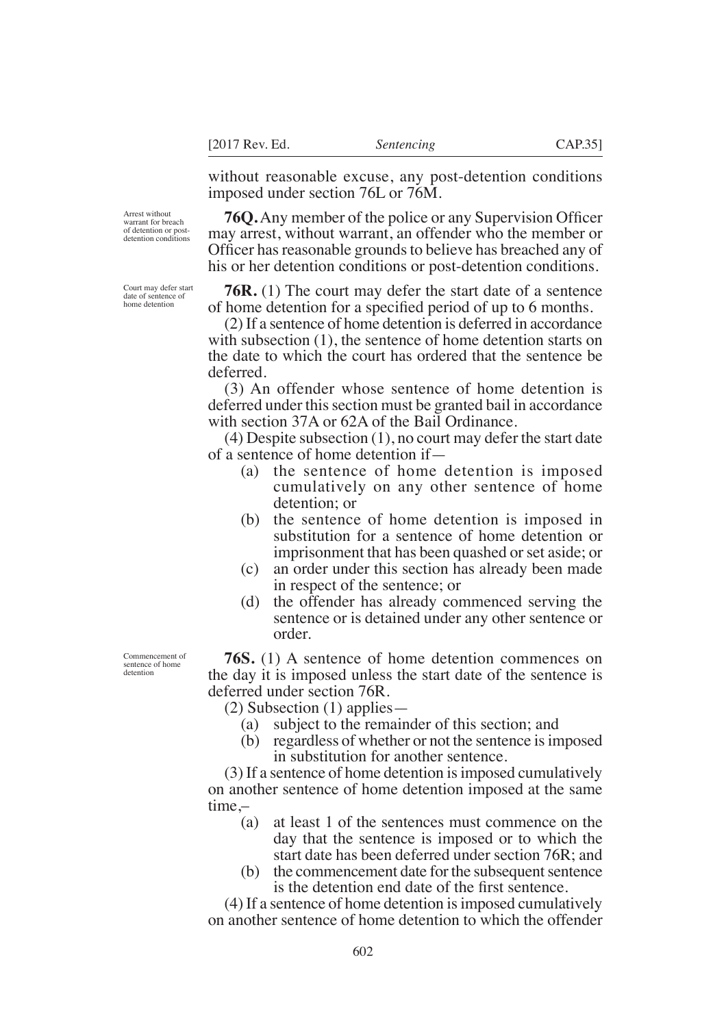without reasonable excuse, any post-detention conditions imposed under section 76L or 76M.

**76Q.** Any member of the police or any Supervision Officer may arrest, without warrant, an offender who the member or Officer has reasonable grounds to believe has breached any of his or her detention conditions or post-detention conditions.

**76R.** (1) The court may defer the start date of a sentence of home detention for a specified period of up to 6 months.

(2) If a sentence of home detention is deferred in accordance with subsection (1), the sentence of home detention starts on the date to which the court has ordered that the sentence be deferred.

(3) An offender whose sentence of home detention is deferred under this section must be granted bail in accordance with section 37A or 62A of the Bail Ordinance.

(4) Despite subsection (1), no court may defer the start date of a sentence of home detention if—

- (a) the sentence of home detention is imposed cumulatively on any other sentence of home detention; or
- (b) the sentence of home detention is imposed in substitution for a sentence of home detention or imprisonment that has been quashed or set aside; or
- (c) an order under this section has already been made in respect of the sentence; or
- (d) the offender has already commenced serving the sentence or is detained under any other sentence or order.

**76S.** (1) A sentence of home detention commences on the day it is imposed unless the start date of the sentence is deferred under section 76R.

(2) Subsection (1) applies—

- (a) subject to the remainder of this section; and
- (b) regardless of whether or not the sentence is imposed in substitution for another sentence.

(3) If a sentence of home detention is imposed cumulatively on another sentence of home detention imposed at the same time,–

- (a) at least 1 of the sentences must commence on the day that the sentence is imposed or to which the start date has been deferred under section 76R; and
- (b) the commencement date for the subsequent sentence is the detention end date of the first sentence.

(4) If a sentence of home detention is imposed cumulatively on another sentence of home detention to which the offender

Arrest without warrant for breach of detention or postdetention conditions

Court may defer start date of sentence of home detention

Commencement of sentence of home detention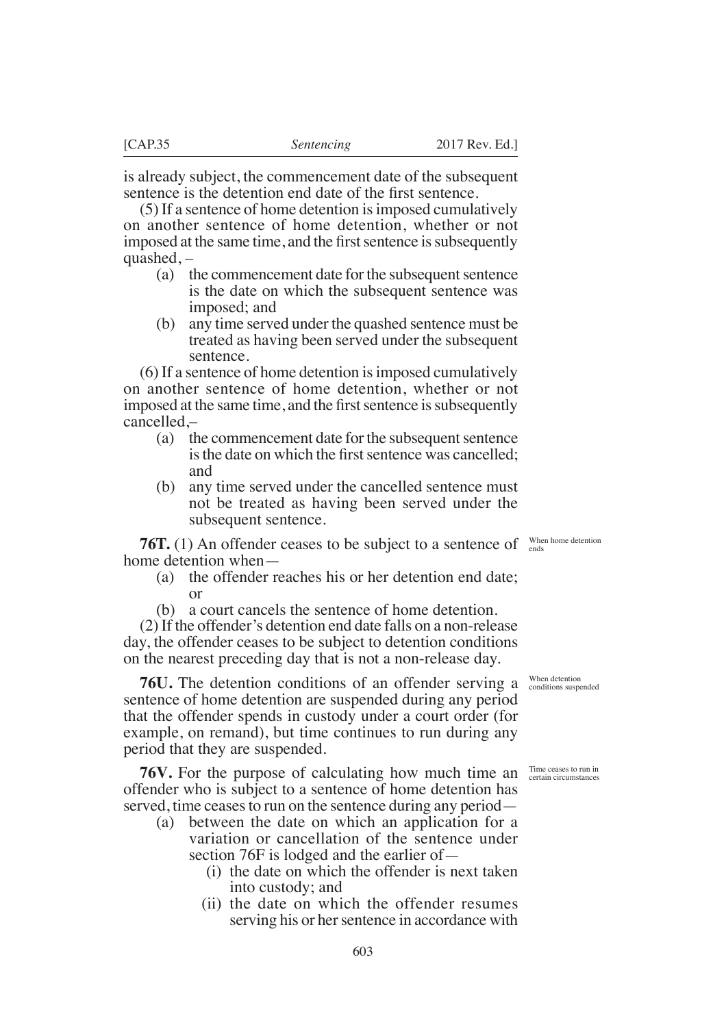is already subject, the commencement date of the subsequent sentence is the detention end date of the first sentence.

(5) If a sentence of home detention is imposed cumulatively on another sentence of home detention, whether or not imposed at the same time, and the first sentence is subsequently quashed, –

- (a) the commencement date for the subsequent sentence is the date on which the subsequent sentence was imposed; and
- (b) any time served under the quashed sentence must be treated as having been served under the subsequent sentence.

(6) If a sentence of home detention is imposed cumulatively on another sentence of home detention, whether or not imposed at the same time, and the first sentence is subsequently cancelled,–

- (a) the commencement date for the subsequent sentence is the date on which the first sentence was cancelled; and
- (b) any time served under the cancelled sentence must not be treated as having been served under the subsequent sentence.

**76T.** (1) An offender ceases to be subject to a sentence of  $\frac{W_{\text{hen home detection}}}{\text{ends}}$ home detention when—

- (a) the offender reaches his or her detention end date; or
- (b) a court cancels the sentence of home detention.

(2) If the offender's detention end date falls on a non-release day, the offender ceases to be subject to detention conditions on the nearest preceding day that is not a non-release day.

**76U.** The detention conditions of an offender serving a sentence of home detention are suspended during any period that the offender spends in custody under a court order (for example, on remand), but time continues to run during any period that they are suspended.

**76V.** For the purpose of calculating how much time an Time ceases to run in offender who is subject to a sentence of home detention has served, time ceases to run on the sentence during any period—

- (a) between the date on which an application for a variation or cancellation of the sentence under section 76F is lodged and the earlier of—
	- (i) the date on which the offender is next taken into custody; and
	- (ii) the date on which the offender resumes serving his or her sentence in accordance with

When detention conditions suspended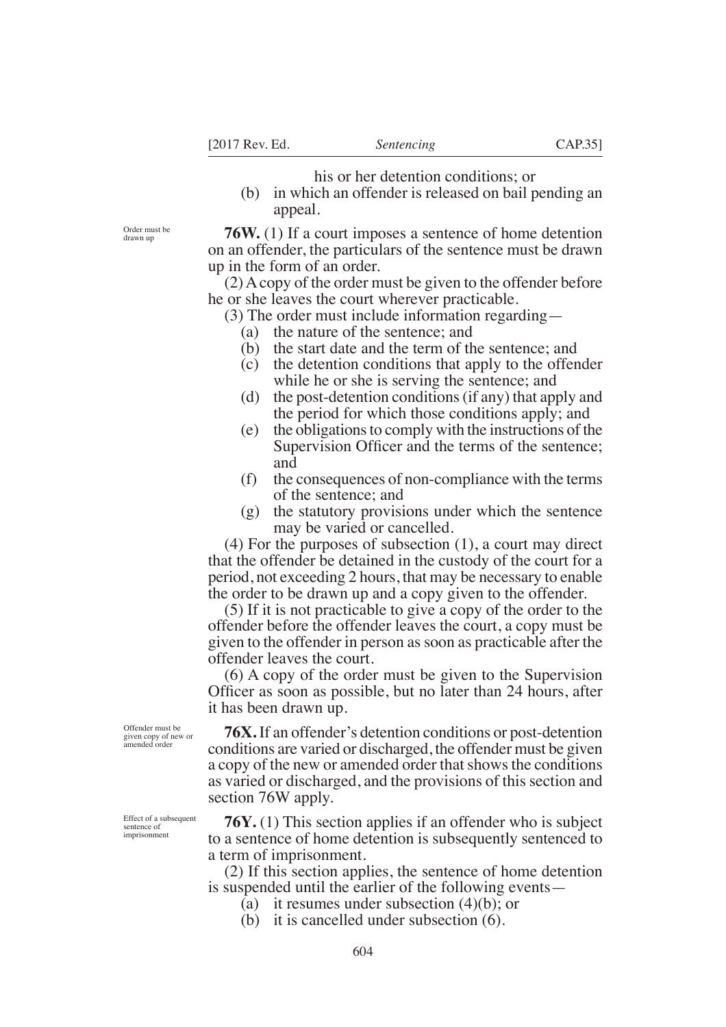his or her detention conditions; or

(b) in which an offender is released on bail pending an appeal.

**76W.** (1) If a court imposes a sentence of home detention on an offender, the particulars of the sentence must be drawn up in the form of an order.

(2) A copy of the order must be given to the offender before he or she leaves the court wherever practicable.

- (3) The order must include information regarding—
	- (a) the nature of the sentence; and
	- (b) the start date and the term of the sentence; and
	- (c) the detention conditions that apply to the offender while he or she is serving the sentence; and
	- (d) the post-detention conditions (if any) that apply and the period for which those conditions apply; and
	- (e) the obligations to comply with the instructions of the Supervision Officer and the terms of the sentence; and
	- (f) the consequences of non-compliance with the terms of the sentence; and
	- (g) the statutory provisions under which the sentence may be varied or cancelled.

(4) For the purposes of subsection (1), a court may direct that the offender be detained in the custody of the court for a period, not exceeding 2 hours, that may be necessary to enable the order to be drawn up and a copy given to the offender.

(5) If it is not practicable to give a copy of the order to the offender before the offender leaves the court, a copy must be given to the offender in person as soon as practicable after the offender leaves the court.

(6) A copy of the order must be given to the Supervision Officer as soon as possible, but no later than 24 hours, after it has been drawn up.

**76X.** If an offender's detention conditions or post-detention conditions are varied or discharged, the offender must be given a copy of the new or amended order that shows the conditions as varied or discharged, and the provisions of this section and section 76W apply.

**76Y.** (1) This section applies if an offender who is subject to a sentence of home detention is subsequently sentenced to a term of imprisonment.

(2) If this section applies, the sentence of home detention is suspended until the earlier of the following events—

- (a) it resumes under subsection (4)(b); or
- (b) it is cancelled under subsection (6).

Offender must be given copy of new or amended order

Order must be drawn up

Effect of a subsequent sentence of imprisonment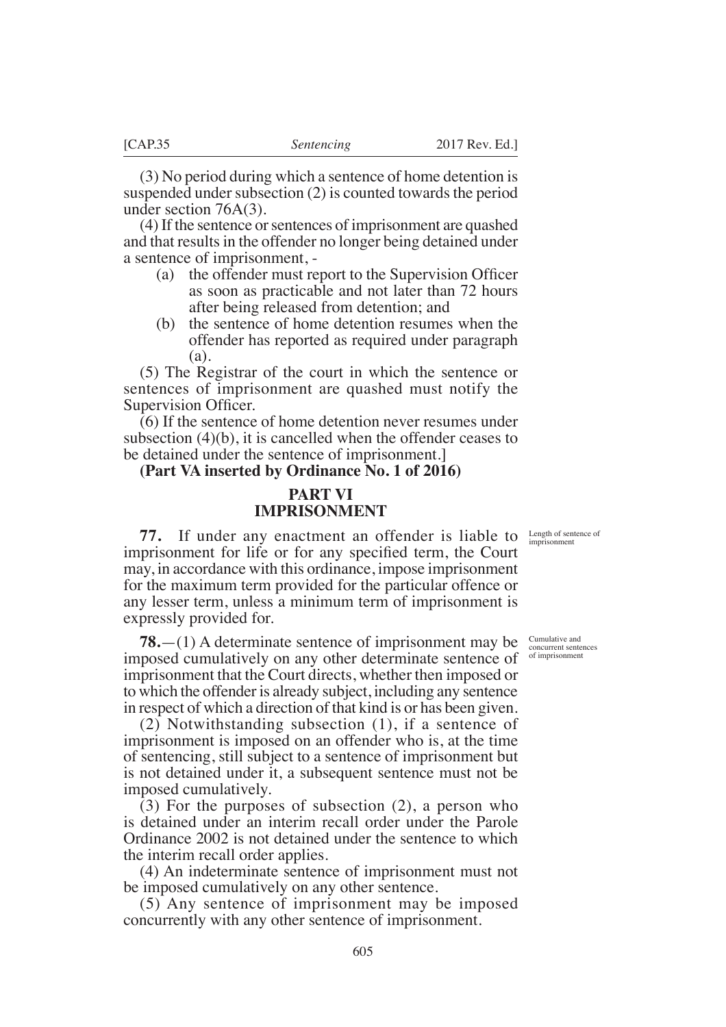(3) No period during which a sentence of home detention is suspended under subsection (2) is counted towards the period under section 76A(3).

(4) If the sentence or sentences of imprisonment are quashed and that results in the offender no longer being detained under a sentence of imprisonment, -

- (a) the offender must report to the Supervision Officer as soon as practicable and not later than 72 hours after being released from detention; and
- (b) the sentence of home detention resumes when the offender has reported as required under paragraph (a).

(5) The Registrar of the court in which the sentence or sentences of imprisonment are quashed must notify the Supervision Officer.

(6) If the sentence of home detention never resumes under subsection (4)(b), it is cancelled when the offender ceases to be detained under the sentence of imprisonment.]

# **(Part VA inserted by Ordinance No. 1 of 2016)**

# **PART VI IMPRISONMENT**

Length of sentence of imprisonment

**77.** If under any enactment an offender is liable to imprisonment for life or for any specified term, the Court may, in accordance with this ordinance, impose imprisonment for the maximum term provided for the particular offence or any lesser term, unless a minimum term of imprisonment is expressly provided for.

**78.**—(1) A determinate sentence of imprisonment may be imposed cumulatively on any other determinate sentence of imprisonment that the Court directs, whether then imposed or to which the offender is already subject, including any sentence in respect of which a direction of that kind is or has been given.

(2) Notwithstanding subsection (1), if a sentence of imprisonment is imposed on an offender who is, at the time of sentencing, still subject to a sentence of imprisonment but is not detained under it, a subsequent sentence must not be imposed cumulatively.

(3) For the purposes of subsection (2), a person who is detained under an interim recall order under the Parole Ordinance 2002 is not detained under the sentence to which the interim recall order applies.

(4) An indeterminate sentence of imprisonment must not be imposed cumulatively on any other sentence.

(5) Any sentence of imprisonment may be imposed concurrently with any other sentence of imprisonment.

Cumulative and concurrent sentences of imprisonment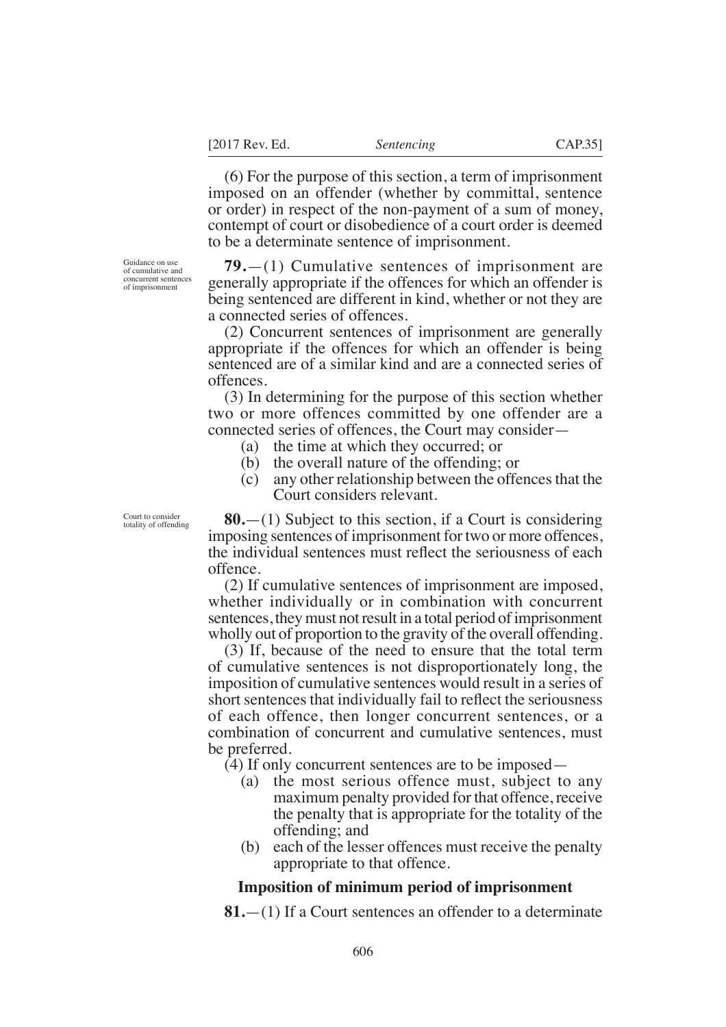(6) For the purpose of this section, a term of imprisonment imposed on an offender (whether by committal, sentence or order) in respect of the non-payment of a sum of money, contempt of court or disobedience of a court order is deemed to be a determinate sentence of imprisonment.

**79.**—(1) Cumulative sentences of imprisonment are generally appropriate if the offences for which an offender is being sentenced are different in kind, whether or not they are a connected series of offences.

(2) Concurrent sentences of imprisonment are generally appropriate if the offences for which an offender is being sentenced are of a similar kind and are a connected series of offences.

(3) In determining for the purpose of this section whether two or more offences committed by one offender are a connected series of offences, the Court may consider—

- (a) the time at which they occurred; or
- (b) the overall nature of the offending; or
- (c) any other relationship between the offences that the Court considers relevant.

**80.**—(1) Subject to this section, if a Court is considering imposing sentences of imprisonment for two or more offences, the individual sentences must reflect the seriousness of each offence.

(2) If cumulative sentences of imprisonment are imposed, whether individually or in combination with concurrent sentences, they must not result in a total period of imprisonment wholly out of proportion to the gravity of the overall offending.

(3) If, because of the need to ensure that the total term of cumulative sentences is not disproportionately long, the imposition of cumulative sentences would result in a series of short sentences that individually fail to reflect the seriousness of each offence, then longer concurrent sentences, or a combination of concurrent and cumulative sentences, must be preferred.

- (4) If only concurrent sentences are to be imposed—
	- (a) the most serious offence must, subject to any maximum penalty provided for that offence, receive the penalty that is appropriate for the totality of the offending; and
	- (b) each of the lesser offences must receive the penalty appropriate to that offence.

### **Imposition of minimum period of imprisonment**

**81.**—(1) If a Court sentences an offender to a determinate

Guidance on use of cumulative and concurrent sentences of imprisonment

Court to consider totality of offending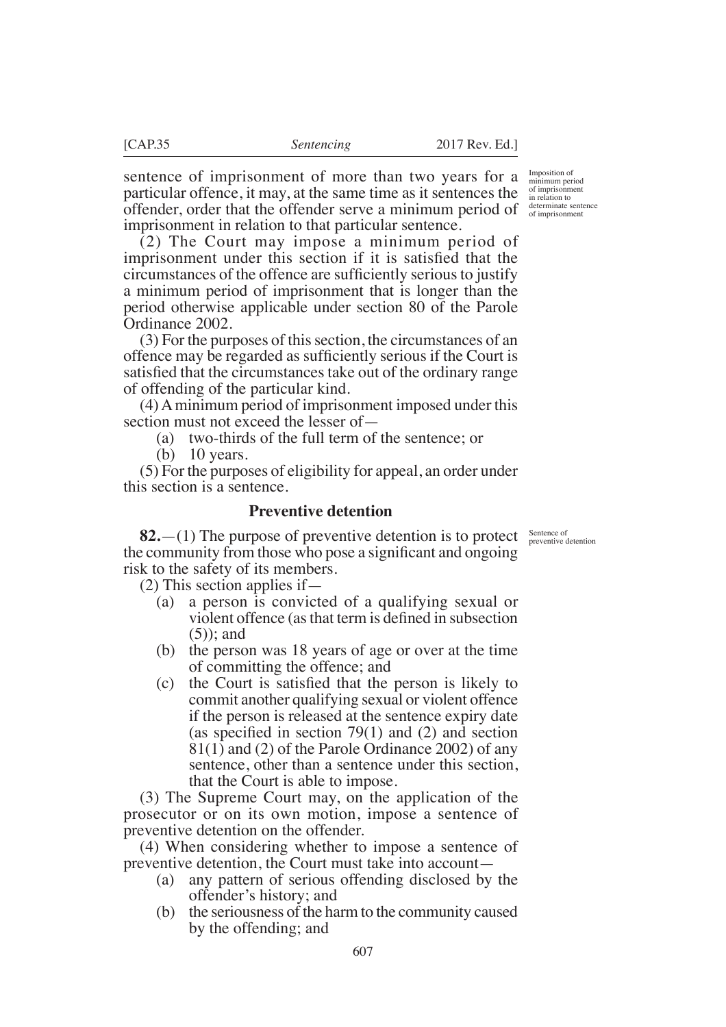sentence of imprisonment of more than two years for a particular offence, it may, at the same time as it sentences the offender, order that the offender serve a minimum period of imprisonment in relation to that particular sentence.

(2) The Court may impose a minimum period of imprisonment under this section if it is satisfied that the circumstances of the offence are sufficiently serious to justify a minimum period of imprisonment that is longer than the period otherwise applicable under section 80 of the Parole Ordinance 2002.

(3) For the purposes of this section, the circumstances of an offence may be regarded as sufficiently serious if the Court is satisfied that the circumstances take out of the ordinary range of offending of the particular kind.

(4) A minimum period of imprisonment imposed under this section must not exceed the lesser of—

(a) two-thirds of the full term of the sentence; or

(b) 10 years.

(5) For the purposes of eligibility for appeal, an order under this section is a sentence.

## **Preventive detention**

**82.**  $-(1)$  The purpose of preventive detention is to protect sentence of preventive detention the community from those who pose a significant and ongoing risk to the safety of its members.

(2) This section applies if—

- (a) a person is convicted of a qualifying sexual or violent offence (as that term is defined in subsection (5)); and
- (b) the person was 18 years of age or over at the time of committing the offence; and
- $(c)$  the Court is satisfied that the person is likely to commit another qualifying sexual or violent offence if the person is released at the sentence expiry date (as specified in section 79(1) and (2) and section 81(1) and (2) of the Parole Ordinance 2002) of any sentence, other than a sentence under this section, that the Court is able to impose.

(3) The Supreme Court may, on the application of the prosecutor or on its own motion, impose a sentence of preventive detention on the offender.

(4) When considering whether to impose a sentence of preventive detention, the Court must take into account—

- (a) any pattern of serious offending disclosed by the offender's history; and
- (b) the seriousness of the harm to the community caused by the offending; and

Imposition of minimum period of imprisonment in relation to determinate sentence of imprisonment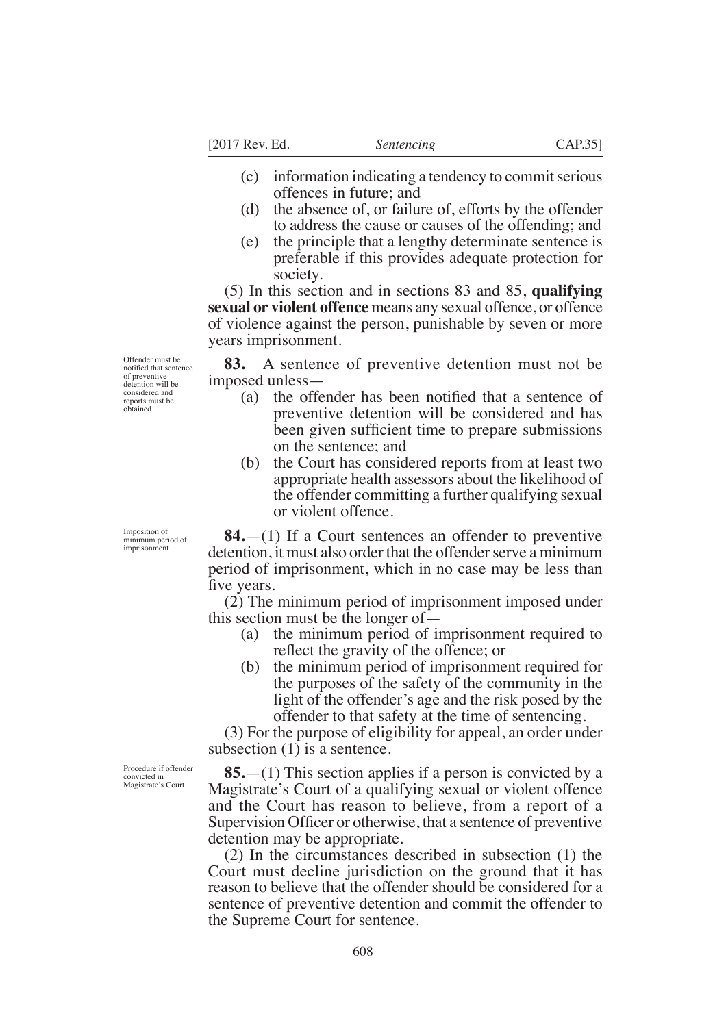[2017 Rev. Ed. *Sentencing* CAP.35]

- (c) information indicating a tendency to commit serious offences in future; and
- (d) the absence of, or failure of, efforts by the offender to address the cause or causes of the offending; and
- (e) the principle that a lengthy determinate sentence is preferable if this provides adequate protection for society.

(5) In this section and in sections 83 and 85, **qualifying sexual or violent offence** means any sexual offence, or offence of violence against the person, punishable by seven or more years imprisonment.

**83.** A sentence of preventive detention must not be imposed unless—

- (a) the offender has been notified that a sentence of preventive detention will be considered and has been given sufficient time to prepare submissions on the sentence; and
- (b) the Court has considered reports from at least two appropriate health assessors about the likelihood of the offender committing a further qualifying sexual or violent offence.

**84.**—(1) If a Court sentences an offender to preventive detention, it must also order that the offender serve a minimum period of imprisonment, which in no case may be less than five years.

(2) The minimum period of imprisonment imposed under this section must be the longer of—

- (a) the minimum period of imprisonment required to reflect the gravity of the offence; or
- (b) the minimum period of imprisonment required for the purposes of the safety of the community in the light of the offender's age and the risk posed by the offender to that safety at the time of sentencing.

(3) For the purpose of eligibility for appeal, an order under subsection (1) is a sentence.

**85.**—(1) This section applies if a person is convicted by a Magistrate's Court of a qualifying sexual or violent offence and the Court has reason to believe, from a report of a Supervision Officer or otherwise, that a sentence of preventive detention may be appropriate.

(2) In the circumstances described in subsection (1) the Court must decline jurisdiction on the ground that it has reason to believe that the offender should be considered for a sentence of preventive detention and commit the offender to the Supreme Court for sentence.

Offender must be notified that sentence of preventive detention will be considered and reports must be obtained

Imposition of minimum period of imprisonment

Procedure if offender convicted in Magistrate's Court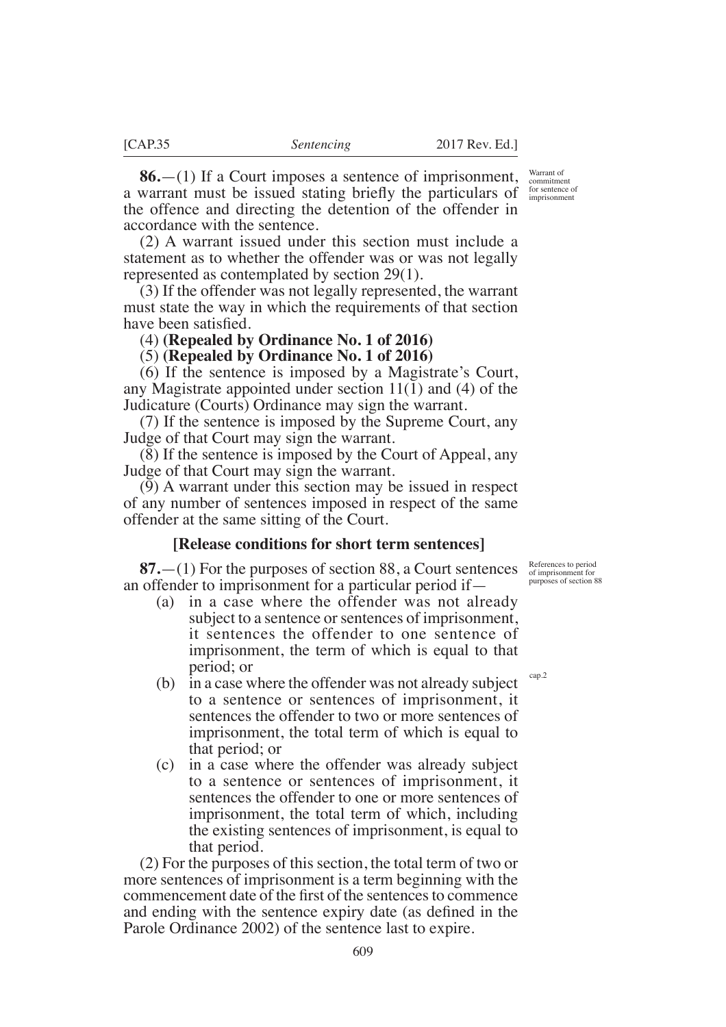**86.**—(1) If a Court imposes a sentence of imprisonment, a warrant must be issued stating briefly the particulars of  $\frac{\text{for sentence of}}{\text{imprisomment}}$ the offence and directing the detention of the offender in accordance with the sentence.

(2) A warrant issued under this section must include a statement as to whether the offender was or was not legally represented as contemplated by section 29(1).

(3) If the offender was not legally represented, the warrant must state the way in which the requirements of that section have been satisfied.

(4) **(Repealed by Ordinance No. 1 of 2016)**

(5) **(Repealed by Ordinance No. 1 of 2016)**

(6) If the sentence is imposed by a Magistrate's Court, any Magistrate appointed under section 11(1) and (4) of the Judicature (Courts) Ordinance may sign the warrant.

(7) If the sentence is imposed by the Supreme Court, any Judge of that Court may sign the warrant.

(8) If the sentence is imposed by the Court of Appeal, any Judge of that Court may sign the warrant.

(9) A warrant under this section may be issued in respect of any number of sentences imposed in respect of the same offender at the same sitting of the Court.

## **[Release conditions for short term sentences]**

**87.**—(1) For the purposes of section 88, a Court sentences an offender to imprisonment for a particular period if—

- (a) in a case where the offender was not already subject to a sentence or sentences of imprisonment, it sentences the offender to one sentence of imprisonment, the term of which is equal to that period; or
- (b) in a case where the offender was not already subject to a sentence or sentences of imprisonment, it sentences the offender to two or more sentences of imprisonment, the total term of which is equal to that period; or
- (c) in a case where the offender was already subject to a sentence or sentences of imprisonment, it sentences the offender to one or more sentences of imprisonment, the total term of which, including the existing sentences of imprisonment, is equal to that period.

(2) For the purposes of this section, the total term of two or more sentences of imprisonment is a term beginning with the commencement date of the first of the sentences to commence and ending with the sentence expiry date (as defined in the Parole Ordinance 2002) of the sentence last to expire.

References to period of imprisonment for purposes of section 88

cap.2

Warrant of commitment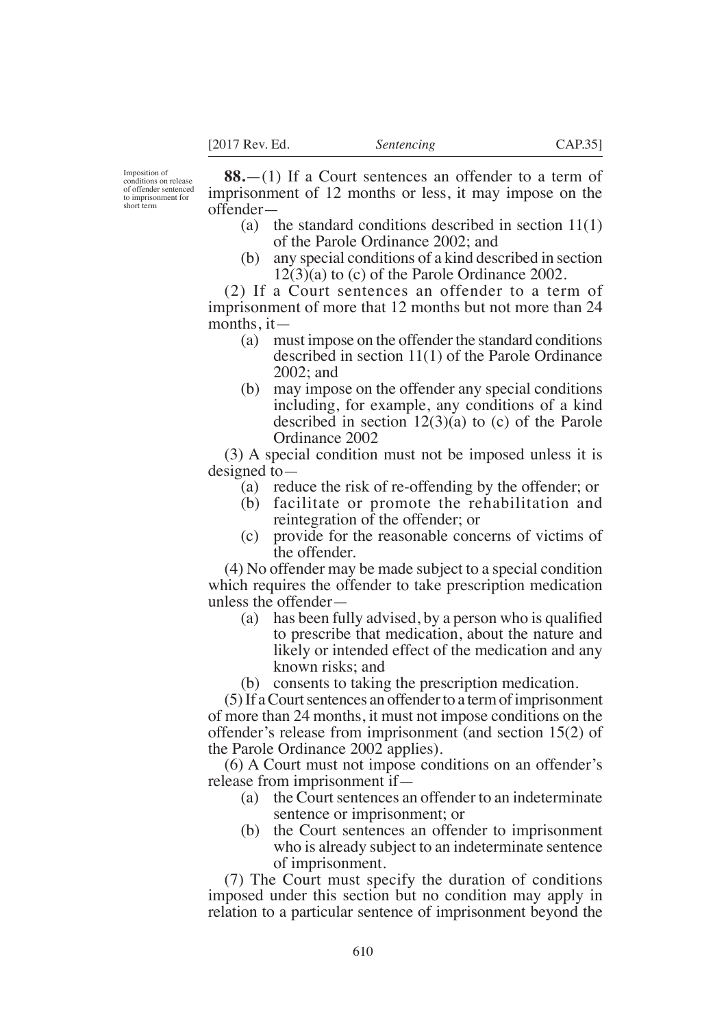Imposition of conditions on release of offender sentenced to imprisonment for short term

**88.**—(1) If a Court sentences an offender to a term of imprisonment of 12 months or less, it may impose on the offender—

- (a) the standard conditions described in section 11(1) of the Parole Ordinance 2002; and
- (b) any special conditions of a kind described in section  $12(3)$ (a) to (c) of the Parole Ordinance 2002.

(2) If a Court sentences an offender to a term of imprisonment of more that 12 months but not more than 24 months, it—

- (a) must impose on the offender the standard conditions described in section 11(1) of the Parole Ordinance 2002; and
- (b) may impose on the offender any special conditions including, for example, any conditions of a kind described in section 12(3)(a) to (c) of the Parole Ordinance 2002

(3) A special condition must not be imposed unless it is designed to—

- (a) reduce the risk of re-offending by the offender; or
- (b) facilitate or promote the rehabilitation and reintegration of the offender; or
- (c) provide for the reasonable concerns of victims of the offender.

(4) No offender may be made subject to a special condition which requires the offender to take prescription medication unless the offender—

- (a) has been fully advised, by a person who is qualified to prescribe that medication, about the nature and likely or intended effect of the medication and any known risks; and
- (b) consents to taking the prescription medication.

(5) If a Court sentences an offender to a term of imprisonment of more than 24 months, it must not impose conditions on the offender's release from imprisonment (and section 15(2) of the Parole Ordinance 2002 applies).

(6) A Court must not impose conditions on an offender's release from imprisonment if—

- (a) the Court sentences an offender to an indeterminate sentence or imprisonment; or
- (b) the Court sentences an offender to imprisonment who is already subject to an indeterminate sentence of imprisonment.

(7) The Court must specify the duration of conditions imposed under this section but no condition may apply in relation to a particular sentence of imprisonment beyond the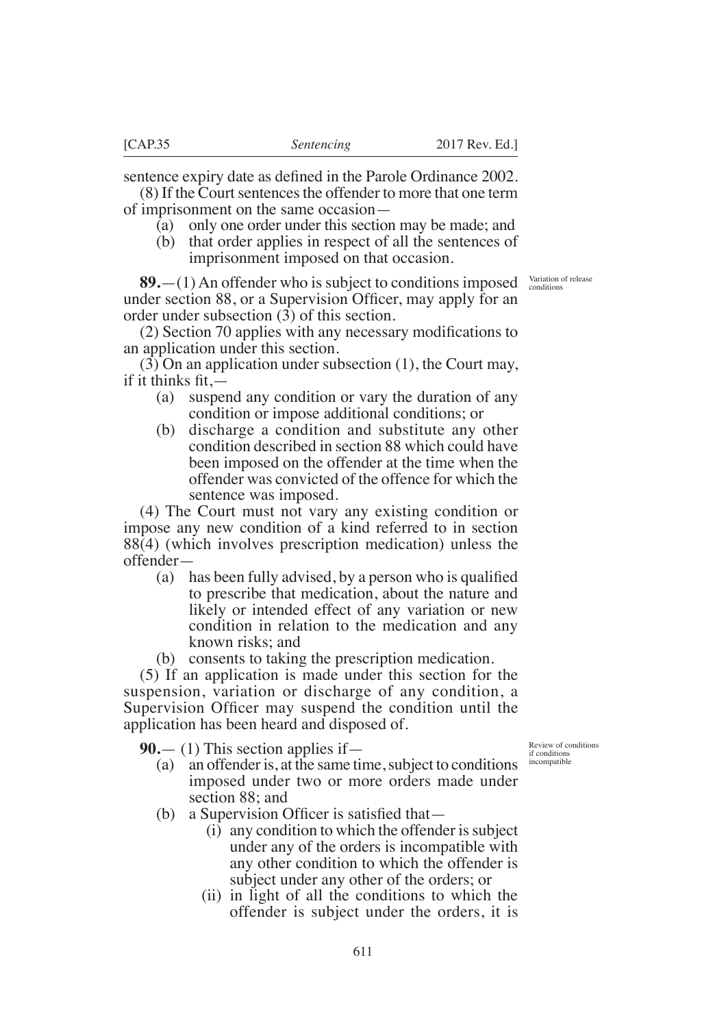sentence expiry date as defined in the Parole Ordinance 2002.

(8) If the Court sentences the offender to more that one term of imprisonment on the same occasion—

- (a) only one order under this section may be made; and
- (b) that order applies in respect of all the sentences of imprisonment imposed on that occasion.

**89.**—(1) An offender who is subject to conditions imposed under section 88, or a Supervision Officer, may apply for an order under subsection (3) of this section.

 $(2)$  Section 70 applies with any necessary modifications to an application under this section.

(3) On an application under subsection (1), the Court may, if it thinks  $fit -$ 

- (a) suspend any condition or vary the duration of any condition or impose additional conditions; or
- (b) discharge a condition and substitute any other condition described in section 88 which could have been imposed on the offender at the time when the offender was convicted of the offence for which the sentence was imposed.

(4) The Court must not vary any existing condition or impose any new condition of a kind referred to in section 88(4) (which involves prescription medication) unless the offender—

- (a) has been fully advised, by a person who is qualified to prescribe that medication, about the nature and likely or intended effect of any variation or new condition in relation to the medication and any known risks; and
- (b) consents to taking the prescription medication.

(5) If an application is made under this section for the suspension, variation or discharge of any condition, a Supervision Officer may suspend the condition until the application has been heard and disposed of.

**90.**— (1) This section applies if—

- (a) an offender is, at the same time, subject to conditions imposed under two or more orders made under section 88; and
- (b) a Supervision Officer is satisfied that  $-$ 
	- (i) any condition to which the offender is subject under any of the orders is incompatible with any other condition to which the offender is subject under any other of the orders; or
	- (ii) in light of all the conditions to which the offender is subject under the orders, it is

Review of conditions if conditions incompatible

Variation of release conditions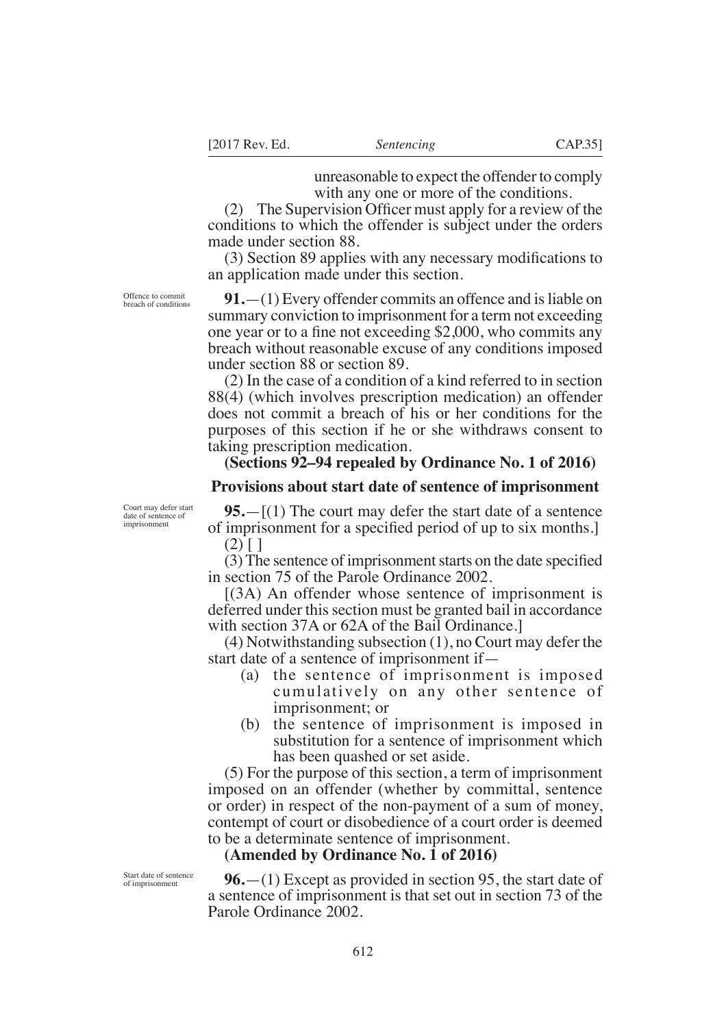unreasonable to expect the offender to comply with any one or more of the conditions.

(2) The Supervision Officer must apply for a review of the conditions to which the offender is subject under the orders made under section 88.

 $(3)$  Section 89 applies with any necessary modifications to an application made under this section.

**91.**—(1) Every offender commits an offence and is liable on summary conviction to imprisonment for a term not exceeding one year or to a fine not exceeding  $$2,000$ , who commits any breach without reasonable excuse of any conditions imposed under section 88 or section 89.

(2) In the case of a condition of a kind referred to in section 88(4) (which involves prescription medication) an offender does not commit a breach of his or her conditions for the purposes of this section if he or she withdraws consent to taking prescription medication.

## **(Sections 92–94 repealed by Ordinance No. 1 of 2016)**

#### **Provisions about start date of sentence of imprisonment**

Court may defer start date of sentence of imprisonment

**95.**—[(1) The court may defer the start date of a sentence of imprisonment for a specified period of up to six months.  $(2)$  [ ]

 $(3)$  The sentence of imprisonment starts on the date specified in section 75 of the Parole Ordinance 2002.

[(3A) An offender whose sentence of imprisonment is deferred under this section must be granted bail in accordance with section 37A or 62A of the Bail Ordinance.

(4) Notwithstanding subsection (1), no Court may defer the start date of a sentence of imprisonment if—

- (a) the sentence of imprisonment is imposed cumulatively on any other sentence of imprisonment; or
- (b) the sentence of imprisonment is imposed in substitution for a sentence of imprisonment which has been quashed or set aside.

(5) For the purpose of this section, a term of imprisonment imposed on an offender (whether by committal, sentence or order) in respect of the non-payment of a sum of money, contempt of court or disobedience of a court order is deemed to be a determinate sentence of imprisonment.

#### **(Amended by Ordinance No. 1 of 2016)**

**96.**—(1) Except as provided in section 95, the start date of a sentence of imprisonment is that set out in section 73 of the Parole Ordinance 2002.

Start date of sentence of imprisonment

Offence to commit breach of conditions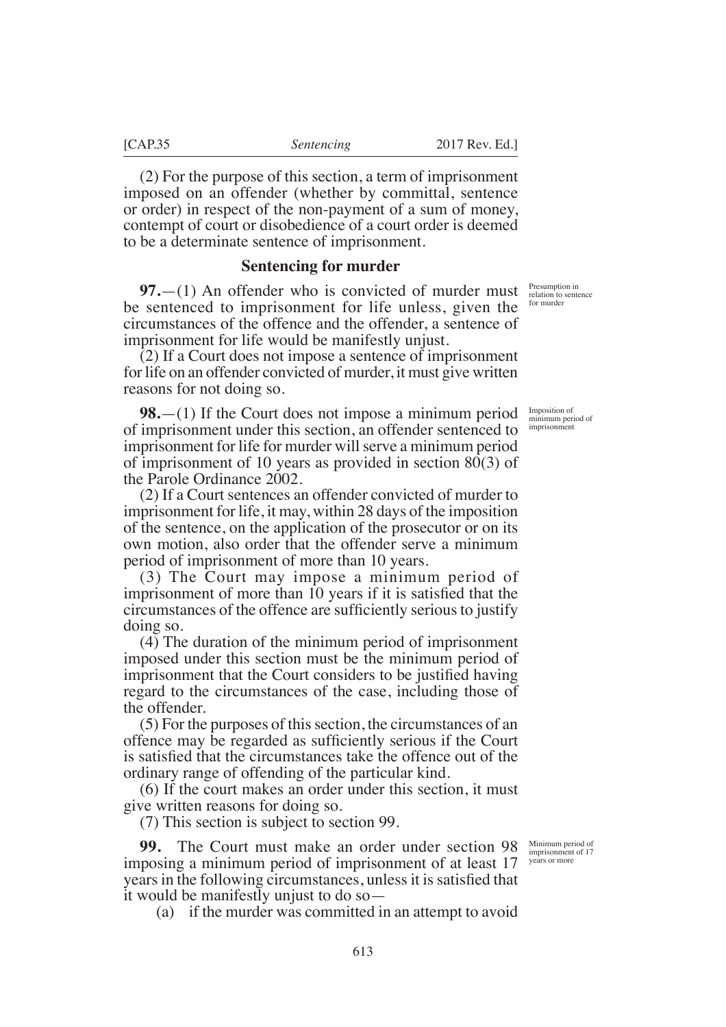(2) For the purpose of this section, a term of imprisonment imposed on an offender (whether by committal, sentence or order) in respect of the non-payment of a sum of money, contempt of court or disobedience of a court order is deemed to be a determinate sentence of imprisonment.

#### **Sentencing for murder**

**97.**—(1) An offender who is convicted of murder must be sentenced to imprisonment for life unless, given the circumstances of the offence and the offender, a sentence of imprisonment for life would be manifestly unjust.

(2) If a Court does not impose a sentence of imprisonment for life on an offender convicted of murder, it must give written reasons for not doing so.

**98.**—(1) If the Court does not impose a minimum period of imprisonment under this section, an offender sentenced to imprisonment for life for murder will serve a minimum period of imprisonment of 10 years as provided in section 80(3) of the Parole Ordinance 2002.

(2) If a Court sentences an offender convicted of murder to imprisonment for life, it may, within 28 days of the imposition of the sentence, on the application of the prosecutor or on its own motion, also order that the offender serve a minimum period of imprisonment of more than 10 years.

(3) The Court may impose a minimum period of imprisonment of more than 10 years if it is satisfied that the circumstances of the offence are sufficiently serious to justify doing so.

(4) The duration of the minimum period of imprisonment imposed under this section must be the minimum period of imprisonment that the Court considers to be justified having regard to the circumstances of the case, including those of the offender.

(5) For the purposes of this section, the circumstances of an offence may be regarded as sufficiently serious if the Court is satisfied that the circumstances take the offence out of the ordinary range of offending of the particular kind.

(6) If the court makes an order under this section, it must give written reasons for doing so.

(7) This section is subject to section 99.

**99.** The Court must make an order under section 98 imposing a minimum period of imprisonment of at least 17 years in the following circumstances, unless it is satisfied that it would be manifestly unjust to do so—

(a) if the murder was committed in an attempt to avoid

Presumption in relation to sentence for murder

Imposition of minimum period of imprisonment

Minimum period of imprisonment of 17 years or more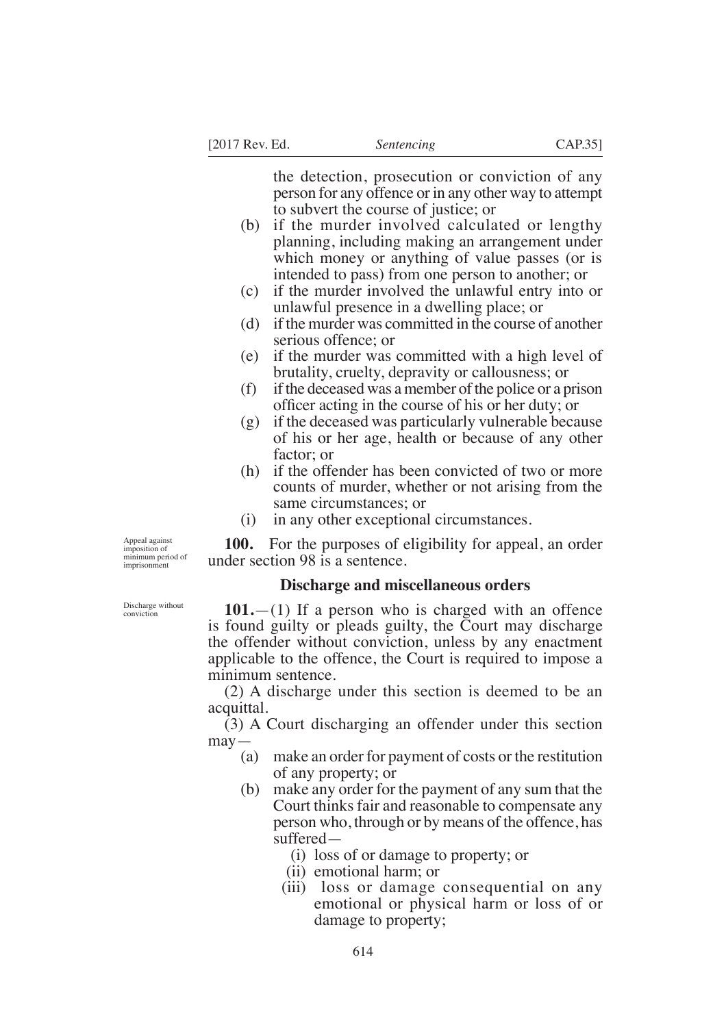the detection, prosecution or conviction of any person for any offence or in any other way to attempt to subvert the course of justice; or

- (b) if the murder involved calculated or lengthy planning, including making an arrangement under which money or anything of value passes (or is intended to pass) from one person to another; or
- (c) if the murder involved the unlawful entry into or unlawful presence in a dwelling place; or
- (d) if the murder was committed in the course of another serious offence; or
- (e) if the murder was committed with a high level of brutality, cruelty, depravity or callousness; or
- (f) if the deceased was a member of the police or a prison officer acting in the course of his or her duty; or
- (g) if the deceased was particularly vulnerable because of his or her age, health or because of any other factor; or
- (h) if the offender has been convicted of two or more counts of murder, whether or not arising from the same circumstances; or
- (i) in any other exceptional circumstances.

**100.** For the purposes of eligibility for appeal, an order under section 98 is a sentence.

#### **Discharge and miscellaneous orders**

**101.**—(1) If a person who is charged with an offence is found guilty or pleads guilty, the Court may discharge the offender without conviction, unless by any enactment applicable to the offence, the Court is required to impose a minimum sentence.

(2) A discharge under this section is deemed to be an acquittal.

 $(3)$  A Court discharging an offender under this section may—

- (a) make an order for payment of costs or the restitution of any property; or
- (b) make any order for the payment of any sum that the Court thinks fair and reasonable to compensate any person who, through or by means of the offence, has suffered—
	- (i) loss of or damage to property; or
	- (ii) emotional harm; or
	- (iii) loss or damage consequential on any emotional or physical harm or loss of or damage to property;

Appeal against imposition of minimum period of imprisonment

Discharge without conviction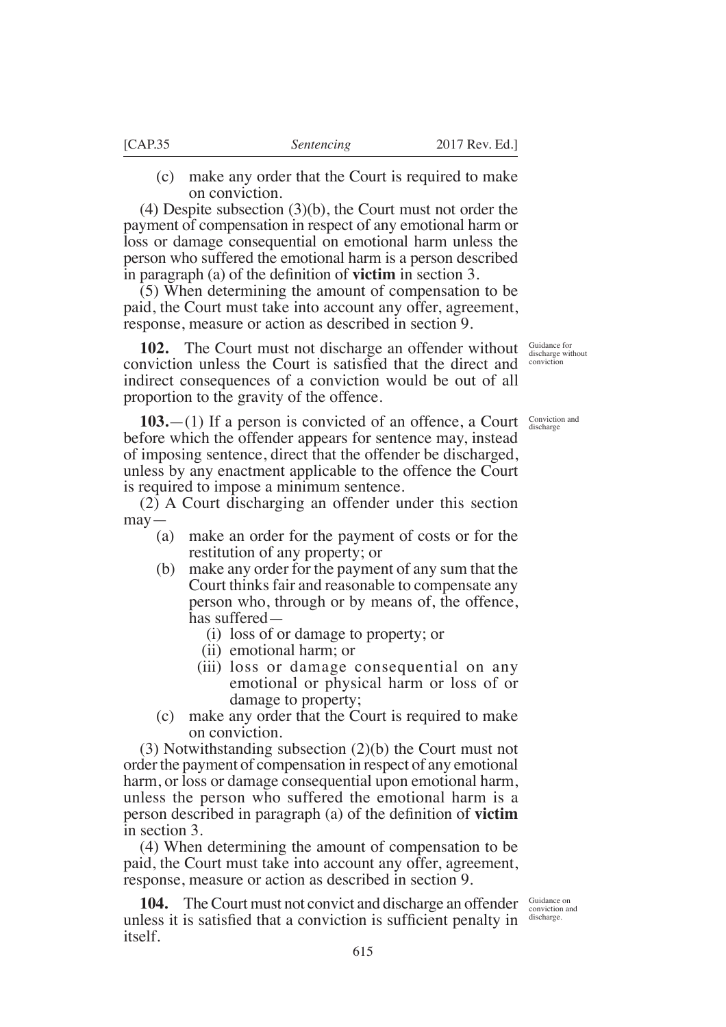- - (c) make any order that the Court is required to make on conviction.

(4) Despite subsection (3)(b), the Court must not order the payment of compensation in respect of any emotional harm or loss or damage consequential on emotional harm unless the person who suffered the emotional harm is a person described in paragraph (a) of the definition of **victim** in section 3.

(5) When determining the amount of compensation to be paid, the Court must take into account any offer, agreement, response, measure or action as described in section 9.

**102.** The Court must not discharge an offender without Guidance for discharge without conviction unless the Court is satisfied that the direct and conviction indirect consequences of a conviction would be out of all proportion to the gravity of the offence.

**103.**—(1) If a person is convicted of an offence, a Court before which the offender appears for sentence may, instead of imposing sentence, direct that the offender be discharged, unless by any enactment applicable to the offence the Court is required to impose a minimum sentence.

(2) A Court discharging an offender under this section may—

- (a) make an order for the payment of costs or for the restitution of any property; or
- (b) make any order for the payment of any sum that the Court thinks fair and reasonable to compensate any person who, through or by means of, the offence, has suffered—
	- (i) loss of or damage to property; or
	- (ii) emotional harm; or
	- (iii) loss or damage consequential on any emotional or physical harm or loss of or damage to property;
- (c) make any order that the Court is required to make on conviction.

(3) Notwithstanding subsection (2)(b) the Court must not order the payment of compensation in respect of any emotional harm, or loss or damage consequential upon emotional harm, unless the person who suffered the emotional harm is a person described in paragraph (a) of the definition of **victim** in section 3.

(4) When determining the amount of compensation to be paid, the Court must take into account any offer, agreement, response, measure or action as described in section 9.

**104.** The Court must not convict and discharge an offender Conviction and unless it is satisfied that a conviction is sufficient penalty in itself.

Conviction and discharge

discharge.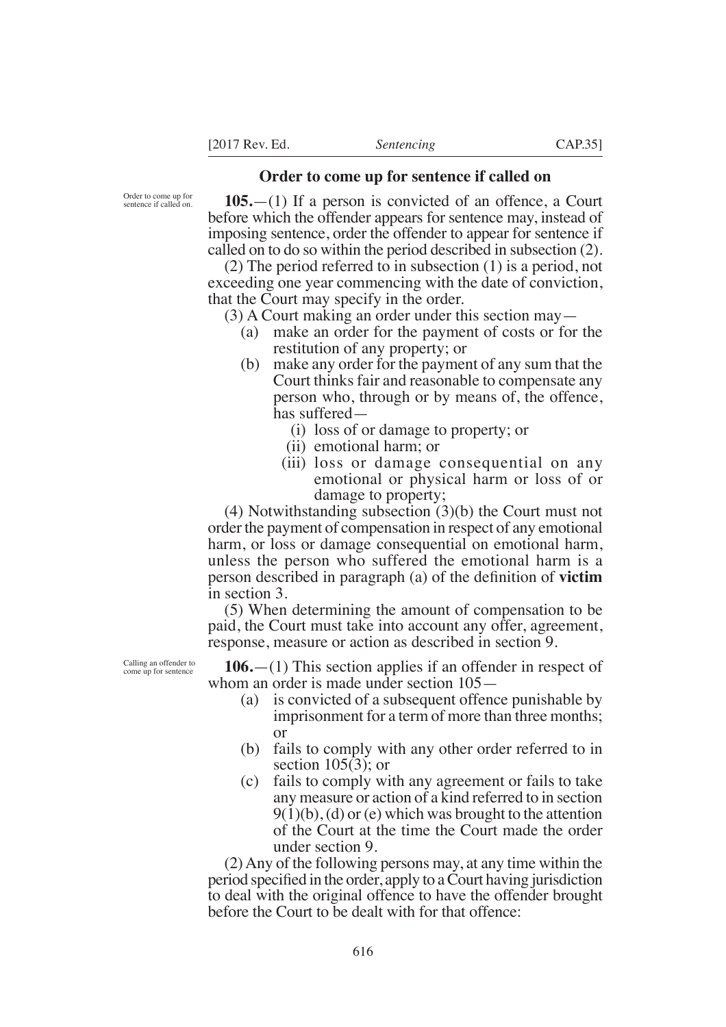### **Order to come up for sentence if called on**

Order to come up for sentence if called on.

**105.**—(1) If a person is convicted of an offence, a Court before which the offender appears for sentence may, instead of imposing sentence, order the offender to appear for sentence if called on to do so within the period described in subsection (2).

(2) The period referred to in subsection (1) is a period, not exceeding one year commencing with the date of conviction, that the Court may specify in the order.

(3) A Court making an order under this section may—

- (a) make an order for the payment of costs or for the restitution of any property; or
- (b) make any order for the payment of any sum that the Court thinks fair and reasonable to compensate any person who, through or by means of, the offence, has suffered—
	- (i) loss of or damage to property; or
	- (ii) emotional harm; or
	- (iii) loss or damage consequential on any emotional or physical harm or loss of or damage to property;

(4) Notwithstanding subsection (3)(b) the Court must not order the payment of compensation in respect of any emotional harm, or loss or damage consequential on emotional harm, unless the person who suffered the emotional harm is a person described in paragraph (a) of the definition of **victim** in section 3.

(5) When determining the amount of compensation to be paid, the Court must take into account any offer, agreement, response, measure or action as described in section 9.

**106.**—(1) This section applies if an offender in respect of whom an order is made under section 105—

- (a) is convicted of a subsequent offence punishable by imprisonment for a term of more than three months; or
- (b) fails to comply with any other order referred to in section  $105(3)$ ; or
- (c) fails to comply with any agreement or fails to take any measure or action of a kind referred to in section  $9(1)(b)$ , (d) or (e) which was brought to the attention of the Court at the time the Court made the order under section 9.

(2) Any of the following persons may, at any time within the period specified in the order, apply to a Court having jurisdiction to deal with the original offence to have the offender brought before the Court to be dealt with for that offence:

Calling an offender to come up for sentence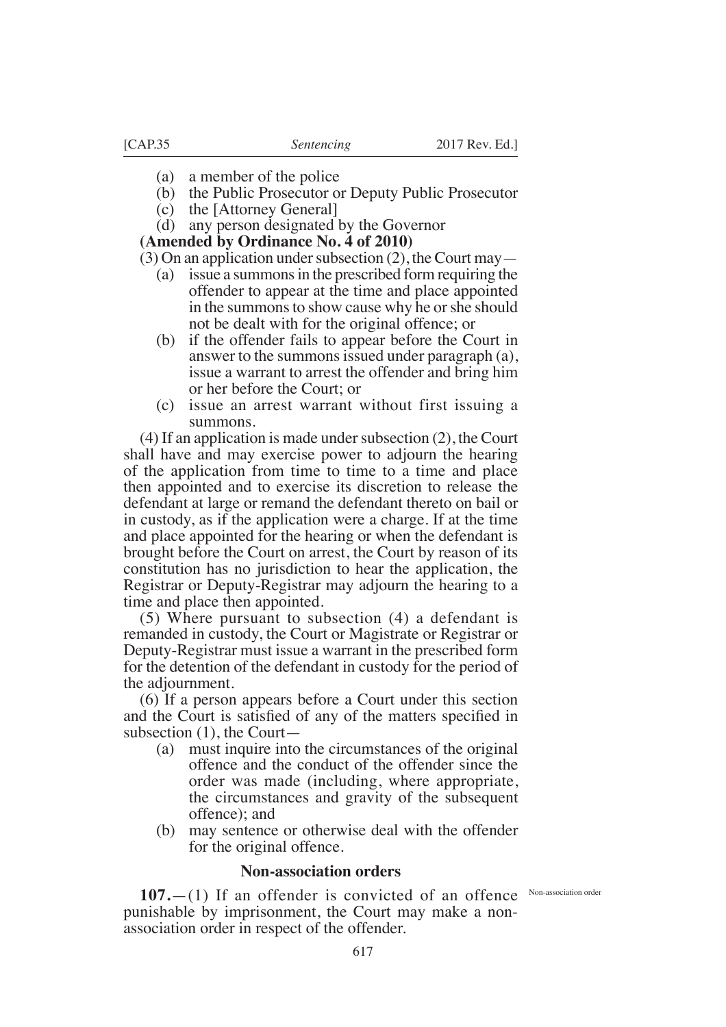- (a) a member of the police
- (b) the Public Prosecutor or Deputy Public Prosecutor
- $(c)$  the [Attorney General]
- (d) any person designated by the Governor

**(Amended by Ordinance No. 4 of 2010)**

(3) On an application under subsection (2), the Court may—

- (a) issue a summons in the prescribed form requiring the offender to appear at the time and place appointed in the summons to show cause why he or she should not be dealt with for the original offence; or
- (b) if the offender fails to appear before the Court in answer to the summons issued under paragraph (a), issue a warrant to arrest the offender and bring him or her before the Court; or
- (c) issue an arrest warrant without first issuing a summons.

(4) If an application is made under subsection (2), the Court shall have and may exercise power to adjourn the hearing of the application from time to time to a time and place then appointed and to exercise its discretion to release the defendant at large or remand the defendant thereto on bail or in custody, as if the application were a charge. If at the time and place appointed for the hearing or when the defendant is brought before the Court on arrest, the Court by reason of its constitution has no jurisdiction to hear the application, the Registrar or Deputy-Registrar may adjourn the hearing to a time and place then appointed.

(5) Where pursuant to subsection (4) a defendant is remanded in custody, the Court or Magistrate or Registrar or Deputy-Registrar must issue a warrant in the prescribed form for the detention of the defendant in custody for the period of the adjournment.

(6) If a person appears before a Court under this section and the Court is satisfied of any of the matters specified in subsection (1), the Court—

- (a) must inquire into the circumstances of the original offence and the conduct of the offender since the order was made (including, where appropriate, the circumstances and gravity of the subsequent offence); and
- (b) may sentence or otherwise deal with the offender for the original offence.

## **Non-association orders**

**107.** (1) If an offender is convicted of an offence Non-association order punishable by imprisonment, the Court may make a nonassociation order in respect of the offender.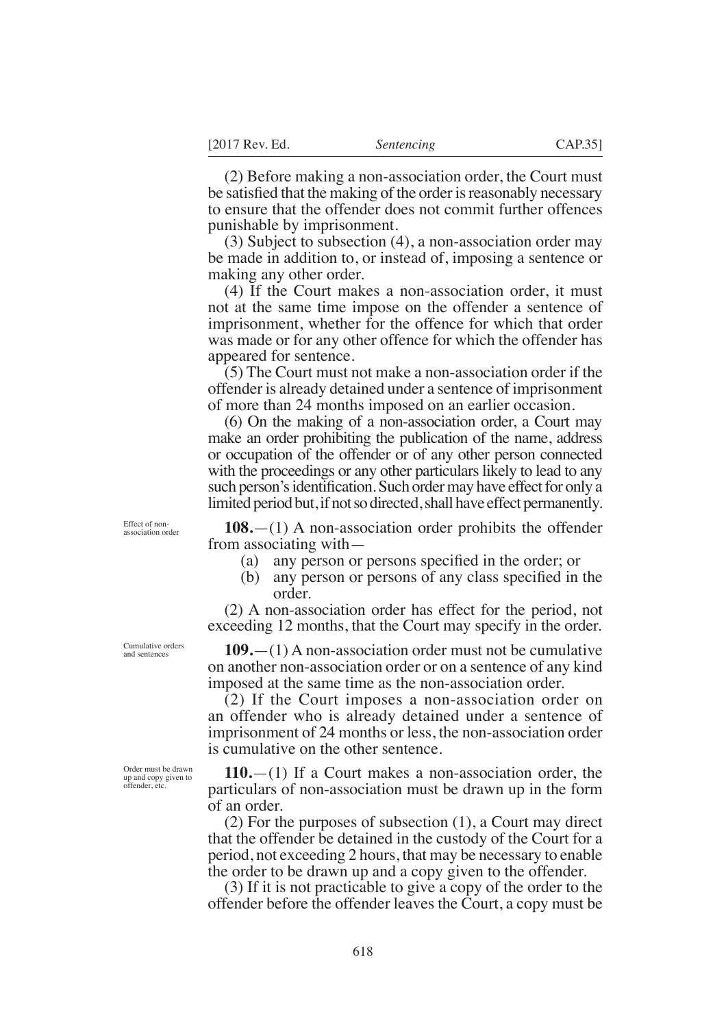(2) Before making a non-association order, the Court must be satisfied that the making of the order is reasonably necessary to ensure that the offender does not commit further offences punishable by imprisonment.

(3) Subject to subsection (4), a non-association order may be made in addition to, or instead of, imposing a sentence or making any other order.

(4) If the Court makes a non-association order, it must not at the same time impose on the offender a sentence of imprisonment, whether for the offence for which that order was made or for any other offence for which the offender has appeared for sentence.

(5) The Court must not make a non-association order if the offender is already detained under a sentence of imprisonment of more than 24 months imposed on an earlier occasion.

(6) On the making of a non-association order, a Court may make an order prohibiting the publication of the name, address or occupation of the offender or of any other person connected with the proceedings or any other particulars likely to lead to any such person's identification. Such order may have effect for only a limited period but, if not so directed, shall have effect permanently.

Effect of nonassociation order

**108.**—(1) A non-association order prohibits the offender from associating with—

- (a) any person or persons specified in the order; or
- (b) any person or persons of any class specified in the order.

(2) A non-association order has effect for the period, not exceeding 12 months, that the Court may specify in the order.

**109.**—(1) A non-association order must not be cumulative on another non-association order or on a sentence of any kind imposed at the same time as the non-association order.

(2) If the Court imposes a non-association order on an offender who is already detained under a sentence of imprisonment of 24 months or less, the non-association order is cumulative on the other sentence.

**110.**—(1) If a Court makes a non-association order, the particulars of non-association must be drawn up in the form of an order.

(2) For the purposes of subsection (1), a Court may direct that the offender be detained in the custody of the Court for a period, not exceeding 2 hours, that may be necessary to enable the order to be drawn up and a copy given to the offender.

(3) If it is not practicable to give a copy of the order to the offender before the offender leaves the Court, a copy must be

Cumulative orders and sentences

Order must be drawn up and copy given to offender, etc.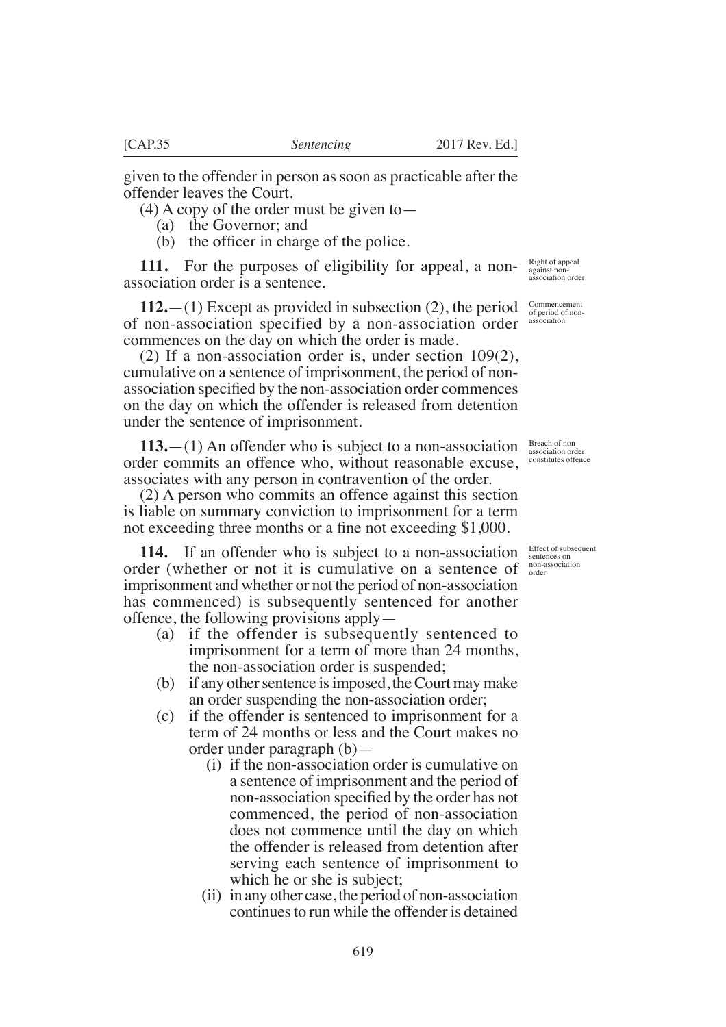given to the offender in person as soon as practicable after the offender leaves the Court.

- (4) A copy of the order must be given to—
	- (a) the Governor: and
	- (b) the officer in charge of the police.

**111.** For the purposes of eligibility for appeal, a nonassociation order is a sentence.

**112.**—(1) Except as provided in subsection (2), the period of non-association specified by a non-association order commences on the day on which the order is made.

(2) If a non-association order is, under section 109(2), cumulative on a sentence of imprisonment, the period of nonassociation specified by the non-association order commences on the day on which the offender is released from detention under the sentence of imprisonment.

**113.**—(1) An offender who is subject to a non-association order commits an offence who, without reasonable excuse, associates with any person in contravention of the order.

(2) A person who commits an offence against this section is liable on summary conviction to imprisonment for a term not exceeding three months or a fine not exceeding  $$1,000$ .

**114.** If an offender who is subject to a non-association order (whether or not it is cumulative on a sentence of imprisonment and whether or not the period of non-association has commenced) is subsequently sentenced for another offence, the following provisions apply—

- (a) if the offender is subsequently sentenced to imprisonment for a term of more than 24 months, the non-association order is suspended;
- (b) if any other sentence is imposed, the Court may make an order suspending the non-association order;
- (c) if the offender is sentenced to imprisonment for a term of 24 months or less and the Court makes no order under paragraph (b)—
	- (i) if the non-association order is cumulative on a sentence of imprisonment and the period of non-association specified by the order has not commenced, the period of non-association does not commence until the day on which the offender is released from detention after serving each sentence of imprisonment to which he or she is subject;
	- (ii) in any other case, the period of non-association continues to run while the offender is detained

Right of appeal against non-association order

Commencement of period of nonassociation

Breach of non-<br>association order association order constitutes offence

Effect of subsequent sentences on non-association order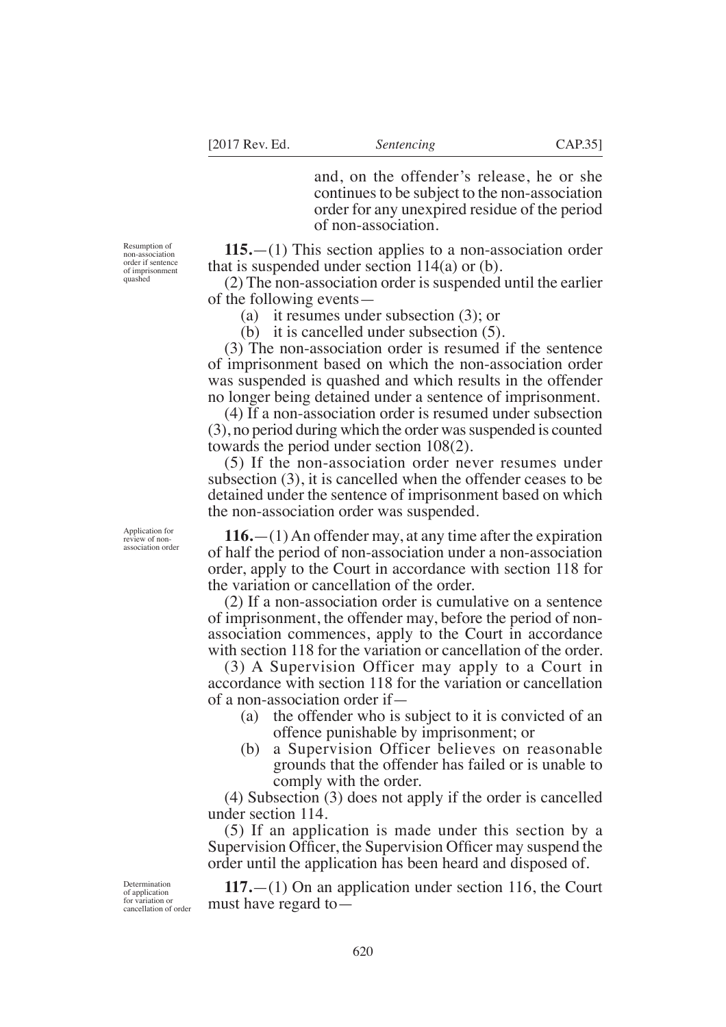and, on the offender's release, he or she continues to be subject to the non-association order for any unexpired residue of the period of non-association.

Resumption of non-association order if sentence of imprisonment quashed

**115.**—(1) This section applies to a non-association order that is suspended under section 114(a) or (b).

(2) The non-association order is suspended until the earlier of the following events—

(a) it resumes under subsection (3); or

(b) it is cancelled under subsection (5).

(3) The non-association order is resumed if the sentence of imprisonment based on which the non-association order was suspended is quashed and which results in the offender no longer being detained under a sentence of imprisonment.

(4) If a non-association order is resumed under subsection (3), no period during which the order was suspended is counted towards the period under section 108(2).

(5) If the non-association order never resumes under subsection (3), it is cancelled when the offender ceases to be detained under the sentence of imprisonment based on which the non-association order was suspended.

**116.**—(1) An offender may, at any time after the expiration of half the period of non-association under a non-association order, apply to the Court in accordance with section 118 for the variation or cancellation of the order.

(2) If a non-association order is cumulative on a sentence of imprisonment, the offender may, before the period of nonassociation commences, apply to the Court in accordance with section 118 for the variation or cancellation of the order.

(3) A Supervision Officer may apply to a Court in accordance with section 118 for the variation or cancellation of a non-association order if—

- (a) the offender who is subject to it is convicted of an offence punishable by imprisonment; or
- (b) a Supervision Officer believes on reasonable grounds that the offender has failed or is unable to comply with the order.

(4) Subsection (3) does not apply if the order is cancelled under section 114.

(5) If an application is made under this section by a Supervision Officer, the Supervision Officer may suspend the order until the application has been heard and disposed of.

**117.**—(1) On an application under section 116, the Court must have regard to—

Application for review of nonassociation order

Determination of application for variation or cancellation of order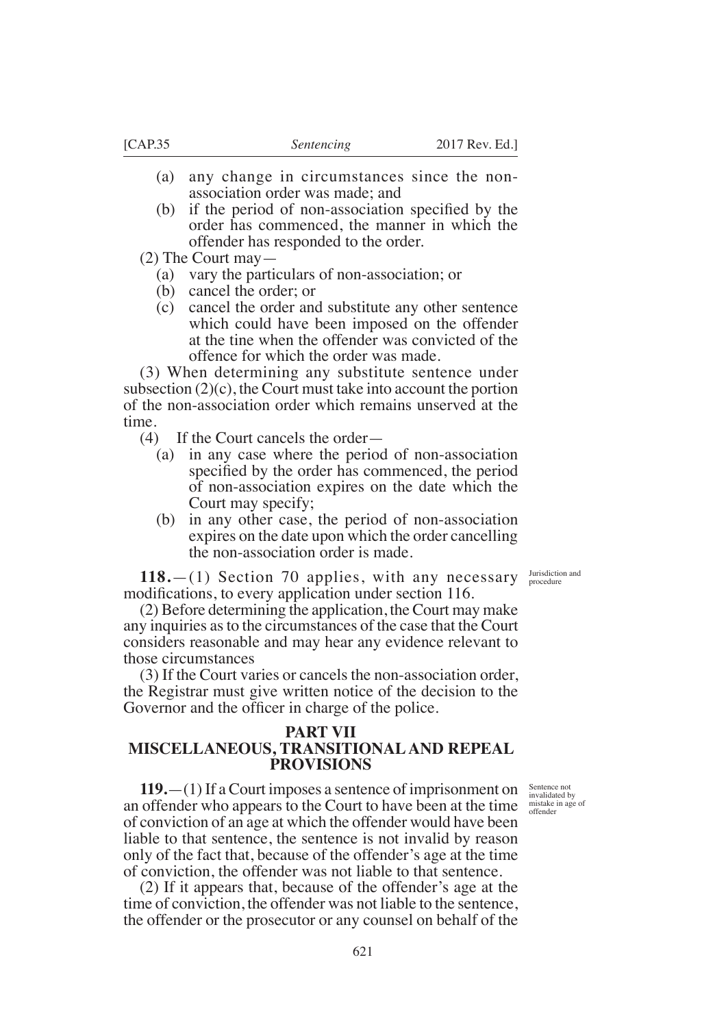- (a) any change in circumstances since the nonassociation order was made; and
- (b) if the period of non-association specified by the order has commenced, the manner in which the offender has responded to the order.

(2) The Court may—

- (a) vary the particulars of non-association; or
- (b) cancel the order; or
- (c) cancel the order and substitute any other sentence which could have been imposed on the offender at the tine when the offender was convicted of the offence for which the order was made.

(3) When determining any substitute sentence under subsection  $(2)(c)$ , the Court must take into account the portion of the non-association order which remains unserved at the time.

- (4) If the Court cancels the order—
	- (a) in any case where the period of non-association specified by the order has commenced, the period of non-association expires on the date which the Court may specify;
	- (b) in any other case, the period of non-association expires on the date upon which the order cancelling the non-association order is made.

Jurisdiction and procedure

**118.**—(1) Section 70 applies, with any necessary modifications, to every application under section 116.

(2) Before determining the application, the Court may make any inquiries as to the circumstances of the case that the Court considers reasonable and may hear any evidence relevant to those circumstances

(3) If the Court varies or cancels the non-association order, the Registrar must give written notice of the decision to the Governor and the officer in charge of the police.

## **PART VII**

# **MISCELLANEOUS, TRANSITIONAL AND REPEAL PROVISIONS**

Sentence not invalidated by mistake in age of offender

**119.**—(1) If a Court imposes a sentence of imprisonment on an offender who appears to the Court to have been at the time of conviction of an age at which the offender would have been liable to that sentence, the sentence is not invalid by reason only of the fact that, because of the offender's age at the time of conviction, the offender was not liable to that sentence.

(2) If it appears that, because of the offender's age at the time of conviction, the offender was not liable to the sentence, the offender or the prosecutor or any counsel on behalf of the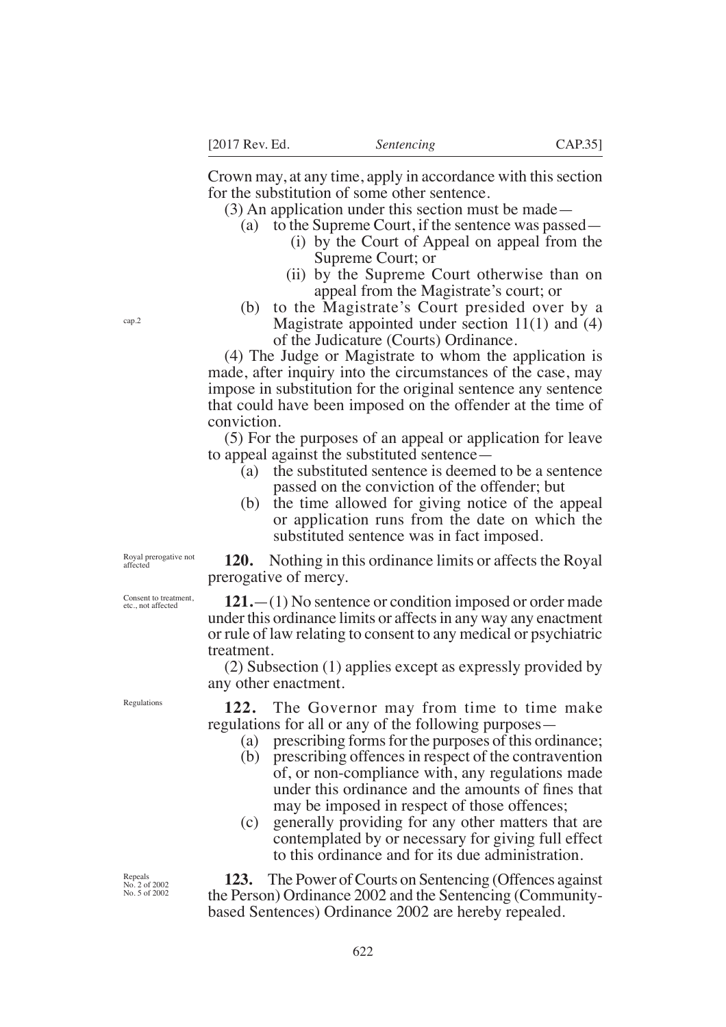Crown may, at any time, apply in accordance with this section for the substitution of some other sentence.

(3) An application under this section must be made—

- (a) to the Supreme Court, if the sentence was passed—
	- (i) by the Court of Appeal on appeal from the Supreme Court; or
	- (ii) by the Supreme Court otherwise than on appeal from the Magistrate's court; or
- (b) to the Magistrate's Court presided over by a Magistrate appointed under section 11(1) and (4) of the Judicature (Courts) Ordinance.

(4) The Judge or Magistrate to whom the application is made, after inquiry into the circumstances of the case, may impose in substitution for the original sentence any sentence that could have been imposed on the offender at the time of conviction.

(5) For the purposes of an appeal or application for leave to appeal against the substituted sentence—

- (a) the substituted sentence is deemed to be a sentence passed on the conviction of the offender; but
- (b) the time allowed for giving notice of the appeal or application runs from the date on which the substituted sentence was in fact imposed.

**120.** Nothing in this ordinance limits or affects the Royal prerogative of mercy.

**121.**—(1) No sentence or condition imposed or order made under this ordinance limits or affects in any way any enactment or rule of law relating to consent to any medical or psychiatric treatment.

(2) Subsection (1) applies except as expressly provided by any other enactment.

**122.** The Governor may from time to time make regulations for all or any of the following purposes—

- (a) prescribing forms for the purposes of this ordinance;
- (b) prescribing offences in respect of the contravention of, or non-compliance with, any regulations made under this ordinance and the amounts of fines that may be imposed in respect of those offences;
- (c) generally providing for any other matters that are contemplated by or necessary for giving full effect to this ordinance and for its due administration.

**123.** The Power of Courts on Sentencing (Offences against the Person) Ordinance 2002 and the Sentencing (Communitybased Sentences) Ordinance 2002 are hereby repealed.

Royal prerogative not affected

Consent to treatment, etc., not affected

Regulations

Repeals No. 2 of 2002 No. 5 of 2002

cap.2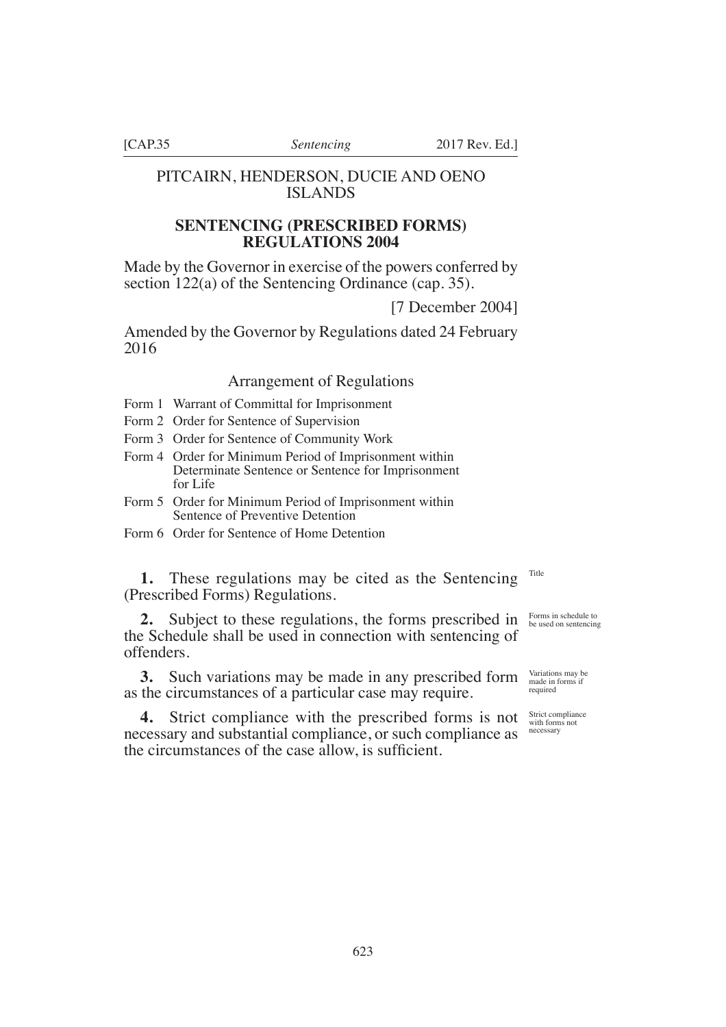# PITCAIRN, HENDERSON, DUCIE AND OENO ISLANDS

# **SENTENCING (PRESCRIBED FORMS) REGULATIONS 2004**

Made by the Governor in exercise of the powers conferred by section 122(a) of the Sentencing Ordinance (cap. 35).

[7 December 2004]

Amended by the Governor by Regulations dated 24 February 2016

# Arrangement of Regulations

- Form 1 Warrant of Committal for Imprisonment
- Form 2 Order for Sentence of Supervision
- Form 3 Order for Sentence of Community Work
- Form 4 Order for Minimum Period of Imprisonment within Determinate Sentence or Sentence for Imprisonment for Life
- Form 5 Order for Minimum Period of Imprisonment within Sentence of Preventive Detention
- Form 6 Order for Sentence of Home Detention

**1.** These regulations may be cited as the Sentencing (Prescribed Forms) Regulations. Title

**2.** Subject to these regulations, the forms prescribed in the Schedule shall be used in connection with sentencing of offenders.

**3.** Such variations may be made in any prescribed form as the circumstances of a particular case may require.

**4.** Strict compliance with the prescribed forms is not necessary and substantial compliance, or such compliance as the circumstances of the case allow, is sufficient.

Forms in schedule to be used on sentencing

Variations may be made in forms if required

Strict compliance with forms not necessary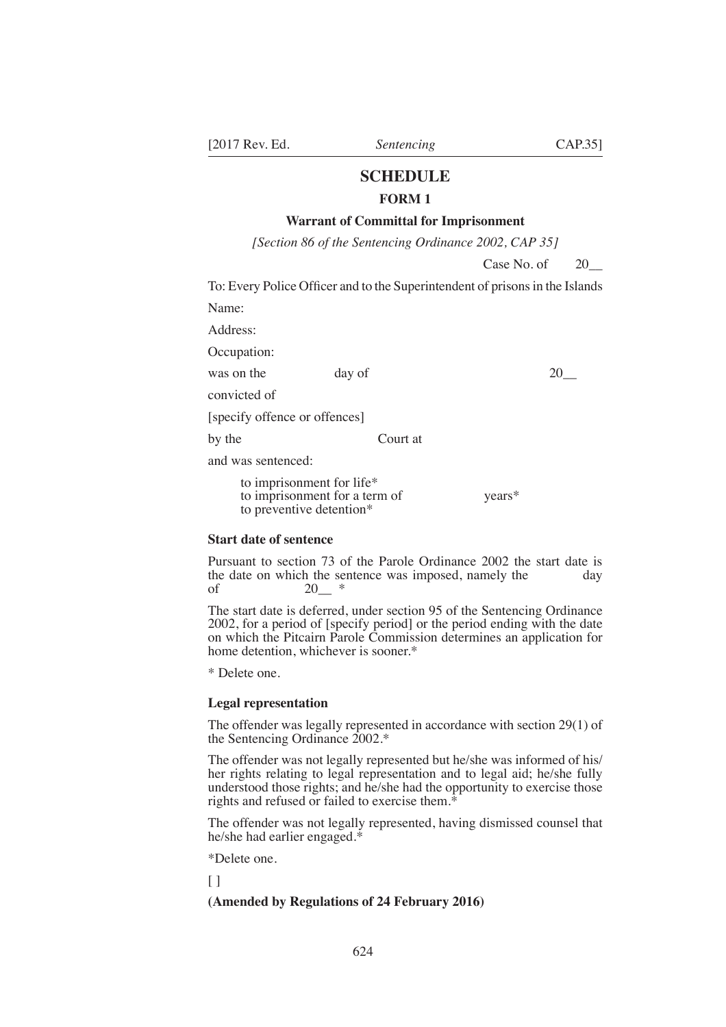# **SCHEDULE**

# **FORM 1**

# **Warrant of Committal for Imprisonment**

*[Section 86 of the Sentencing Ordinance 2002, CAP 35]* 

Case No. of  $\qquad 20$ 

To: Every Police Officer and to the Superintendent of prisons in the Islands

Name:

Address:

Occupation:

was on the day of 20\_

convicted of

[specify offence or offences]

by the Court at

and was sentenced:

to imprisonment for life\* to imprisonment for a term of years\* to preventive detention\*

#### **Start date of sentence**

Pursuant to section 73 of the Parole Ordinance 2002 the start date is the date on which the sentence was imposed, namely the day of  $20$  \*

The start date is deferred, under section 95 of the Sentencing Ordinance 2002, for a period of [specify period] or the period ending with the date on which the Pitcairn Parole Commission determines an application for home detention, whichever is sooner.\*

\* Delete one.

#### **Legal representation**

The offender was legally represented in accordance with section 29(1) of the Sentencing Ordinance 2002.\*

The offender was not legally represented but he/she was informed of his/ her rights relating to legal representation and to legal aid; he/she fully understood those rights; and he/she had the opportunity to exercise those rights and refused or failed to exercise them.<sup>\*</sup>

The offender was not legally represented, having dismissed counsel that he/she had earlier engaged.\*

\*Delete one.

 $\lceil$   $\rceil$ 

## **(Amended by Regulations of 24 February 2016)**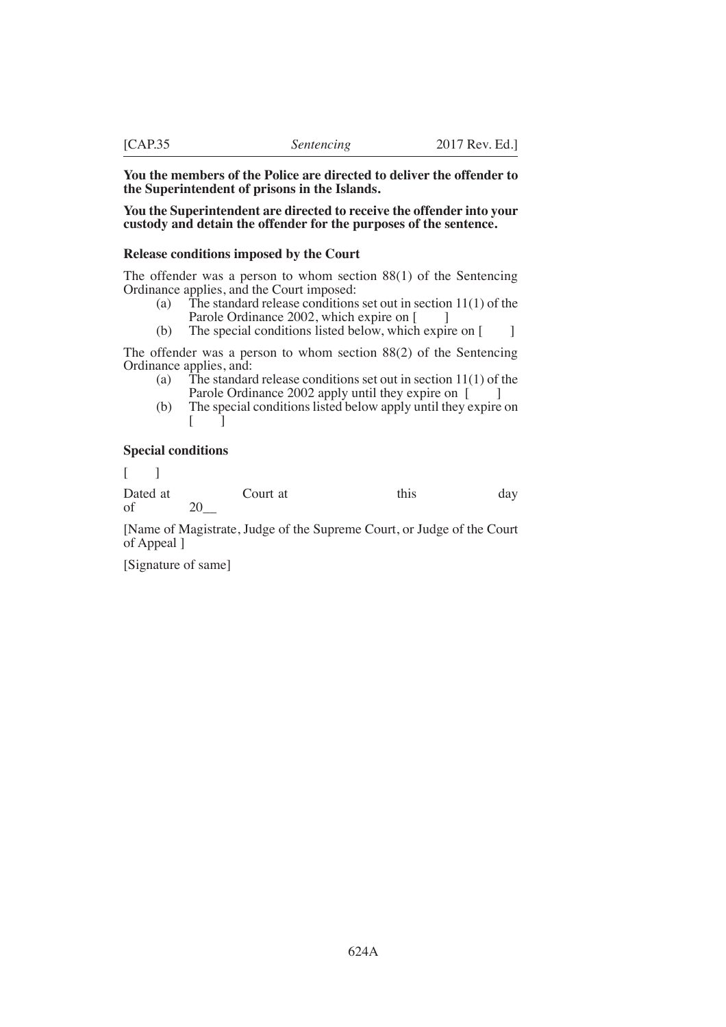### **You the members of the Police are directed to deliver the offender to the Superintendent of prisons in the Islands.**

#### **You the Superintendent are directed to receive the offender into your custody and detain the offender for the purposes of the sentence.**

#### **Release conditions imposed by the Court**

The offender was a person to whom section 88(1) of the Sentencing Ordinance applies, and the Court imposed:

- (a) The standard release conditions set out in section  $11(1)$  of the Parole Ordinance 2002, which expire on [
- (b) The special conditions listed below, which expire on  $\lceil \cdot \cdot \rceil$

The offender was a person to whom section 88(2) of the Sentencing Ordinance applies, and:

- (a) The standard release conditions set out in section  $11(1)$  of the Parole Ordinance 2002 apply until they expire on [
- (b) The special conditions listed below apply until they expire on  $\lceil$

## **Special conditions**

 $\lceil$   $\lceil$ 

Dated at Court at this day of 20\_\_

[Name of Magistrate, Judge of the Supreme Court, or Judge of the Court of Appeal ]

[Signature of same]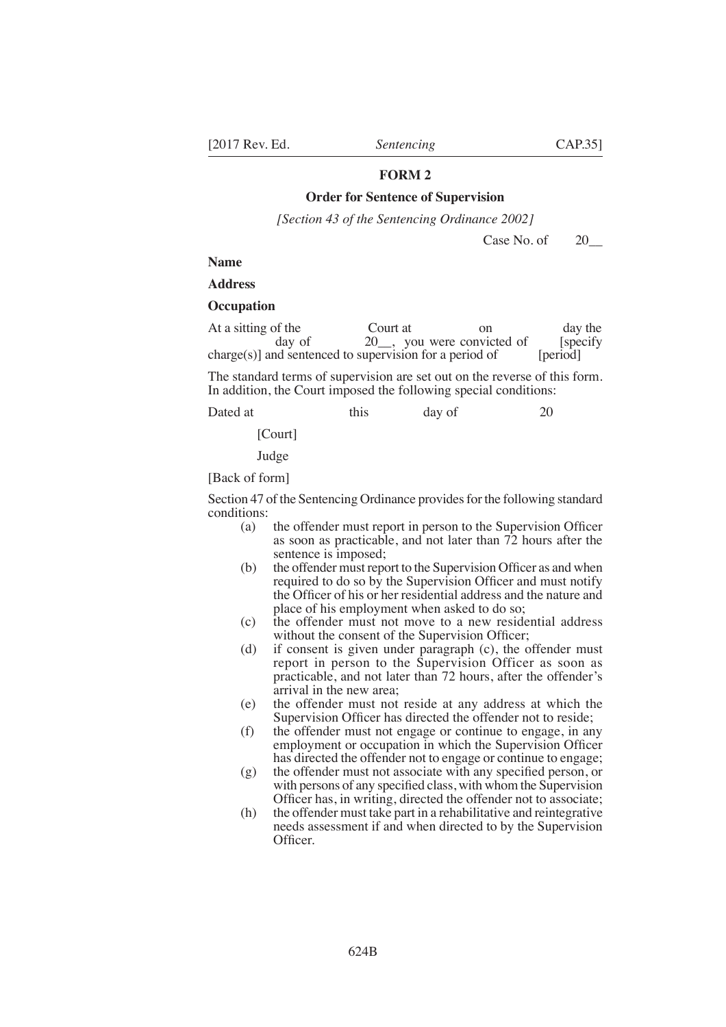## **Order for Sentence of Supervision**

*[Section 43 of the Sentencing Ordinance 2002]* 

Case No. of 20\_

#### **Name**

**Address** 

#### **Occupation**

| At a sitting of the                                        | Court at | $_{\rm on}$                           | day the   |
|------------------------------------------------------------|----------|---------------------------------------|-----------|
| day of                                                     |          | 20 <sub>,</sub> you were convicted of | [specify] |
| $charge(s)$ ] and sentenced to supervision for a period of |          |                                       | [period]  |

The standard terms of supervision are set out on the reverse of this form. In addition, the Court imposed the following special conditions:

| Dated at | this | day of | 20 |
|----------|------|--------|----|
|          |      |        |    |

[Court]

Judge

[Back of form]

Section 47 of the Sentencing Ordinance provides for the following standard conditions:<br>(a)

- the offender must report in person to the Supervision Officer as soon as practicable, and not later than 72 hours after the sentence is imposed;
- $(b)$  the offender must report to the Supervision Officer as and when required to do so by the Supervision Officer and must notify the Officer of his or her residential address and the nature and place of his employment when asked to do so;
- (c) the offender must not move to a new residential address without the consent of the Supervision Officer;
- (d) if consent is given under paragraph (c), the offender must report in person to the Supervision Officer as soon as practicable, and not later than 72 hours, after the offender's arrival in the new area;
- (e) the offender must not reside at any address at which the Supervision Officer has directed the offender not to reside;
- (f) the offender must not engage or continue to engage, in any employment or occupation in which the Supervision Officer has directed the offender not to engage or continue to engage;
- $(g)$  the offender must not associate with any specified person, or with persons of any specified class, with whom the Supervision Officer has, in writing, directed the offender not to associate;
- (h) the offender must take part in a rehabilitative and reintegrative needs assessment if and when directed to by the Supervision Officer.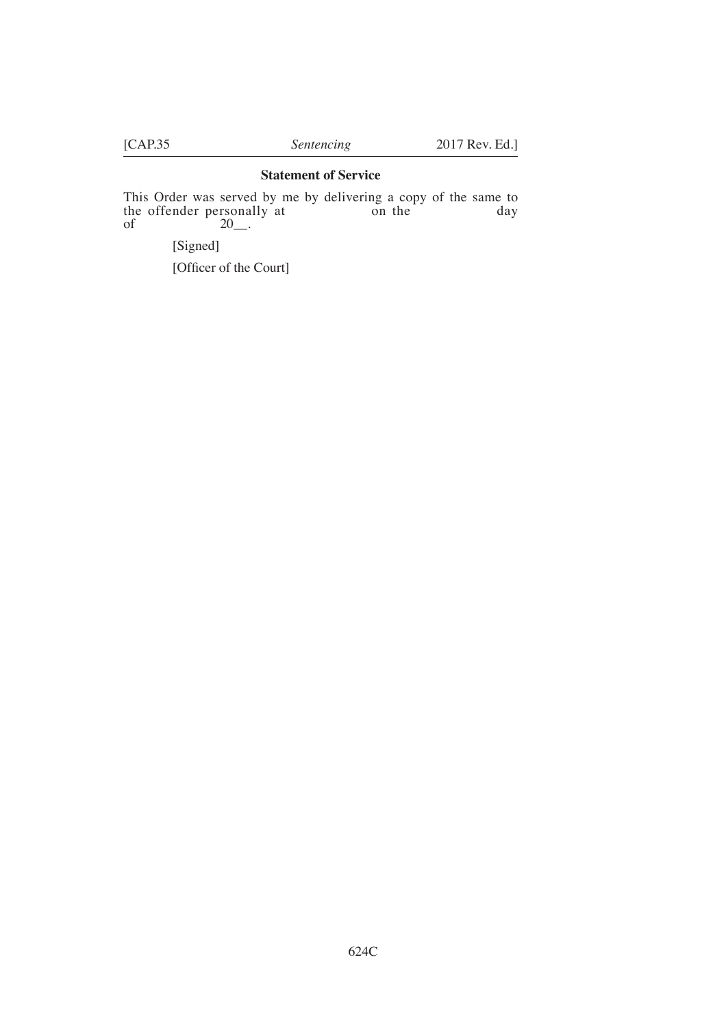## **Statement of Service**

This Order was served by me by delivering a copy of the same to the offender personally at on the day of  $20$ .

[Signed]

[Officer of the Court]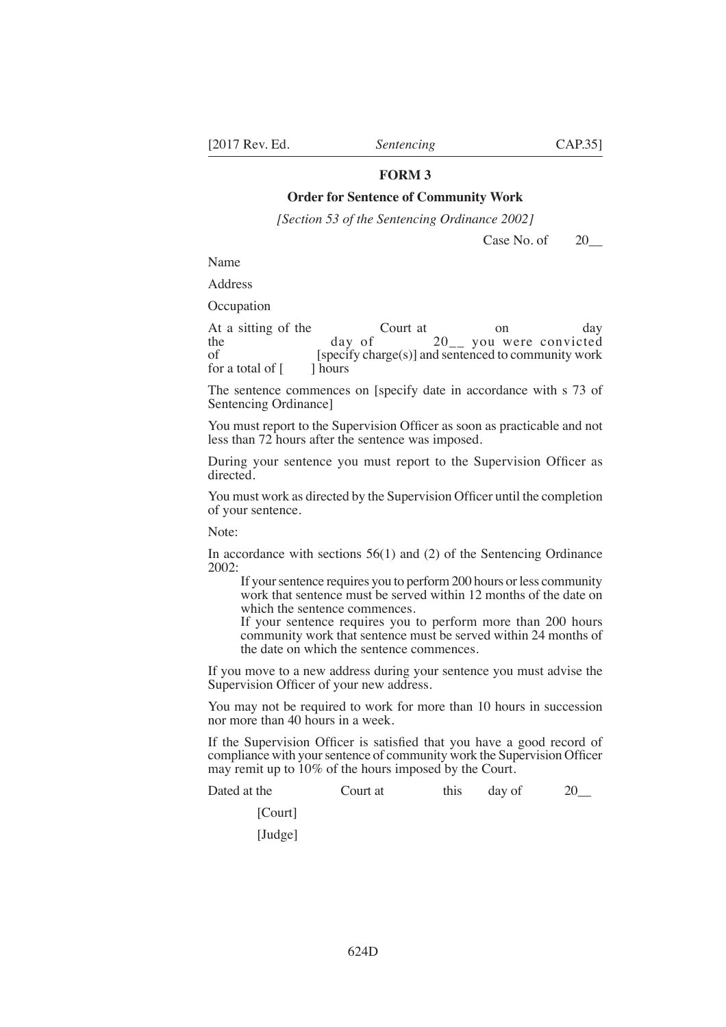## **Order for Sentence of Community Work**

*[Section 53 of the Sentencing Ordinance 2002]* 

Case No. of 20

Name

Address

**Occupation** 

At a sitting of the Court at on day<br>the day of 20 vou were convicted the  $day \text{ of } 20_{--}$  you were convicted of [specify charge(s)] and sentenced to community work for a total of  $\lceil \cdot \cdot \rceil$  hours

The sentence commences on [specify date in accordance with s 73 of Sentencing Ordinance]

You must report to the Supervision Officer as soon as practicable and not less than 72 hours after the sentence was imposed.

During your sentence you must report to the Supervision Officer as directed.

You must work as directed by the Supervision Officer until the completion of your sentence.

Note:

In accordance with sections 56(1) and (2) of the Sentencing Ordinance 2002:

If your sentence requires you to perform 200 hours or less community work that sentence must be served within 12 months of the date on which the sentence commences.

If your sentence requires you to perform more than 200 hours community work that sentence must be served within 24 months of the date on which the sentence commences.

If you move to a new address during your sentence you must advise the Supervision Officer of your new address.

You may not be required to work for more than 10 hours in succession nor more than 40 hours in a week.

If the Supervision Officer is satisfied that you have a good record of compliance with your sentence of community work the Supervision Officer may remit up to  $10\%$  of the hours imposed by the Court.

Dated at the Court at this day of 20\_

[Court] [Judge]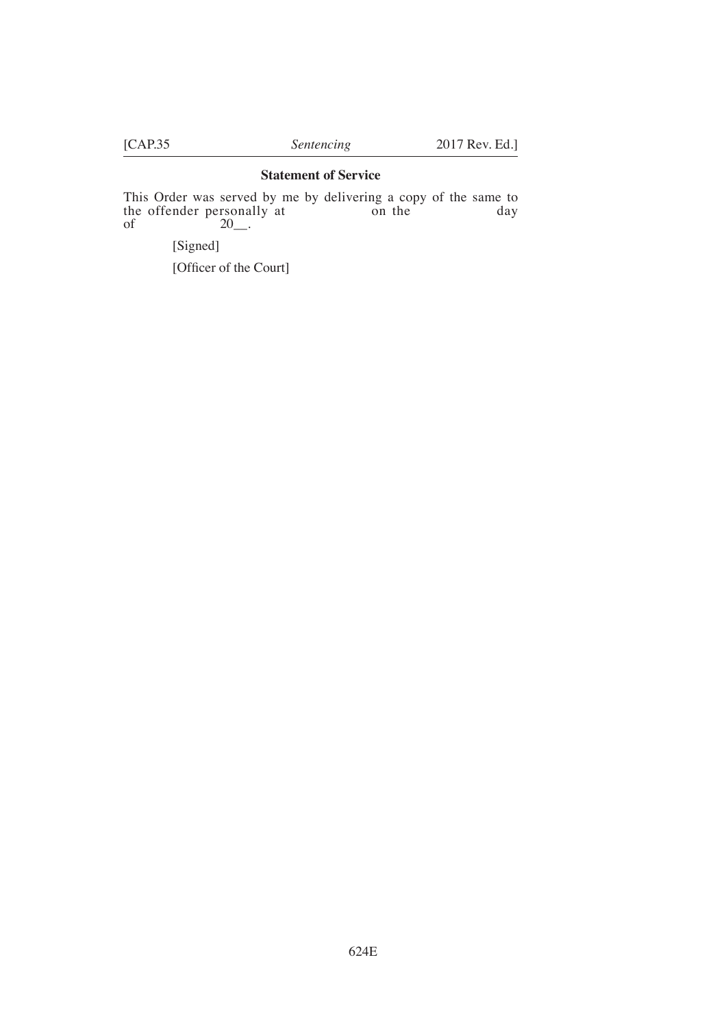# **Statement of Service**

This Order was served by me by delivering a copy of the same to the offender personally at on the day of  $20$ .

[Signed]

[Officer of the Court]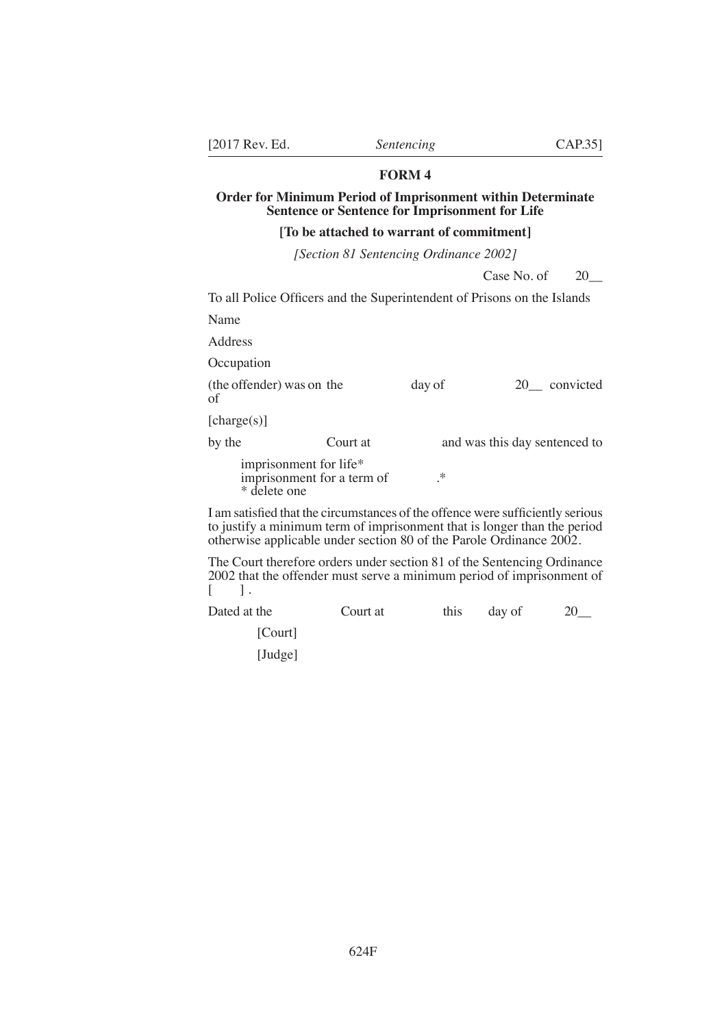## **Order for Minimum Period of Imprisonment within Determinate Sentence or Sentence for Imprisonment for Life**

#### **[To be attached to warrant of commitment]**

*[Section 81 Sentencing Ordinance 2002]* 

Case No. of 20

To all Police Officers and the Superintendent of Prisons on the Islands

Name

Address

**Occupation** 

(the offender) was on the day of 20\_ convicted of

[charge(s)]

by the Court at and was this day sentenced to

imprisonment for life\* imprisonment for a term of  $\cdot$ \* delete one

I am satisfied that the circumstances of the offence were sufficiently serious to justify a minimum term of imprisonment that is longer than the period otherwise applicable under section 80 of the Parole Ordinance 2002.

The Court therefore orders under section 81 of the Sentencing Ordinance 2002 that the offender must serve a minimum period of imprisonment of  $\lceil$   $\rceil$ .

Dated at the Court at this day of 20\_

[Court]

[Judge]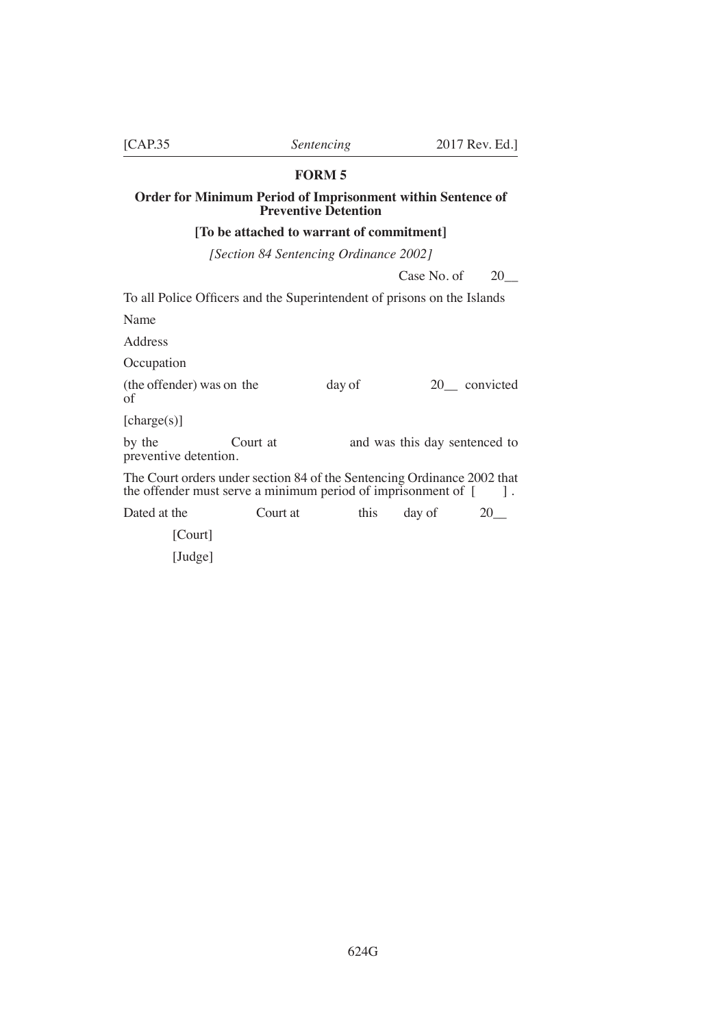# **Order for Minimum Period of Imprisonment within Sentence of Preventive Detention**

### **[To be attached to warrant of commitment]**

*[Section 84 Sentencing Ordinance 2002]* 

Case No. of 20

To all Police Officers and the Superintendent of prisons on the Islands

Name

Address

**Occupation** 

(the offender) was on the day of 20\_ convicted of

[charge(s)]

by the Court at and was this day sentenced to preventive detention.

The Court orders under section 84 of the Sentencing Ordinance 2002 that the offender must serve a minimum period of imprisonment of  $\begin{bmatrix} 1 \\ 1 \end{bmatrix}$ .

Dated at the Court at this day of 20\_ [Court]

[Judge]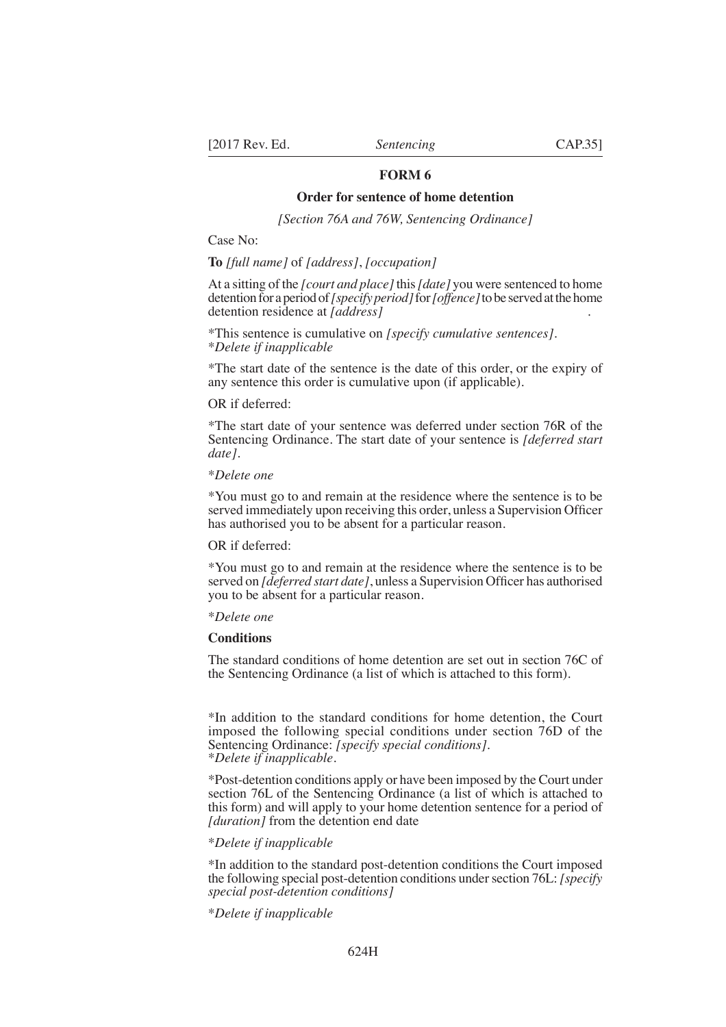#### **Order for sentence of home detention**

*[Section 76A and 76W, Sentencing Ordinance]*

Case No:

**To** *[full name]* of *[address]*, *[occupation]*

At a sitting of the *[court and place]* this *[date]* you were sentenced to home detention for a period of *[specify period]* for *[offence]* to be served at the home detention residence at *[address]* .

\*This sentence is cumulative on *[specify cumulative sentences].* \**Delete if inapplicable*

\*The start date of the sentence is the date of this order, or the expiry of any sentence this order is cumulative upon (if applicable).

#### OR if deferred:

\*The start date of your sentence was deferred under section 76R of the Sentencing Ordinance. The start date of your sentence is *[deferred start date]*.

#### \**Delete one*

\*You must go to and remain at the residence where the sentence is to be served immediately upon receiving this order, unless a Supervision Officer has authorised you to be absent for a particular reason.

#### OR if deferred:

\*You must go to and remain at the residence where the sentence is to be served on *[deferred start date]*, unless a Supervision Officer has authorised you to be absent for a particular reason.

#### \**Delete one*

# **Conditions**

The standard conditions of home detention are set out in section 76C of the Sentencing Ordinance (a list of which is attached to this form).

\*In addition to the standard conditions for home detention, the Court imposed the following special conditions under section 76D of the Sentencing Ordinance: *[specify special conditions]*. \**Delete if inapplicable*.

\*Post-detention conditions apply or have been imposed by the Court under section 76L of the Sentencing Ordinance (a list of which is attached to this form) and will apply to your home detention sentence for a period of *[duration]* from the detention end date

#### \**Delete if inapplicable*

\*In addition to the standard post-detention conditions the Court imposed the following special post-detention conditions under section 76L: *[specify special post-detention conditions]*

\**Delete if inapplicable*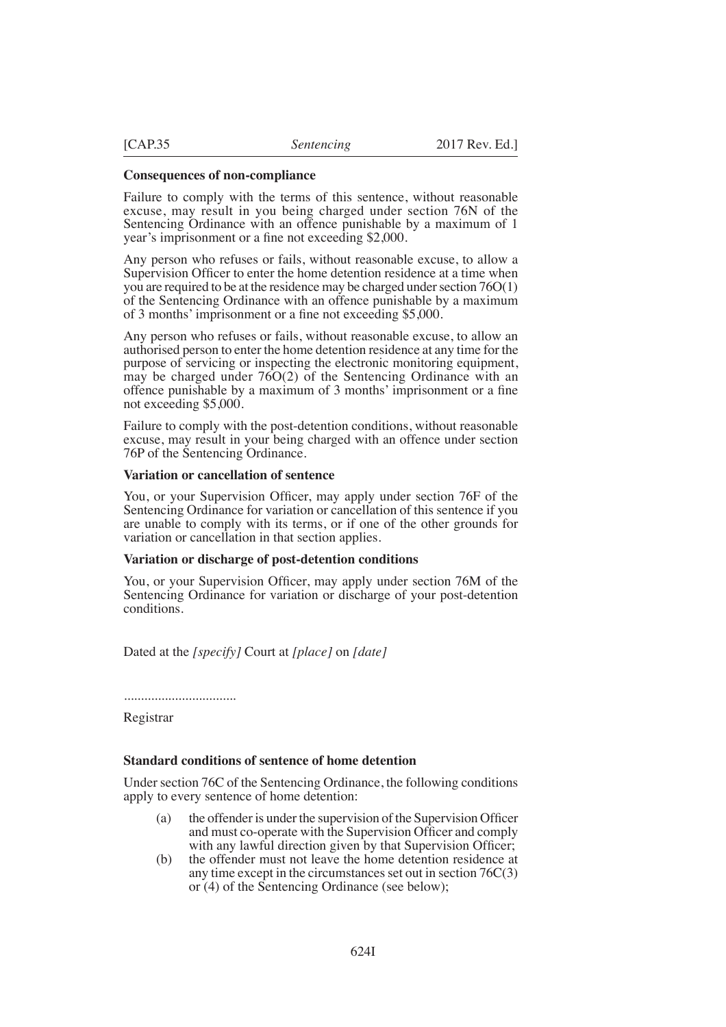#### **Consequences of non-compliance**

Failure to comply with the terms of this sentence, without reasonable excuse, may result in you being charged under section 76N of the Sentencing Ordinance with an offence punishable by a maximum of 1 year's imprisonment or a fine not exceeding \$2,000.

Any person who refuses or fails, without reasonable excuse, to allow a Supervision Officer to enter the home detention residence at a time when you are required to be at the residence may be charged under section 76O(1) of the Sentencing Ordinance with an offence punishable by a maximum of 3 months' imprisonment or a fine not exceeding \$5,000.

Any person who refuses or fails, without reasonable excuse, to allow an authorised person to enter the home detention residence at any time for the purpose of servicing or inspecting the electronic monitoring equipment, may be charged under 76O(2) of the Sentencing Ordinance with an offence punishable by a maximum of 3 months' imprisonment or a fine not exceeding \$5,000.

Failure to comply with the post-detention conditions, without reasonable excuse, may result in your being charged with an offence under section 76P of the Sentencing Ordinance.

#### **Variation or cancellation of sentence**

You, or your Supervision Officer, may apply under section 76F of the Sentencing Ordinance for variation or cancellation of this sentence if you are unable to comply with its terms, or if one of the other grounds for variation or cancellation in that section applies.

#### **Variation or discharge of post-detention conditions**

You, or your Supervision Officer, may apply under section 76 $M$  of the Sentencing Ordinance for variation or discharge of your post-detention conditions.

Dated at the *[specify]* Court at *[place]* on *[date]*

.................................

Registrar

#### **Standard conditions of sentence of home detention**

Under section 76C of the Sentencing Ordinance, the following conditions apply to every sentence of home detention:

- (a) the offender is under the supervision of the Supervision Officer and must co-operate with the Supervision Officer and comply with any lawful direction given by that Supervision Officer;
- (b) the offender must not leave the home detention residence at any time except in the circumstances set out in section 76C(3) or (4) of the Sentencing Ordinance (see below);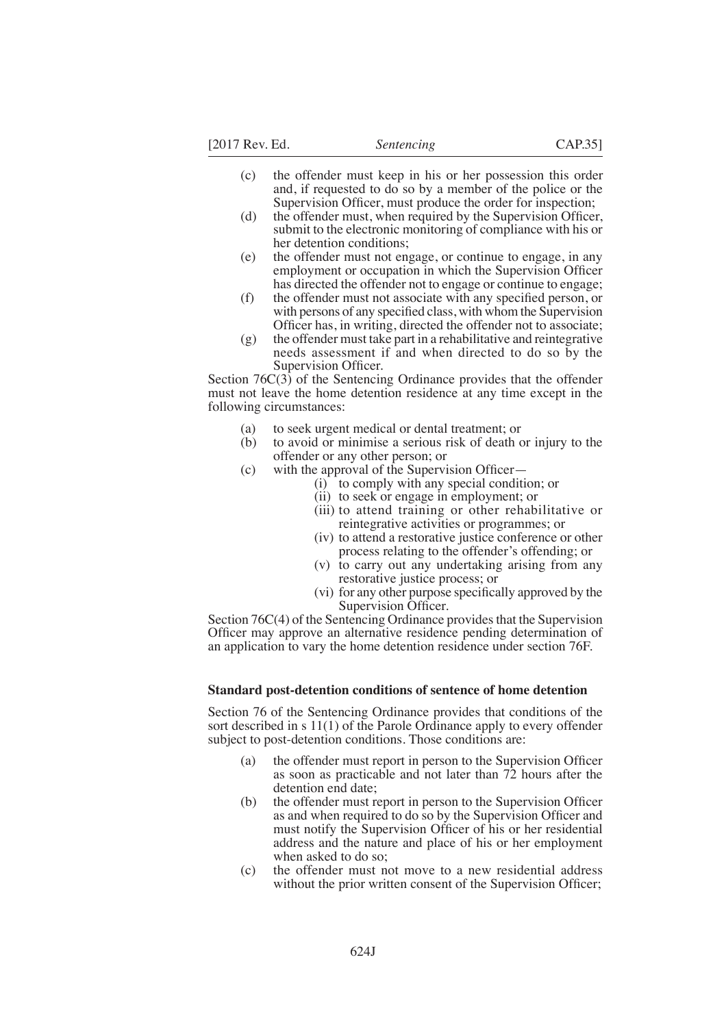[2017 Rev. Ed. *Sentencing* CAP.35]

- (c) the offender must keep in his or her possession this order and, if requested to do so by a member of the police or the Supervision Officer, must produce the order for inspection;
- $(d)$  the offender must, when required by the Supervision Officer, submit to the electronic monitoring of compliance with his or her detention conditions;
- (e) the offender must not engage, or continue to engage, in any employment or occupation in which the Supervision Officer has directed the offender not to engage or continue to engage;
- $(f)$  the offender must not associate with any specified person, or with persons of any specified class, with whom the Supervision Officer has, in writing, directed the offender not to associate;
- $(g)$  the offender must take part in a rehabilitative and reintegrative needs assessment if and when directed to do so by the Supervision Officer.

Section  $76C(3)$  of the Sentencing Ordinance provides that the offender must not leave the home detention residence at any time except in the following circumstances:

- (a) to seek urgent medical or dental treatment; or (b) to avoid or minimise a serious risk of death of
- (b) to avoid or minimise a serious risk of death or injury to the offender or any other person; or
- (c) with the approval of the Supervision Officer $-$ 
	- (i) to comply with any special condition; or
	- (ii) to seek or engage in employment; or
	- (iii) to attend training or other rehabilitative or reintegrative activities or programmes; or
	- (iv) to attend a restorative justice conference or other process relating to the offender's offending; or
	- (v) to carry out any undertaking arising from any restorative justice process; or
	- (vi) for any other purpose specifically approved by the Supervision Officer.

Section 76C(4) of the Sentencing Ordinance provides that the Supervision Officer may approve an alternative residence pending determination of an application to vary the home detention residence under section 76F.

#### **Standard post-detention conditions of sentence of home detention**

Section 76 of the Sentencing Ordinance provides that conditions of the sort described in s 11(1) of the Parole Ordinance apply to every offender subject to post-detention conditions. Those conditions are:

- (a) the offender must report in person to the Supervision Officer as soon as practicable and not later than 72 hours after the detention end date;
- $(b)$  the offender must report in person to the Supervision Officer as and when required to do so by the Supervision Officer and must notify the Supervision Officer of his or her residential address and the nature and place of his or her employment when asked to do so;
- (c) the offender must not move to a new residential address without the prior written consent of the Supervision Officer;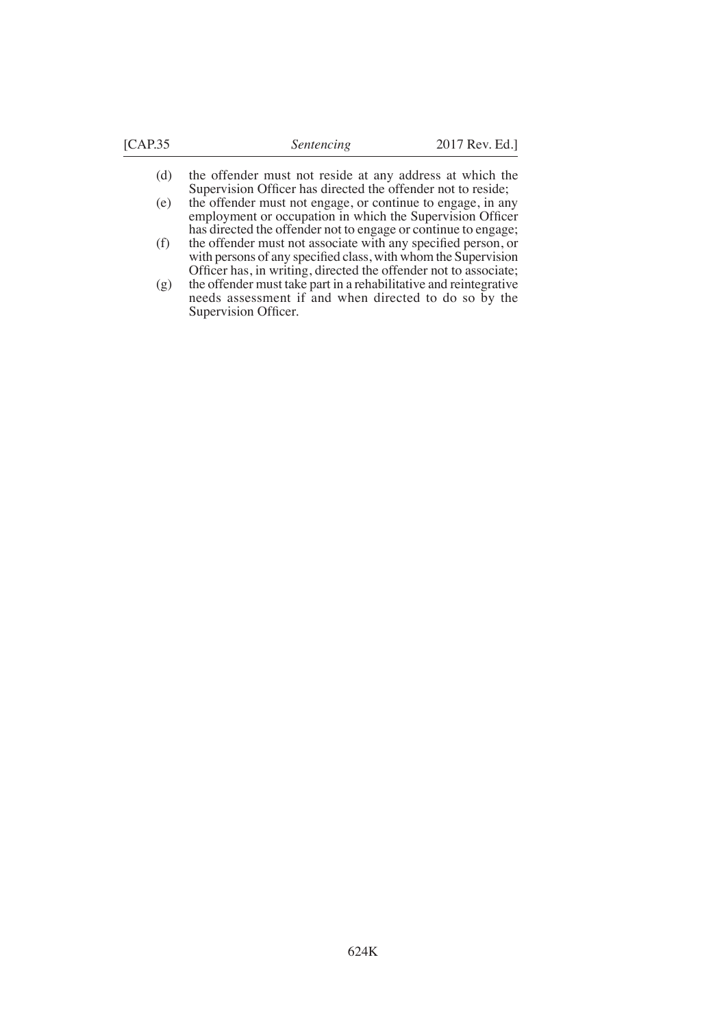- (d) the offender must not reside at any address at which the Supervision Officer has directed the offender not to reside;
- (e) the offender must not engage, or continue to engage, in any employment or occupation in which the Supervision Officer has directed the offender not to engage or continue to engage;
- $(f)$  the offender must not associate with any specified person, or with persons of any specified class, with whom the Supervision Officer has, in writing, directed the offender not to associate;
- (g) the offender must take part in a rehabilitative and reintegrative needs assessment if and when directed to do so by the Supervision Officer.